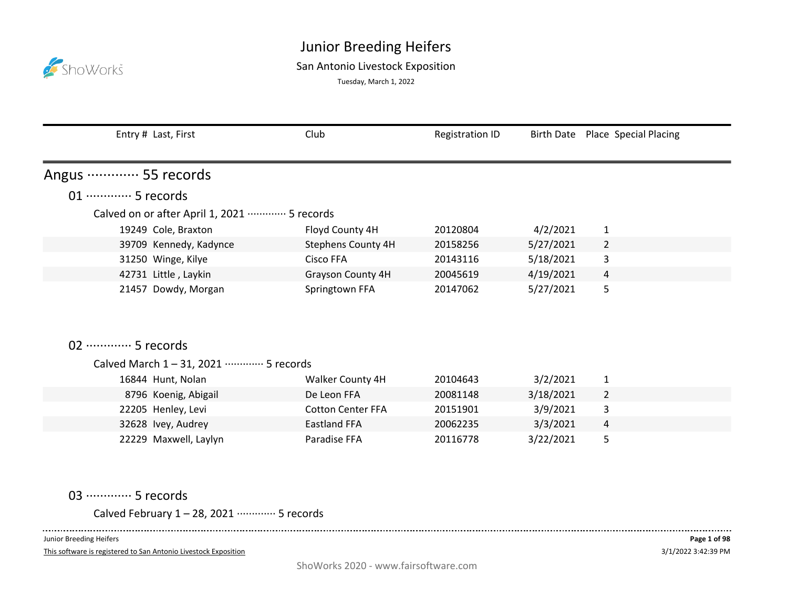

## San Antonio Livestock Exposition

Tuesday, March 1, 2022

|                             | Entry # Last, First                         | Club                      | <b>Registration ID</b> |           | Birth Date  Place  Special Placing |
|-----------------------------|---------------------------------------------|---------------------------|------------------------|-----------|------------------------------------|
| Angus ………… 55 records       |                                             |                           |                        |           |                                    |
| 01 ·············· 5 records |                                             |                           |                        |           |                                    |
|                             | Calved on or after April 1, 2021  5 records |                           |                        |           |                                    |
|                             | 19249 Cole, Braxton                         | Floyd County 4H           | 20120804               | 4/2/2021  | $\mathbf{1}$                       |
|                             | 39709 Kennedy, Kadynce                      | <b>Stephens County 4H</b> | 20158256               | 5/27/2021 | $\overline{2}$                     |
|                             | 31250 Winge, Kilye                          | <b>Cisco FFA</b>          | 20143116               | 5/18/2021 | 3                                  |
|                             | 42731 Little, Laykin                        | Grayson County 4H         | 20045619               | 4/19/2021 | 4                                  |
|                             | 21457 Dowdy, Morgan                         | Springtown FFA            | 20147062               | 5/27/2021 | 5                                  |
| 02 ………… 5 records           |                                             |                           |                        |           |                                    |
|                             | Calved March 1-31, 2021 ………… 5 records      |                           |                        |           |                                    |
|                             | 16844 Hunt, Nolan                           | Walker County 4H          | 20104643               | 3/2/2021  | $\mathbf{1}$                       |
|                             | 8796 Koenig, Abigail                        | De Leon FFA               | 20081148               | 3/18/2021 | $\overline{2}$                     |
|                             | 22205 Henley, Levi                          | <b>Cotton Center FFA</b>  | 20151901               | 3/9/2021  | 3                                  |
|                             | 32628 Ivey, Audrey                          | <b>Eastland FFA</b>       | 20062235               | 3/3/2021  | $\overline{4}$                     |
|                             | 22229 Maxwell, Laylyn                       | Paradise FFA              | 20116778               | 3/22/2021 | 5                                  |

03 ··············· 5 records

Calved February 1 – 28, 2021 ············· 5 records

Junior Breeding Heifers

 $\sim 100$ 

This software is registered to San Antonio Livestock Exposition

 $- - - - -$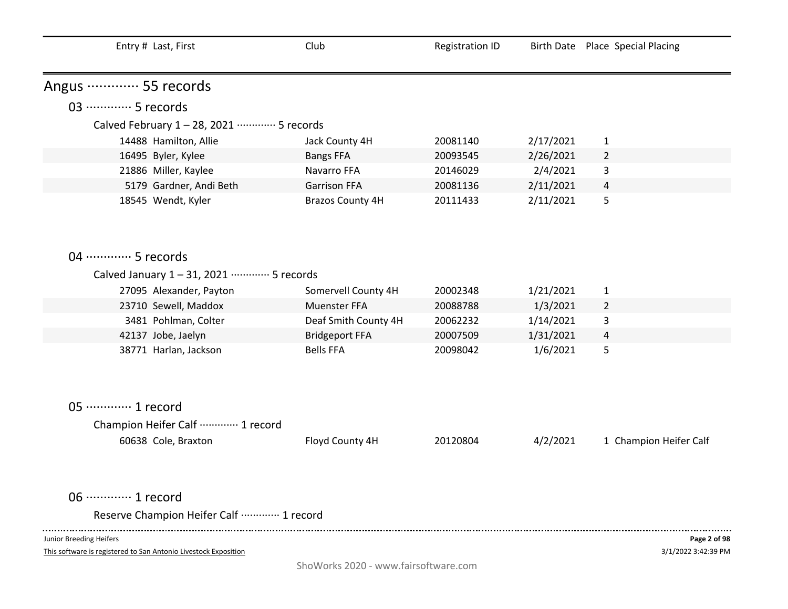| Entry # Last, First                                                 | Club                    | <b>Registration ID</b> |           | Birth Date Place Special Placing |
|---------------------------------------------------------------------|-------------------------|------------------------|-----------|----------------------------------|
| Angus ………… 55 records                                               |                         |                        |           |                                  |
| 03 ·············· 5 records                                         |                         |                        |           |                                  |
| Calved February 1-28, 2021 ………… 5 records                           |                         |                        |           |                                  |
| 14488 Hamilton, Allie                                               | Jack County 4H          | 20081140               | 2/17/2021 | $\mathbf{1}$                     |
| 16495 Byler, Kylee                                                  | <b>Bangs FFA</b>        | 20093545               | 2/26/2021 | $\overline{2}$                   |
| 21886 Miller, Kaylee                                                | Navarro FFA             | 20146029               | 2/4/2021  | 3                                |
| 5179 Gardner, Andi Beth                                             | <b>Garrison FFA</b>     | 20081136               | 2/11/2021 | 4                                |
| 18545 Wendt, Kyler                                                  | <b>Brazos County 4H</b> | 20111433               | 2/11/2021 | 5                                |
|                                                                     |                         |                        |           |                                  |
| 04 ………… 5 records                                                   |                         |                        |           |                                  |
| Calved January 1-31, 2021 ………… 5 records                            |                         |                        |           |                                  |
| 27095 Alexander, Payton                                             | Somervell County 4H     | 20002348               | 1/21/2021 | $\mathbf{1}$                     |
| 23710 Sewell, Maddox                                                | Muenster FFA            | 20088788               | 1/3/2021  | $\overline{2}$                   |
| 3481 Pohlman, Colter                                                | Deaf Smith County 4H    | 20062232               | 1/14/2021 | 3                                |
| 42137 Jobe, Jaelyn                                                  | <b>Bridgeport FFA</b>   | 20007509               | 1/31/2021 | 4                                |
| 38771 Harlan, Jackson                                               | <b>Bells FFA</b>        | 20098042               | 1/6/2021  | 5                                |
| 05 ············· 1 record<br>Champion Heifer Calf  1 record         |                         |                        |           |                                  |
| 60638 Cole, Braxton                                                 | Floyd County 4H         | 20120804               | 4/2/2021  | 1 Champion Heifer Calf           |
| 06 ············· 1 record<br>Reserve Champion Heifer Calf  1 record |                         |                        |           |                                  |

This software is registered to San Antonio Livestock Exposition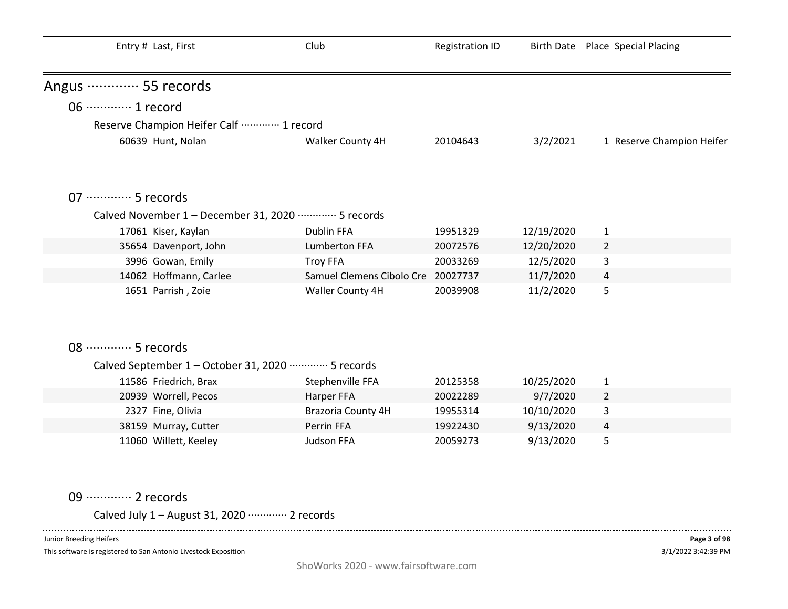| Club              | <b>Registration ID</b>                                                                                                                                                                                                                     |                                                                                                | Birth Date Place Special Placing                               |
|-------------------|--------------------------------------------------------------------------------------------------------------------------------------------------------------------------------------------------------------------------------------------|------------------------------------------------------------------------------------------------|----------------------------------------------------------------|
|                   |                                                                                                                                                                                                                                            |                                                                                                |                                                                |
|                   |                                                                                                                                                                                                                                            |                                                                                                |                                                                |
|                   |                                                                                                                                                                                                                                            |                                                                                                |                                                                |
| Walker County 4H  | 20104643                                                                                                                                                                                                                                   | 3/2/2021                                                                                       | 1 Reserve Champion Heifer                                      |
|                   |                                                                                                                                                                                                                                            |                                                                                                |                                                                |
|                   |                                                                                                                                                                                                                                            |                                                                                                |                                                                |
|                   |                                                                                                                                                                                                                                            |                                                                                                |                                                                |
| <b>Dublin FFA</b> | 19951329                                                                                                                                                                                                                                   | 12/19/2020                                                                                     | $\mathbf{1}$                                                   |
| Lumberton FFA     | 20072576                                                                                                                                                                                                                                   | 12/20/2020                                                                                     | $\overline{2}$                                                 |
| <b>Troy FFA</b>   | 20033269                                                                                                                                                                                                                                   | 12/5/2020                                                                                      | 3                                                              |
|                   |                                                                                                                                                                                                                                            | 11/7/2020                                                                                      | 4                                                              |
| Waller County 4H  | 20039908                                                                                                                                                                                                                                   | 11/2/2020                                                                                      | 5                                                              |
|                   |                                                                                                                                                                                                                                            |                                                                                                |                                                                |
|                   |                                                                                                                                                                                                                                            |                                                                                                |                                                                |
|                   |                                                                                                                                                                                                                                            |                                                                                                |                                                                |
|                   |                                                                                                                                                                                                                                            |                                                                                                |                                                                |
|                   |                                                                                                                                                                                                                                            |                                                                                                |                                                                |
|                   |                                                                                                                                                                                                                                            |                                                                                                | $\mathbf{1}$                                                   |
|                   |                                                                                                                                                                                                                                            |                                                                                                | $\overline{2}$                                                 |
|                   |                                                                                                                                                                                                                                            |                                                                                                | 3                                                              |
|                   |                                                                                                                                                                                                                                            |                                                                                                | $\overline{4}$                                                 |
|                   |                                                                                                                                                                                                                                            |                                                                                                | 5                                                              |
|                   |                                                                                                                                                                                                                                            |                                                                                                |                                                                |
|                   | Reserve Champion Heifer Calf  1 record<br>Calved November 1 - December 31, 2020 ………… 5 records<br>Calved September 1 - October 31, 2020 ………… 5 records<br>Stephenville FFA<br>Harper FFA<br>Brazoria County 4H<br>Perrin FFA<br>Judson FFA | Samuel Clemens Cibolo Cre 20027737<br>20125358<br>20022289<br>19955314<br>19922430<br>20059273 | 10/25/2020<br>9/7/2020<br>10/10/2020<br>9/13/2020<br>9/13/2020 |

09 ·············· 2 records

Calved July 1 – August 31, 2020 ············· 2 records

Junior Breeding Heifers

 $\sim$   $\sim$   $\sim$   $\sim$ 

This software is registered to San Antonio Livestock Exposition

-----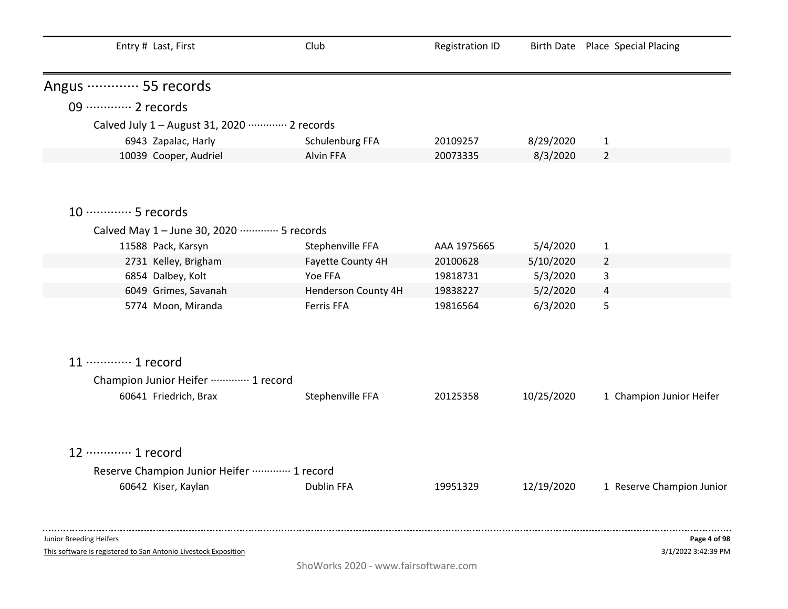| Entry # Last, First                                                                        | Club                | <b>Registration ID</b> |            | Birth Date Place Special Placing    |
|--------------------------------------------------------------------------------------------|---------------------|------------------------|------------|-------------------------------------|
| Angus ………… 55 records                                                                      |                     |                        |            |                                     |
| 09 ············· 2 records                                                                 |                     |                        |            |                                     |
| Calved July 1 - August 31, 2020 ………… 2 records                                             |                     |                        |            |                                     |
| 6943 Zapalac, Harly                                                                        | Schulenburg FFA     | 20109257               | 8/29/2020  | $\mathbf{1}$                        |
| 10039 Cooper, Audriel                                                                      | Alvin FFA           | 20073335               | 8/3/2020   | $\overline{2}$                      |
|                                                                                            |                     |                        |            |                                     |
| 10 ············· 5 records                                                                 |                     |                        |            |                                     |
| Calved May 1 - June 30, 2020 ………… 5 records                                                |                     |                        |            |                                     |
| 11588 Pack, Karsyn                                                                         | Stephenville FFA    | AAA 1975665            | 5/4/2020   | $\mathbf{1}$                        |
| 2731 Kelley, Brigham                                                                       | Fayette County 4H   | 20100628               | 5/10/2020  | $\overline{2}$                      |
| 6854 Dalbey, Kolt                                                                          | Yoe FFA             | 19818731               | 5/3/2020   | 3                                   |
| 6049 Grimes, Savanah                                                                       | Henderson County 4H | 19838227               | 5/2/2020   | $\overline{a}$                      |
| 5774 Moon, Miranda                                                                         | Ferris FFA          | 19816564               | 6/3/2020   | 5                                   |
| 11 ………… 1 record                                                                           |                     |                        |            |                                     |
| Champion Junior Heifer ………… 1 record                                                       |                     |                        |            |                                     |
| 60641 Friedrich, Brax                                                                      | Stephenville FFA    | 20125358               | 10/25/2020 | 1 Champion Junior Heifer            |
| 12 ………… 1 record                                                                           |                     |                        |            |                                     |
| Reserve Champion Junior Heifer ………… 1 record                                               |                     |                        |            |                                     |
| 60642 Kiser, Kaylan                                                                        | Dublin FFA          | 19951329               | 12/19/2020 | 1 Reserve Champion Junior           |
|                                                                                            |                     |                        |            |                                     |
| Junior Breeding Heifers<br>This software is registered to San Antonio Livestock Exposition |                     |                        |            | Page 4 of 98<br>3/1/2022 3:42:39 PM |

ShoWorks 2020 - www.fairsoftware.com

3/1/2022 3:42:39 PM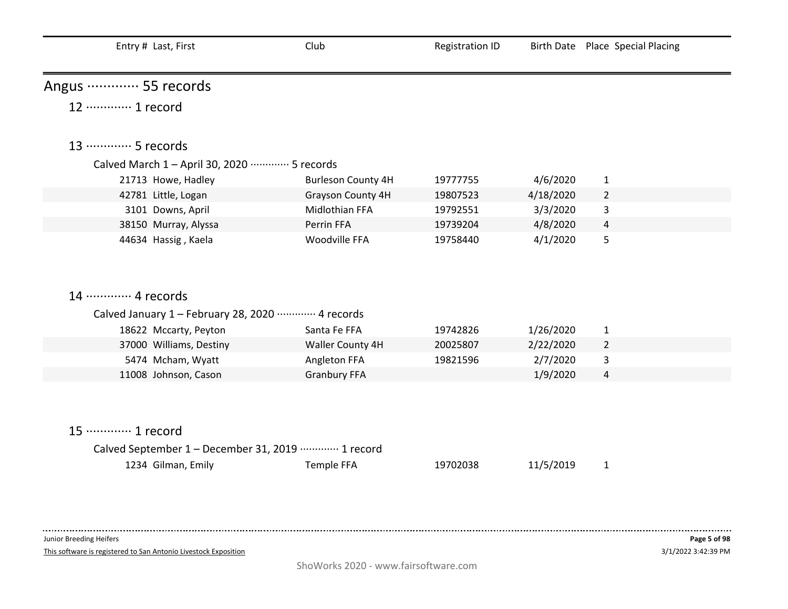| Entry # Last, First                                      | Club                      | <b>Registration ID</b> |           | Birth Date Place Special Placing |
|----------------------------------------------------------|---------------------------|------------------------|-----------|----------------------------------|
| Angus ………… 55 records                                    |                           |                        |           |                                  |
| 12 ………… 1 record                                         |                           |                        |           |                                  |
| 13 ………… 5 records                                        |                           |                        |           |                                  |
| Calved March 1 - April 30, 2020 ·············· 5 records |                           |                        |           |                                  |
| 21713 Howe, Hadley                                       | <b>Burleson County 4H</b> | 19777755               | 4/6/2020  | $\mathbf{1}$                     |
| 42781 Little, Logan                                      | Grayson County 4H         | 19807523               | 4/18/2020 | $\overline{2}$                   |
| 3101 Downs, April                                        | Midlothian FFA            | 19792551               | 3/3/2020  | 3                                |
| 38150 Murray, Alyssa                                     | Perrin FFA                | 19739204               | 4/8/2020  | $\overline{4}$                   |
| 44634 Hassig, Kaela                                      | Woodville FFA             | 19758440               | 4/1/2020  | 5                                |
| 14 ………… 4 records                                        |                           |                        |           |                                  |
| Calved January 1 - February 28, 2020 ………… 4 records      |                           |                        |           |                                  |
| 18622 Mccarty, Peyton                                    | Santa Fe FFA              | 19742826               | 1/26/2020 | $\mathbf{1}$                     |
| 37000 Williams, Destiny                                  | Waller County 4H          | 20025807               | 2/22/2020 | $\overline{2}$                   |
| 5474 Mcham, Wyatt                                        | Angleton FFA              | 19821596               | 2/7/2020  | 3                                |
| 11008 Johnson, Cason                                     | <b>Granbury FFA</b>       |                        | 1/9/2020  | $\overline{4}$                   |
|                                                          |                           |                        |           |                                  |
| 15 ………… 1 record                                         |                           |                        |           |                                  |
| Calved September 1 - December 31, 2019 ………… 1 record     |                           |                        |           |                                  |
| 1234 Gilman, Emily                                       | <b>Temple FFA</b>         | 19702038               | 11/5/2019 | $\mathbf{1}$                     |

 $\sim 100$ 

This software is registered to San Antonio Livestock Exposition

. . . . .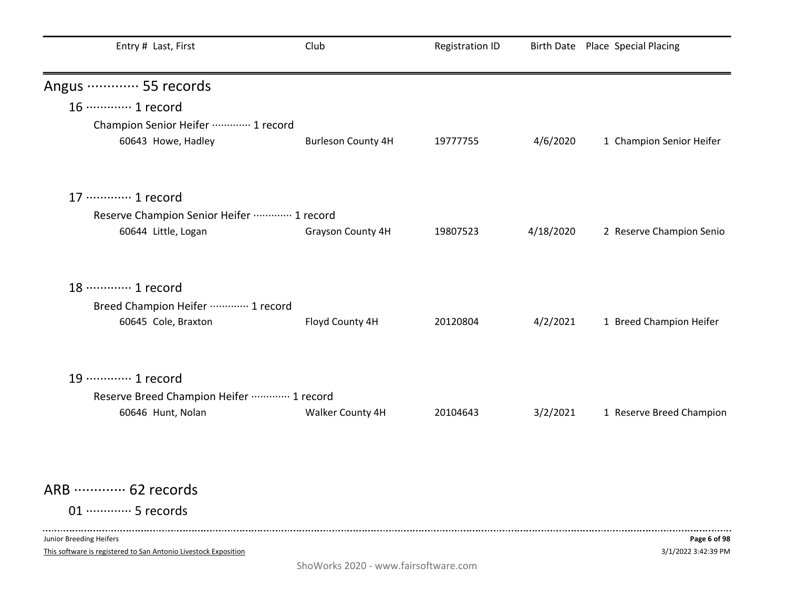| Entry # Last, First                                                                        | Club                                 | <b>Registration ID</b> |           | Birth Date Place Special Placing    |
|--------------------------------------------------------------------------------------------|--------------------------------------|------------------------|-----------|-------------------------------------|
| Angus ………… 55 records                                                                      |                                      |                        |           |                                     |
| 16 ············· 1 record                                                                  |                                      |                        |           |                                     |
| Champion Senior Heifer  1 record                                                           |                                      |                        |           |                                     |
| 60643 Howe, Hadley                                                                         | <b>Burleson County 4H</b>            | 19777755               | 4/6/2020  | 1 Champion Senior Heifer            |
| 17 ………… 1 record                                                                           |                                      |                        |           |                                     |
| Reserve Champion Senior Heifer  1 record                                                   |                                      |                        |           |                                     |
| 60644 Little, Logan                                                                        | <b>Grayson County 4H</b>             | 19807523               | 4/18/2020 | 2 Reserve Champion Senio            |
| 18 ………… 1 record                                                                           |                                      |                        |           |                                     |
| Breed Champion Heifer ………… 1 record                                                        |                                      |                        |           |                                     |
| 60645 Cole, Braxton                                                                        | Floyd County 4H                      | 20120804               | 4/2/2021  | 1 Breed Champion Heifer             |
| 19 ············· 1 record                                                                  |                                      |                        |           |                                     |
| Reserve Breed Champion Heifer ………… 1 record                                                |                                      |                        |           |                                     |
| 60646 Hunt, Nolan                                                                          | Walker County 4H                     | 20104643               | 3/2/2021  | 1 Reserve Breed Champion            |
| ARB  62 records                                                                            |                                      |                        |           |                                     |
| 01 ·············· 5 records                                                                |                                      |                        |           |                                     |
| Junior Breeding Heifers<br>This software is registered to San Antonio Livestock Exposition | ShoWorks 2020 - www.fairsoftware.com |                        |           | Page 6 of 98<br>3/1/2022 3:42:39 PM |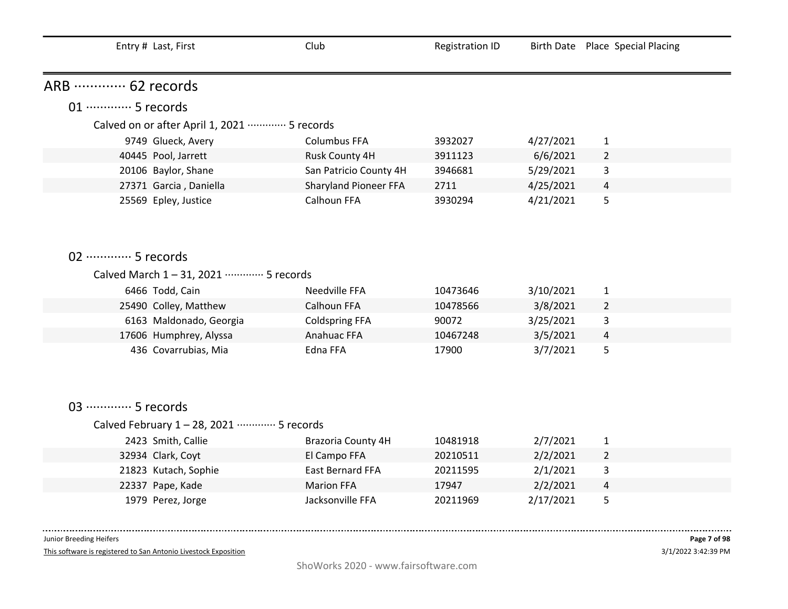| Entry # Last, First                         | Club                   | <b>Registration ID</b> |           | Birth Date Place Special Placing |
|---------------------------------------------|------------------------|------------------------|-----------|----------------------------------|
| ARB ………… 62 records                         |                        |                        |           |                                  |
| 01 ·············· 5 records                 |                        |                        |           |                                  |
| Calved on or after April 1, 2021  5 records |                        |                        |           |                                  |
| 9749 Glueck, Avery                          | <b>Columbus FFA</b>    | 3932027                | 4/27/2021 | $\mathbf{1}$                     |
| 40445 Pool, Jarrett                         | Rusk County 4H         | 3911123                | 6/6/2021  | $\overline{2}$                   |
| 20106 Baylor, Shane                         | San Patricio County 4H | 3946681                | 5/29/2021 | 3                                |
| 27371 Garcia, Daniella                      | Sharyland Pioneer FFA  | 2711                   | 4/25/2021 | 4                                |
| 25569 Epley, Justice                        | Calhoun FFA            | 3930294                | 4/21/2021 | 5                                |
|                                             |                        |                        |           |                                  |
|                                             |                        |                        |           |                                  |
| 02 ·············· 5 records                 |                        |                        |           |                                  |
|                                             |                        |                        |           |                                  |
| Calved March 1-31, 2021 ………… 5 records      |                        |                        |           |                                  |
| 6466 Todd, Cain                             | Needville FFA          | 10473646               | 3/10/2021 | $\mathbf{1}$                     |
| 25490 Colley, Matthew                       | Calhoun FFA            | 10478566               | 3/8/2021  | $\overline{2}$                   |
| 6163 Maldonado, Georgia                     | <b>Coldspring FFA</b>  | 90072                  | 3/25/2021 | 3                                |
| 17606 Humphrey, Alyssa                      | Anahuac FFA            | 10467248               | 3/5/2021  | 4                                |
| 436 Covarrubias, Mia                        | Edna FFA               | 17900                  | 3/7/2021  | 5                                |
|                                             |                        |                        |           |                                  |
|                                             |                        |                        |           |                                  |
|                                             |                        |                        |           |                                  |
| 03 ·············· 5 records                 |                        |                        |           |                                  |
| Calved February 1 - 28, 2021 ………… 5 records |                        |                        |           |                                  |
| 2423 Smith, Callie                          | Brazoria County 4H     | 10481918               | 2/7/2021  | $\mathbf{1}$                     |
| 32934 Clark, Coyt                           | El Campo FFA           | 20210511               | 2/2/2021  | $\overline{2}$                   |
| 21823 Kutach, Sophie                        | East Bernard FFA       | 20211595               | 2/1/2021  | 3                                |
| 22337 Pape, Kade                            | <b>Marion FFA</b>      | 17947                  | 2/2/2021  | 4                                |
| 1979 Perez, Jorge                           | Jacksonville FFA       | 20211969               | 2/17/2021 | 5                                |

 $\sim 100$ 

This software is registered to San Antonio Livestock Exposition

. . . .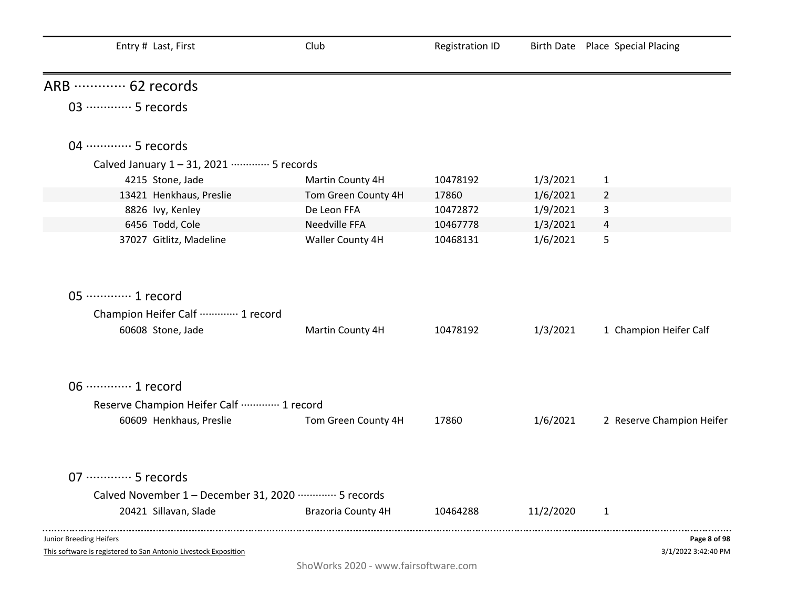| Club                | <b>Registration ID</b>                                                                                                                                         |           | Birth Date Place Special Placing |
|---------------------|----------------------------------------------------------------------------------------------------------------------------------------------------------------|-----------|----------------------------------|
|                     |                                                                                                                                                                |           |                                  |
|                     |                                                                                                                                                                |           |                                  |
|                     |                                                                                                                                                                |           |                                  |
|                     |                                                                                                                                                                |           |                                  |
|                     |                                                                                                                                                                |           | $\mathbf 1$                      |
| Tom Green County 4H | 17860                                                                                                                                                          | 1/6/2021  | 2                                |
| De Leon FFA         | 10472872                                                                                                                                                       | 1/9/2021  | 3                                |
| Needville FFA       | 10467778                                                                                                                                                       | 1/3/2021  | 4                                |
| Waller County 4H    | 10468131                                                                                                                                                       | 1/6/2021  | 5                                |
|                     |                                                                                                                                                                |           |                                  |
| Martin County 4H    | 10478192                                                                                                                                                       | 1/3/2021  | 1 Champion Heifer Calf           |
|                     |                                                                                                                                                                |           |                                  |
|                     |                                                                                                                                                                |           |                                  |
| Tom Green County 4H | 17860                                                                                                                                                          | 1/6/2021  | 2 Reserve Champion Heifer        |
|                     |                                                                                                                                                                |           |                                  |
|                     |                                                                                                                                                                |           |                                  |
| Brazoria County 4H  | 10464288                                                                                                                                                       | 11/2/2020 | 1                                |
|                     |                                                                                                                                                                |           |                                  |
|                     | Calved January 1-31, 2021 ………… 5 records<br>Martin County 4H<br>Reserve Champion Heifer Calf  1 record<br>Calved November 1 - December 31, 2020 ………… 5 records | 10478192  | 1/3/2021                         |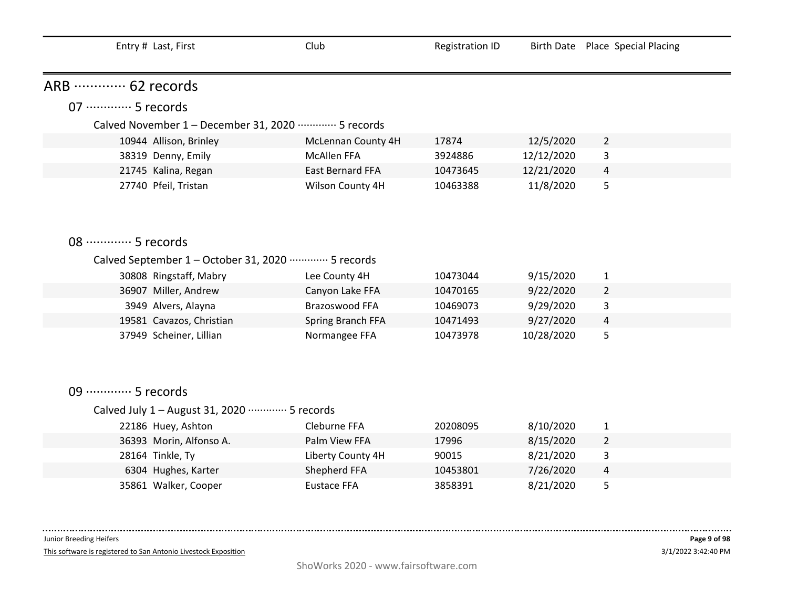| Entry # Last, First                                            | Club               | <b>Registration ID</b> |            | Birth Date Place Special Placing |  |
|----------------------------------------------------------------|--------------------|------------------------|------------|----------------------------------|--|
| ARB  62 records                                                |                    |                        |            |                                  |  |
| 07 ·············· 5 records                                    |                    |                        |            |                                  |  |
| Calved November 1 - December 31, 2020 ………… 5 records           |                    |                        |            |                                  |  |
| 10944 Allison, Brinley                                         | McLennan County 4H | 17874                  | 12/5/2020  | $\overline{2}$                   |  |
| 38319 Denny, Emily                                             | <b>McAllen FFA</b> | 3924886                | 12/12/2020 | 3                                |  |
| 21745 Kalina, Regan                                            | East Bernard FFA   | 10473645               | 12/21/2020 | 4                                |  |
| 27740 Pfeil, Tristan                                           | Wilson County 4H   | 10463388               | 11/8/2020  | 5                                |  |
|                                                                |                    |                        |            |                                  |  |
| 08 ………… 5 records                                              |                    |                        |            |                                  |  |
| Calved September 1 - October 31, 2020 ·············· 5 records |                    |                        |            |                                  |  |
| 30808 Ringstaff, Mabry                                         | Lee County 4H      | 10473044               | 9/15/2020  | $\mathbf{1}$                     |  |
| 36907 Miller, Andrew                                           | Canyon Lake FFA    | 10470165               | 9/22/2020  | 2                                |  |
| 3949 Alvers, Alayna                                            | Brazoswood FFA     | 10469073               | 9/29/2020  | 3                                |  |
| 19581 Cavazos, Christian                                       | Spring Branch FFA  | 10471493               | 9/27/2020  | 4                                |  |
| 37949 Scheiner, Lillian                                        | Normangee FFA      | 10473978               | 10/28/2020 | 5                                |  |
|                                                                |                    |                        |            |                                  |  |
| 09 ·············· 5 records                                    |                    |                        |            |                                  |  |
| Calved July 1 - August 31, 2020 ………… 5 records                 |                    |                        |            |                                  |  |
| 22186 Huey, Ashton                                             | Cleburne FFA       | 20208095               | 8/10/2020  | 1                                |  |
| 36393 Morin, Alfonso A.                                        | Palm View FFA      | 17996                  | 8/15/2020  | $\overline{2}$                   |  |
| 28164 Tinkle, Ty                                               | Liberty County 4H  | 90015                  | 8/21/2020  | 3                                |  |
| 6304 Hughes, Karter                                            | Shepherd FFA       | 10453801               | 7/26/2020  | 4                                |  |
| 35861 Walker, Cooper                                           | <b>Eustace FFA</b> | 3858391                | 8/21/2020  | 5                                |  |

--------------------

This software is registered to San Antonio Livestock Exposition

. . . . . . . . . . .

 $\sim 100$  and  $\sim 100$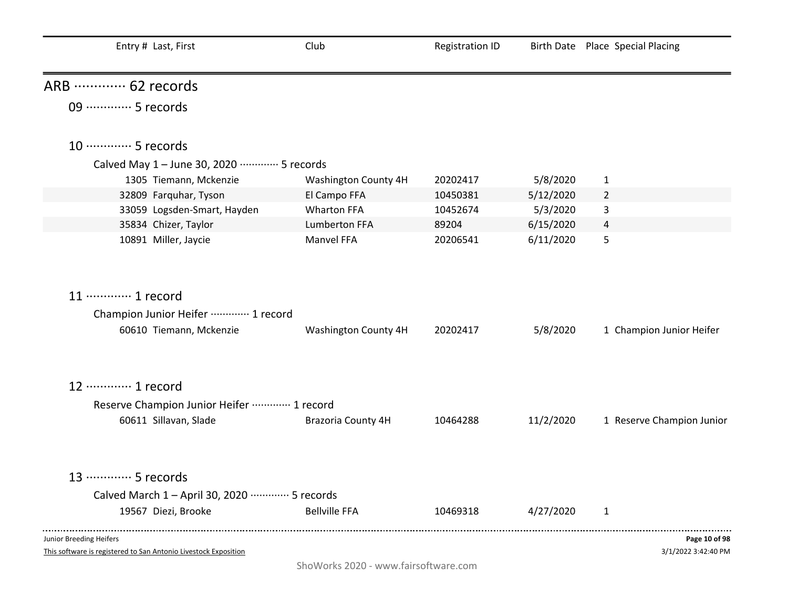| Entry # Last, First                                                                        | Club                                 | <b>Registration ID</b> |           | Birth Date Place Special Placing     |
|--------------------------------------------------------------------------------------------|--------------------------------------|------------------------|-----------|--------------------------------------|
| ARB  62 records                                                                            |                                      |                        |           |                                      |
| 09 ·············· 5 records                                                                |                                      |                        |           |                                      |
| 10 ············· 5 records                                                                 |                                      |                        |           |                                      |
| Calved May 1 - June 30, 2020 ………… 5 records                                                |                                      |                        |           |                                      |
| 1305 Tiemann, Mckenzie                                                                     | Washington County 4H                 | 20202417               | 5/8/2020  | $\mathbf{1}$                         |
| 32809 Farquhar, Tyson                                                                      | El Campo FFA                         | 10450381               | 5/12/2020 | $\overline{2}$                       |
| 33059 Logsden-Smart, Hayden                                                                | <b>Wharton FFA</b>                   | 10452674               | 5/3/2020  | 3                                    |
| 35834 Chizer, Taylor                                                                       | Lumberton FFA                        | 89204                  | 6/15/2020 | $\overline{4}$                       |
| 10891 Miller, Jaycie                                                                       | Manvel FFA                           | 20206541               | 6/11/2020 | 5                                    |
| 11 ………… 1 record                                                                           |                                      |                        |           |                                      |
| Champion Junior Heifer ………… 1 record                                                       |                                      |                        |           |                                      |
| 60610 Tiemann, Mckenzie                                                                    | Washington County 4H                 | 20202417               | 5/8/2020  | 1 Champion Junior Heifer             |
| 12 ………… 1 record                                                                           |                                      |                        |           |                                      |
| Reserve Champion Junior Heifer  1 record                                                   |                                      |                        |           |                                      |
| 60611 Sillavan, Slade                                                                      | Brazoria County 4H                   | 10464288               | 11/2/2020 | 1 Reserve Champion Junior            |
| 13 ………… 5 records                                                                          |                                      |                        |           |                                      |
| Calved March 1 - April 30, 2020 ·············· 5 records                                   |                                      |                        |           |                                      |
| 19567 Diezi, Brooke                                                                        | <b>Bellville FFA</b>                 | 10469318               | 4/27/2020 | $\mathbf{1}$                         |
| Junior Breeding Heifers<br>This software is registered to San Antonio Livestock Exposition |                                      |                        |           | Page 10 of 98<br>3/1/2022 3:42:40 PM |
|                                                                                            | ShoWorks 2020 - www.fairsoftware.com |                        |           |                                      |

j.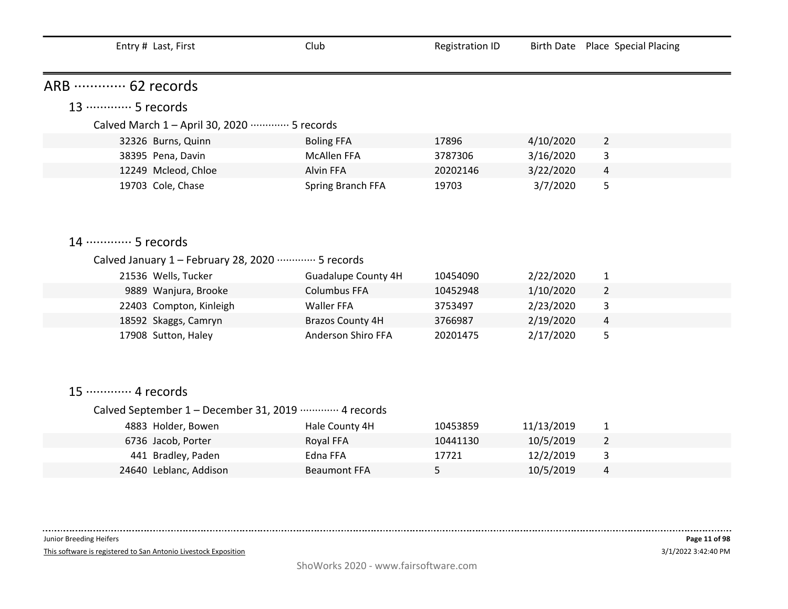| Entry # Last, First                                     | Club                       | <b>Registration ID</b> |           | Birth Date Place Special Placing |
|---------------------------------------------------------|----------------------------|------------------------|-----------|----------------------------------|
| ARB  62 records                                         |                            |                        |           |                                  |
| 13 ………… 5 records                                       |                            |                        |           |                                  |
| Calved March 1 - April 30, 2020 ············· 5 records |                            |                        |           |                                  |
| 32326 Burns, Quinn                                      | <b>Boling FFA</b>          | 17896                  | 4/10/2020 | $\overline{2}$                   |
| 38395 Pena, Davin                                       | <b>McAllen FFA</b>         | 3787306                | 3/16/2020 | 3                                |
| 12249 Mcleod, Chloe                                     | <b>Alvin FFA</b>           | 20202146               | 3/22/2020 | 4                                |
| 19703 Cole, Chase                                       | Spring Branch FFA          | 19703                  | 3/7/2020  | 5                                |
|                                                         |                            |                        |           |                                  |
|                                                         |                            |                        |           |                                  |
| 14 ………… 5 records                                       |                            |                        |           |                                  |
| Calved January 1 - February 28, 2020 ………… 5 records     |                            |                        |           |                                  |
| 21536 Wells, Tucker                                     | <b>Guadalupe County 4H</b> | 10454090               | 2/22/2020 | $\mathbf{1}$                     |
| 9889 Wanjura, Brooke                                    | <b>Columbus FFA</b>        | 10452948               | 1/10/2020 | $\overline{2}$                   |
| 22403 Compton, Kinleigh                                 | Waller FFA                 | 3753497                | 2/23/2020 | 3                                |
| 18592 Skaggs, Camryn                                    | <b>Brazos County 4H</b>    | 3766987                | 2/19/2020 | 4                                |
| 17908 Sutton, Haley                                     | Anderson Shiro FFA         | 20201475               | 2/17/2020 | 5                                |
|                                                         |                            |                        |           |                                  |
|                                                         |                            |                        |           |                                  |
|                                                         |                            |                        |           |                                  |
| 15 ············· 4 records                              |                            |                        |           |                                  |
| Calved September 1 - December 31, 2019 ………… 4 records   |                            |                        |           |                                  |

| 10/5/2019<br>10441130<br>6736 Jacob, Porter<br>Royal FFA   |  |
|------------------------------------------------------------|--|
| 12/2/2019<br>441 Bradley, Paden<br>Edna FFA<br>17721<br>ు  |  |
| 10/5/2019<br>24640 Leblanc, Addison<br><b>Beaumont FFA</b> |  |

Junior Breeding Heifers

--------------------

This software is registered to San Antonio Livestock Exposition

. . . . . .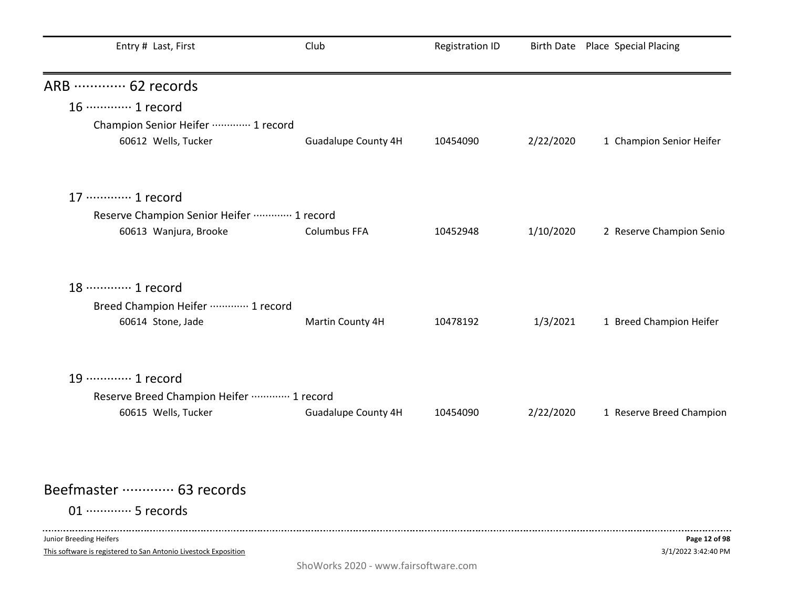| Entry # Last, First                      | Club                | <b>Registration ID</b> |           | Birth Date Place Special Placing |
|------------------------------------------|---------------------|------------------------|-----------|----------------------------------|
| ARB  62 records                          |                     |                        |           |                                  |
| 16 ············· 1 record                |                     |                        |           |                                  |
| Champion Senior Heifer  1 record         |                     |                        |           |                                  |
| 60612 Wells, Tucker                      | Guadalupe County 4H | 10454090               | 2/22/2020 | 1 Champion Senior Heifer         |
| 17 ············· 1 record                |                     |                        |           |                                  |
| Reserve Champion Senior Heifer  1 record |                     |                        |           |                                  |
| 60613 Wanjura, Brooke                    | <b>Columbus FFA</b> | 10452948               | 1/10/2020 | 2 Reserve Champion Senio         |
| 18 ………… 1 record                         |                     |                        |           |                                  |
| Breed Champion Heifer ………… 1 record      |                     |                        |           |                                  |
| 60614 Stone, Jade                        | Martin County 4H    | 10478192               | 1/3/2021  | 1 Breed Champion Heifer          |
| 19 ………… 1 record                         |                     |                        |           |                                  |
| Reserve Breed Champion Heifer  1 record  |                     |                        |           |                                  |
| 60615 Wells, Tucker                      | Guadalupe County 4H | 10454090               | 2/22/2020 | 1 Reserve Breed Champion         |
|                                          |                     |                        |           |                                  |
| Beefmaster ………… 63 records               |                     |                        |           |                                  |
| 01 ·············· 5 records              |                     |                        |           |                                  |
| Junior Breeding Heifers                  |                     |                        |           | Page 12 of 98                    |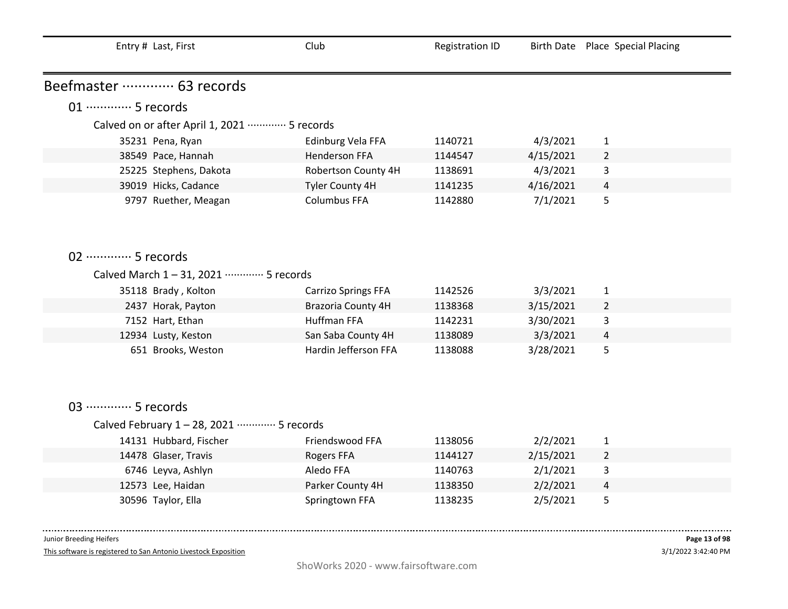|                            | Entry # Last, First                                       | Club                       | <b>Registration ID</b> |           | Birth Date Place Special Placing |  |
|----------------------------|-----------------------------------------------------------|----------------------------|------------------------|-----------|----------------------------------|--|
| Beefmaster ………… 63 records |                                                           |                            |                        |           |                                  |  |
|                            | 01 ·············· 5 records                               |                            |                        |           |                                  |  |
|                            | Calved on or after April 1, 2021 ·············· 5 records |                            |                        |           |                                  |  |
|                            | 35231 Pena, Ryan                                          | Edinburg Vela FFA          | 1140721                | 4/3/2021  | $\mathbf{1}$                     |  |
|                            | 38549 Pace, Hannah                                        | <b>Henderson FFA</b>       | 1144547                | 4/15/2021 | $\overline{2}$                   |  |
|                            | 25225 Stephens, Dakota                                    | Robertson County 4H        | 1138691                | 4/3/2021  | 3                                |  |
|                            | 39019 Hicks, Cadance                                      | Tyler County 4H            | 1141235                | 4/16/2021 | 4                                |  |
|                            | 9797 Ruether, Meagan                                      | <b>Columbus FFA</b>        | 1142880                | 7/1/2021  | 5                                |  |
|                            |                                                           |                            |                        |           |                                  |  |
|                            |                                                           |                            |                        |           |                                  |  |
|                            | 02 ············· 5 records                                |                            |                        |           |                                  |  |
|                            | Calved March 1-31, 2021 ………… 5 records                    |                            |                        |           |                                  |  |
|                            | 35118 Brady, Kolton                                       | <b>Carrizo Springs FFA</b> | 1142526                | 3/3/2021  | $\mathbf{1}$                     |  |
|                            | 2437 Horak, Payton                                        | <b>Brazoria County 4H</b>  | 1138368                | 3/15/2021 | $\overline{2}$                   |  |
|                            | 7152 Hart, Ethan                                          | Huffman FFA                | 1142231                | 3/30/2021 | 3                                |  |
|                            | 12934 Lusty, Keston                                       | San Saba County 4H         | 1138089                | 3/3/2021  | 4                                |  |
|                            | 651 Brooks, Weston                                        | Hardin Jefferson FFA       | 1138088                | 3/28/2021 | 5                                |  |
|                            |                                                           |                            |                        |           |                                  |  |
|                            |                                                           |                            |                        |           |                                  |  |
|                            | 03 ·············· 5 records                               |                            |                        |           |                                  |  |
|                            | Calved February 1-28, 2021 ………… 5 records                 |                            |                        |           |                                  |  |
|                            | 14131 Hubbard, Fischer                                    | Friendswood FFA            | 1138056                | 2/2/2021  | $\mathbf{1}$                     |  |
|                            | 14478 Glaser, Travis                                      | Rogers FFA                 | 1144127                | 2/15/2021 | $\overline{2}$                   |  |
|                            | 6746 Leyva, Ashlyn                                        | Aledo FFA                  | 1140763                | 2/1/2021  | 3                                |  |
|                            | 12573 Lee, Haidan                                         | Parker County 4H           | 1138350                | 2/2/2021  | 4                                |  |
|                            | 30596 Taylor, Ella                                        | Springtown FFA             | 1138235                | 2/5/2021  | 5                                |  |
|                            |                                                           |                            |                        |           |                                  |  |

 $- - - - - - -$ 

This software is registered to San Antonio Livestock Exposition

 $\sim 100$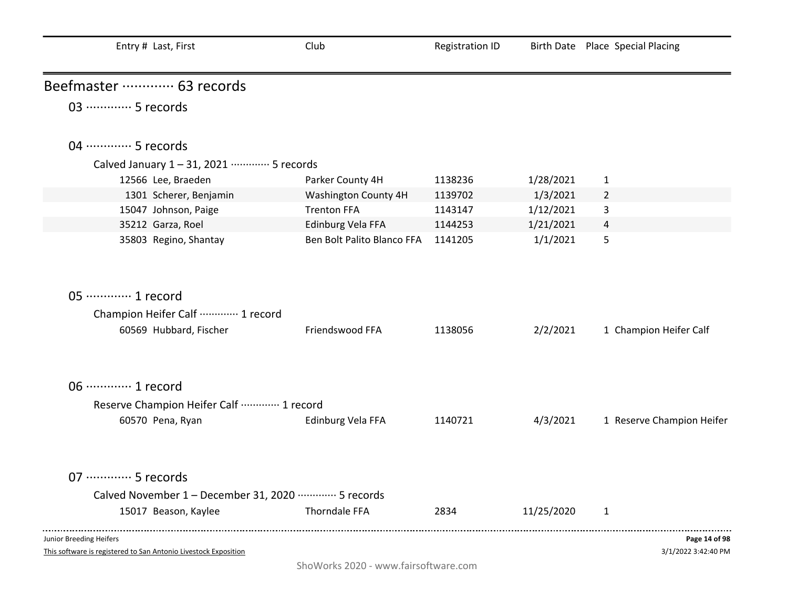| Entry # Last, First                                                                        | Club                       | <b>Registration ID</b> |            | Birth Date Place Special Placing     |
|--------------------------------------------------------------------------------------------|----------------------------|------------------------|------------|--------------------------------------|
| Beefmaster ………… 63 records                                                                 |                            |                        |            |                                      |
| 03 ·············· 5 records                                                                |                            |                        |            |                                      |
| 04 ………… 5 records                                                                          |                            |                        |            |                                      |
| Calved January 1-31, 2021 ………… 5 records                                                   |                            |                        |            |                                      |
| 12566 Lee, Braeden                                                                         | Parker County 4H           | 1138236                | 1/28/2021  | $\mathbf{1}$                         |
| 1301 Scherer, Benjamin                                                                     | Washington County 4H       | 1139702                | 1/3/2021   | $\overline{2}$                       |
| 15047 Johnson, Paige                                                                       | <b>Trenton FFA</b>         | 1143147                | 1/12/2021  | 3                                    |
| 35212 Garza, Roel                                                                          | Edinburg Vela FFA          | 1144253                | 1/21/2021  | 4                                    |
| 35803 Regino, Shantay                                                                      | Ben Bolt Palito Blanco FFA | 1141205                | 1/1/2021   | 5                                    |
| 05 ············· 1 record                                                                  |                            |                        |            |                                      |
| Champion Heifer Calf  1 record                                                             |                            |                        |            |                                      |
| 60569 Hubbard, Fischer                                                                     | Friendswood FFA            | 1138056                | 2/2/2021   | 1 Champion Heifer Calf               |
| 06 ············· 1 record                                                                  |                            |                        |            |                                      |
| Reserve Champion Heifer Calf  1 record                                                     |                            |                        |            |                                      |
| 60570 Pena, Ryan                                                                           | Edinburg Vela FFA          | 1140721                | 4/3/2021   | 1 Reserve Champion Heifer            |
| 07 ·············· 5 records                                                                |                            |                        |            |                                      |
| Calved November 1 - December 31, 2020 ………… 5 records                                       |                            |                        |            |                                      |
| 15017 Beason, Kaylee                                                                       | Thorndale FFA              | 2834                   | 11/25/2020 | $\mathbf{1}$                         |
| Junior Breeding Heifers<br>This software is registered to San Antonio Livestock Exposition |                            |                        |            | Page 14 of 98<br>3/1/2022 3:42:40 PM |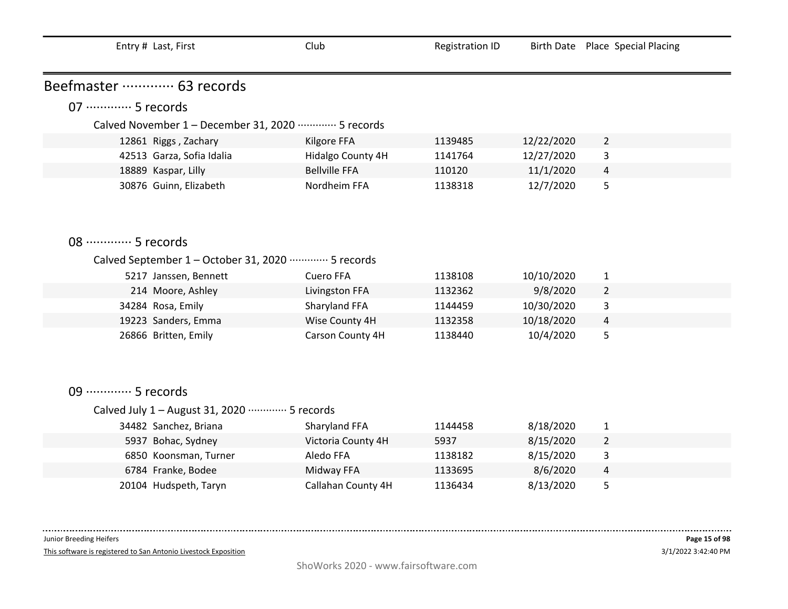| Entry # Last, First                            | Club                                                 | <b>Registration ID</b> |            | Birth Date Place Special Placing |  |  |
|------------------------------------------------|------------------------------------------------------|------------------------|------------|----------------------------------|--|--|
| Beefmaster ………… 63 records                     |                                                      |                        |            |                                  |  |  |
| 07 ·············· 5 records                    |                                                      |                        |            |                                  |  |  |
|                                                | Calved November 1 - December 31, 2020 ………… 5 records |                        |            |                                  |  |  |
| 12861 Riggs, Zachary                           | Kilgore FFA                                          | 1139485                | 12/22/2020 | $\overline{2}$                   |  |  |
| 42513 Garza, Sofia Idalia                      | Hidalgo County 4H                                    | 1141764                | 12/27/2020 | 3                                |  |  |
| 18889 Kaspar, Lilly                            | <b>Bellville FFA</b>                                 | 110120                 | 11/1/2020  | 4                                |  |  |
| 30876 Guinn, Elizabeth                         | Nordheim FFA                                         | 1138318                | 12/7/2020  | 5                                |  |  |
| 08 ·············· 5 records                    |                                                      |                        |            |                                  |  |  |
|                                                |                                                      |                        |            |                                  |  |  |
|                                                | Calved September 1 – October 31, 2020 ………… 5 records |                        |            |                                  |  |  |
| 5217 Janssen, Bennett                          | <b>Cuero FFA</b>                                     | 1138108                | 10/10/2020 | $\mathbf{1}$                     |  |  |
| 214 Moore, Ashley                              | Livingston FFA                                       | 1132362                | 9/8/2020   | $\overline{2}$                   |  |  |
| 34284 Rosa, Emily                              | Sharyland FFA                                        | 1144459                | 10/30/2020 | 3                                |  |  |
| 19223 Sanders, Emma                            | Wise County 4H                                       | 1132358                | 10/18/2020 | 4                                |  |  |
| 26866 Britten, Emily                           | Carson County 4H                                     | 1138440                | 10/4/2020  | 5                                |  |  |
| 09 ·············· 5 records                    |                                                      |                        |            |                                  |  |  |
| Calved July 1 - August 31, 2020 ………… 5 records |                                                      |                        |            |                                  |  |  |
| 34482 Sanchez, Briana                          | Sharyland FFA                                        | 1144458                | 8/18/2020  | $\mathbf{1}$                     |  |  |
| 5937 Bohac, Sydney                             | Victoria County 4H                                   | 5937                   | 8/15/2020  | $\overline{2}$                   |  |  |
| 6850 Koonsman, Turner                          | Aledo FFA                                            | 1138182                | 8/15/2020  | 3                                |  |  |
| 6784 Franke, Bodee                             | Midway FFA                                           | 1133695                | 8/6/2020   | 4                                |  |  |
| 20104 Hudspeth, Taryn                          | Callahan County 4H                                   | 1136434                | 8/13/2020  | 5                                |  |  |

 $\sim 100$ 

This software is registered to San Antonio Livestock Exposition

. . . .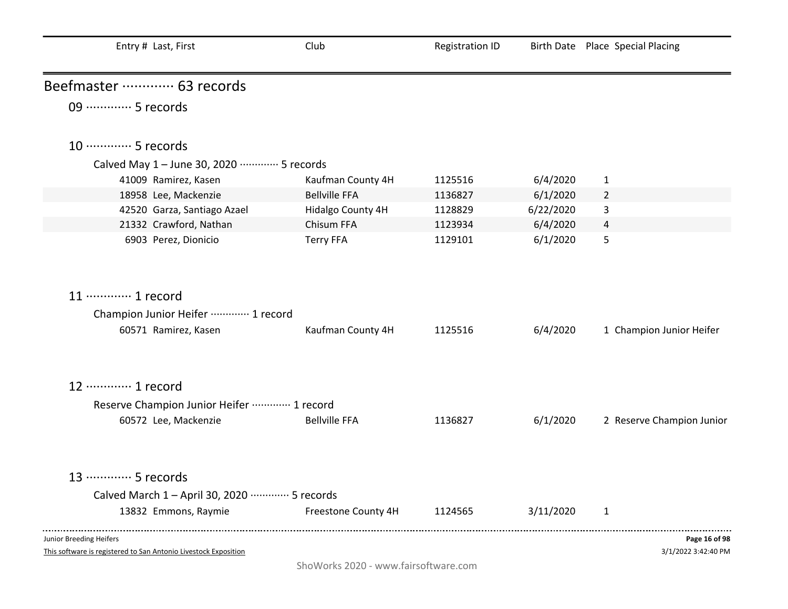| Entry # Last, First                                             | Club                                 | <b>Registration ID</b> |           | Birth Date Place Special Placing |
|-----------------------------------------------------------------|--------------------------------------|------------------------|-----------|----------------------------------|
| Beefmaster ………… 63 records                                      |                                      |                        |           |                                  |
| 09 ·············· 5 records                                     |                                      |                        |           |                                  |
| 10 ·············· 5 records                                     |                                      |                        |           |                                  |
| Calved May 1 - June 30, 2020 ………… 5 records                     |                                      |                        |           |                                  |
| 41009 Ramirez, Kasen                                            | Kaufman County 4H                    | 1125516                | 6/4/2020  | $\mathbf{1}$                     |
| 18958 Lee, Mackenzie                                            | <b>Bellville FFA</b>                 | 1136827                | 6/1/2020  | $\overline{2}$                   |
| 42520 Garza, Santiago Azael                                     | Hidalgo County 4H                    | 1128829                | 6/22/2020 | 3                                |
| 21332 Crawford, Nathan                                          | Chisum FFA                           | 1123934                | 6/4/2020  | 4                                |
| 6903 Perez, Dionicio                                            | <b>Terry FFA</b>                     | 1129101                | 6/1/2020  | 5                                |
| 11 ………… 1 record                                                |                                      |                        |           |                                  |
| Champion Junior Heifer  1 record                                |                                      |                        |           |                                  |
| 60571 Ramirez, Kasen                                            | Kaufman County 4H                    | 1125516                | 6/4/2020  | 1 Champion Junior Heifer         |
| 12 ………… 1 record                                                |                                      |                        |           |                                  |
| Reserve Champion Junior Heifer  1 record                        |                                      |                        |           |                                  |
| 60572 Lee, Mackenzie                                            | <b>Bellville FFA</b>                 | 1136827                | 6/1/2020  | 2 Reserve Champion Junior        |
| 13 ………… 5 records                                               |                                      |                        |           |                                  |
| Calved March 1 - April 30, 2020 ………… 5 records                  |                                      |                        |           |                                  |
| 13832 Emmons, Raymie                                            | Freestone County 4H                  | 1124565                | 3/11/2020 | 1                                |
| Junior Breeding Heifers                                         |                                      |                        |           | Page 16 of 98                    |
| This software is registered to San Antonio Livestock Exposition |                                      |                        |           | 3/1/2022 3:42:40 PM              |
|                                                                 | ShoWorks 2020 - www.fairsoftware.com |                        |           |                                  |

÷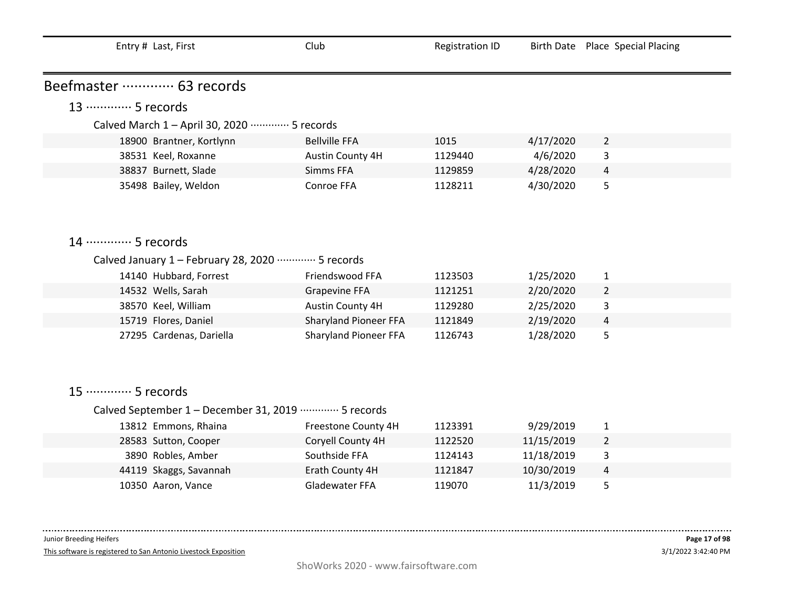| Entry # Last, First                                      | Club                         | <b>Registration ID</b> |            | Birth Date Place Special Placing |
|----------------------------------------------------------|------------------------------|------------------------|------------|----------------------------------|
|                                                          |                              |                        |            |                                  |
| Beefmaster ………… 63 records                               |                              |                        |            |                                  |
| 13 ………… 5 records                                        |                              |                        |            |                                  |
| Calved March 1 - April 30, 2020 ·············· 5 records |                              |                        |            |                                  |
| 18900 Brantner, Kortlynn                                 | <b>Bellville FFA</b>         | 1015                   | 4/17/2020  | $\overline{2}$                   |
| 38531 Keel, Roxanne                                      | Austin County 4H             | 1129440                | 4/6/2020   | 3                                |
| 38837 Burnett, Slade                                     | Simms FFA                    | 1129859                | 4/28/2020  | $\overline{4}$                   |
| 35498 Bailey, Weldon                                     | Conroe FFA                   | 1128211                | 4/30/2020  | 5                                |
|                                                          |                              |                        |            |                                  |
|                                                          |                              |                        |            |                                  |
|                                                          |                              |                        |            |                                  |
| 14 ………… 5 records                                        |                              |                        |            |                                  |
| Calved January 1 - February 28, 2020 ………… 5 records      |                              |                        |            |                                  |
| 14140 Hubbard, Forrest                                   | Friendswood FFA              | 1123503                | 1/25/2020  | $\mathbf{1}$                     |
| 14532 Wells, Sarah                                       | <b>Grapevine FFA</b>         | 1121251                | 2/20/2020  | $\overline{2}$                   |
| 38570 Keel, William                                      | Austin County 4H             | 1129280                | 2/25/2020  | 3                                |
| 15719 Flores, Daniel                                     | <b>Sharyland Pioneer FFA</b> | 1121849                | 2/19/2020  | 4                                |
| 27295 Cardenas, Dariella                                 | <b>Sharyland Pioneer FFA</b> | 1126743                | 1/28/2020  | 5                                |
|                                                          |                              |                        |            |                                  |
|                                                          |                              |                        |            |                                  |
|                                                          |                              |                        |            |                                  |
| 15 ············· 5 records                               |                              |                        |            |                                  |
| Calved September 1 - December 31, 2019 ………… 5 records    |                              |                        |            |                                  |
| 13812 Emmons, Rhaina                                     | Freestone County 4H          | 1123391                | 9/29/2019  | $\mathbf{1}$                     |
| 28583 Sutton, Cooper                                     | Coryell County 4H            | 1122520                | 11/15/2019 | $\overline{2}$                   |
| 3890 Robles, Amber                                       | Southside FFA                | 1124143                | 11/18/2019 | 3                                |
| 44119 Skaggs, Savannah                                   | Erath County 4H              | 1121847                | 10/30/2019 | 4                                |
| 10350 Aaron, Vance                                       | <b>Gladewater FFA</b>        | 119070                 | 11/3/2019  | 5                                |

This software is registered to San Antonio Livestock Exposition

. . . . .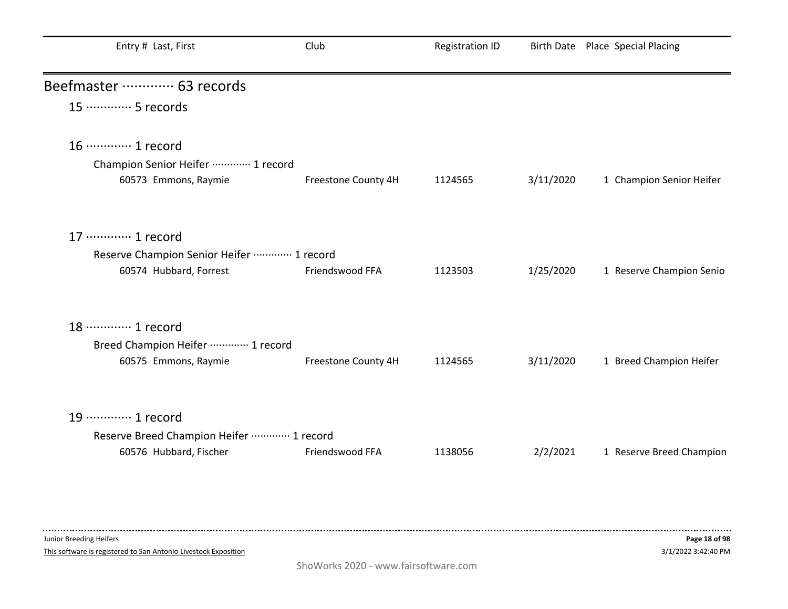| Entry # Last, First                                      | Club                | <b>Registration ID</b> |           | Birth Date Place Special Placing |
|----------------------------------------------------------|---------------------|------------------------|-----------|----------------------------------|
| Beefmaster ………… 63 records                               |                     |                        |           |                                  |
| 15 ………… 5 records                                        |                     |                        |           |                                  |
| 16 ············· 1 record                                |                     |                        |           |                                  |
| Champion Senior Heifer  1 record<br>60573 Emmons, Raymie | Freestone County 4H | 1124565                | 3/11/2020 | 1 Champion Senior Heifer         |
| 17 ………… 1 record                                         |                     |                        |           |                                  |
| Reserve Champion Senior Heifer  1 record                 |                     |                        |           |                                  |
| 60574 Hubbard, Forrest                                   | Friendswood FFA     | 1123503                | 1/25/2020 | 1 Reserve Champion Senio         |
| 18 ………… 1 record                                         |                     |                        |           |                                  |
| Breed Champion Heifer ………… 1 record                      |                     |                        |           |                                  |
| 60575 Emmons, Raymie                                     | Freestone County 4H | 1124565                | 3/11/2020 | 1 Breed Champion Heifer          |
| 19 ············· 1 record                                |                     |                        |           |                                  |
| Reserve Breed Champion Heifer  1 record                  |                     |                        |           |                                  |
| 60576 Hubbard, Fischer                                   | Friendswood FFA     | 1138056                | 2/2/2021  | 1 Reserve Breed Champion         |
|                                                          |                     |                        |           |                                  |

This software is registered to San Antonio Livestock Exposition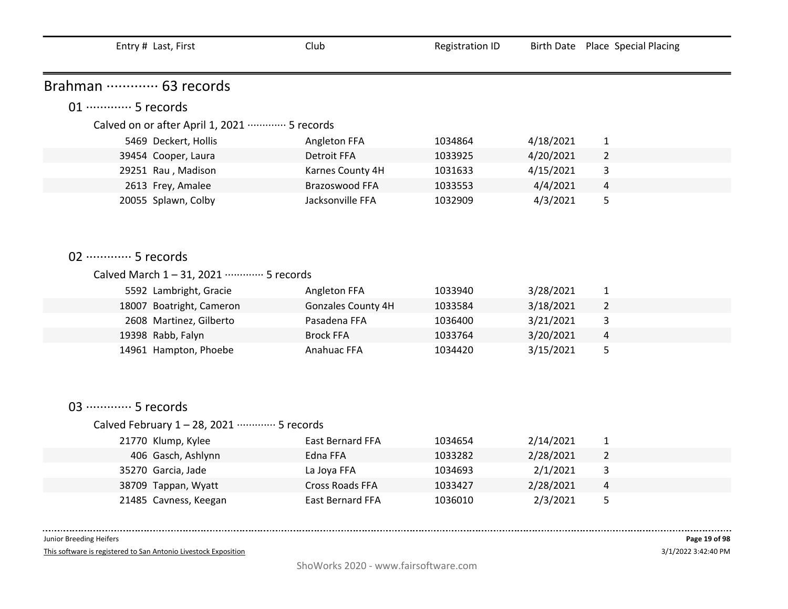| Entry # Last, First                                       | Club                    | <b>Registration ID</b> |           | Birth Date Place Special Placing |
|-----------------------------------------------------------|-------------------------|------------------------|-----------|----------------------------------|
| Brahman  63 records                                       |                         |                        |           |                                  |
| 01 ·············· 5 records                               |                         |                        |           |                                  |
| Calved on or after April 1, 2021 ·············· 5 records |                         |                        |           |                                  |
| 5469 Deckert, Hollis                                      | Angleton FFA            | 1034864                | 4/18/2021 | $\mathbf{1}$                     |
| 39454 Cooper, Laura                                       | <b>Detroit FFA</b>      | 1033925                | 4/20/2021 | $\overline{2}$                   |
| 29251 Rau, Madison                                        | Karnes County 4H        | 1031633                | 4/15/2021 | 3                                |
| 2613 Frey, Amalee                                         | Brazoswood FFA          | 1033553                | 4/4/2021  | 4                                |
| 20055 Splawn, Colby                                       | Jacksonville FFA        | 1032909                | 4/3/2021  | 5                                |
|                                                           |                         |                        |           |                                  |
|                                                           |                         |                        |           |                                  |
|                                                           |                         |                        |           |                                  |
| 02 ·············· 5 records                               |                         |                        |           |                                  |
| Calved March 1-31, 2021 ………… 5 records                    |                         |                        |           |                                  |
| 5592 Lambright, Gracie                                    | Angleton FFA            | 1033940                | 3/28/2021 | $\mathbf{1}$                     |
| 18007 Boatright, Cameron                                  | Gonzales County 4H      | 1033584                | 3/18/2021 | $\overline{2}$                   |
| 2608 Martinez, Gilberto                                   | Pasadena FFA            | 1036400                | 3/21/2021 | 3                                |
| 19398 Rabb, Falyn                                         | <b>Brock FFA</b>        | 1033764                | 3/20/2021 | $\overline{a}$                   |
| 14961 Hampton, Phoebe                                     | Anahuac FFA             | 1034420                | 3/15/2021 | 5                                |
|                                                           |                         |                        |           |                                  |
|                                                           |                         |                        |           |                                  |
|                                                           |                         |                        |           |                                  |
| 03 ·············· 5 records                               |                         |                        |           |                                  |
| Calved February 1-28, 2021 ………… 5 records                 |                         |                        |           |                                  |
| 21770 Klump, Kylee                                        | East Bernard FFA        | 1034654                | 2/14/2021 | $\mathbf{1}$                     |
| 406 Gasch, Ashlynn                                        | Edna FFA                | 1033282                | 2/28/2021 | $\overline{2}$                   |
| 35270 Garcia, Jade                                        | La Joya FFA             | 1034693                | 2/1/2021  | 3                                |
| 38709 Tappan, Wyatt                                       | <b>Cross Roads FFA</b>  | 1033427                | 2/28/2021 | 4                                |
| 21485 Cavness, Keegan                                     | <b>East Bernard FFA</b> | 1036010                | 2/3/2021  | 5                                |

This software is registered to San Antonio Livestock Exposition

3/1/2022 3:42:40 PM **Page 19 of 98**

. . . . . .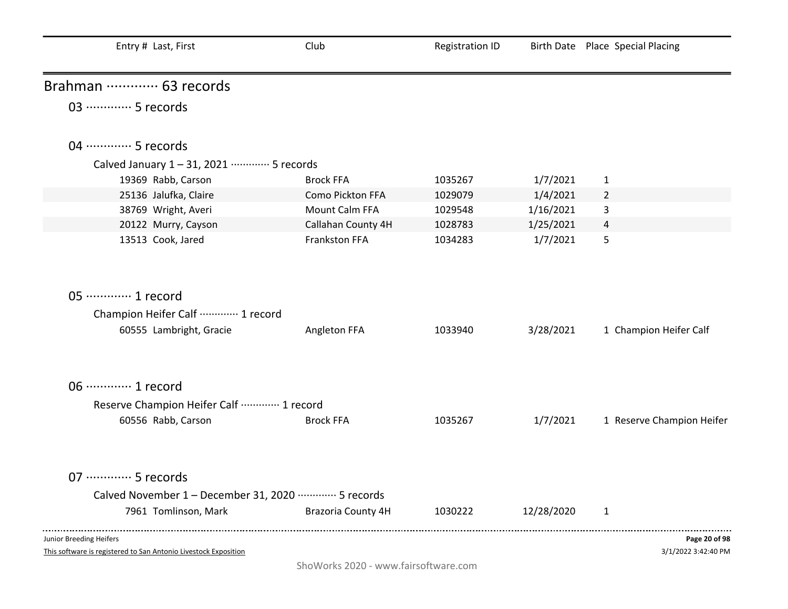| Entry # Last, First                                                                               | Club                      | <b>Registration ID</b> |            | Birth Date Place Special Placing     |
|---------------------------------------------------------------------------------------------------|---------------------------|------------------------|------------|--------------------------------------|
| Brahman  63 records                                                                               |                           |                        |            |                                      |
| 03 ·············· 5 records                                                                       |                           |                        |            |                                      |
| 04 ………… 5 records                                                                                 |                           |                        |            |                                      |
| Calved January 1-31, 2021 ………… 5 records                                                          |                           |                        |            |                                      |
| 19369 Rabb, Carson                                                                                | <b>Brock FFA</b>          | 1035267                | 1/7/2021   | $\mathbf{1}$                         |
| 25136 Jalufka, Claire                                                                             | Como Pickton FFA          | 1029079                | 1/4/2021   | $\overline{2}$                       |
| 38769 Wright, Averi                                                                               | Mount Calm FFA            | 1029548                | 1/16/2021  | 3                                    |
| 20122 Murry, Cayson                                                                               | Callahan County 4H        | 1028783                | 1/25/2021  | $\overline{4}$                       |
| 13513 Cook, Jared                                                                                 | Frankston FFA             | 1034283                | 1/7/2021   | 5                                    |
| 05 ·············· 1 record                                                                        |                           |                        |            |                                      |
| Champion Heifer Calf  1 record                                                                    |                           |                        |            |                                      |
| 60555 Lambright, Gracie                                                                           | Angleton FFA              | 1033940                | 3/28/2021  | 1 Champion Heifer Calf               |
| 06 ·············· 1 record                                                                        |                           |                        |            |                                      |
| Reserve Champion Heifer Calf  1 record                                                            |                           |                        |            |                                      |
| 60556 Rabb, Carson                                                                                | <b>Brock FFA</b>          | 1035267                | 1/7/2021   | 1 Reserve Champion Heifer            |
| 07 ·············· 5 records                                                                       |                           |                        |            |                                      |
| Calved November 1 - December 31, 2020 ………… 5 records                                              |                           |                        |            |                                      |
| 7961 Tomlinson, Mark                                                                              | <b>Brazoria County 4H</b> | 1030222                | 12/28/2020 | $\mathbf{1}$                         |
| <b>Junior Breeding Heifers</b><br>This software is registered to San Antonio Livestock Exposition |                           |                        |            | Page 20 of 98<br>3/1/2022 3:42:40 PM |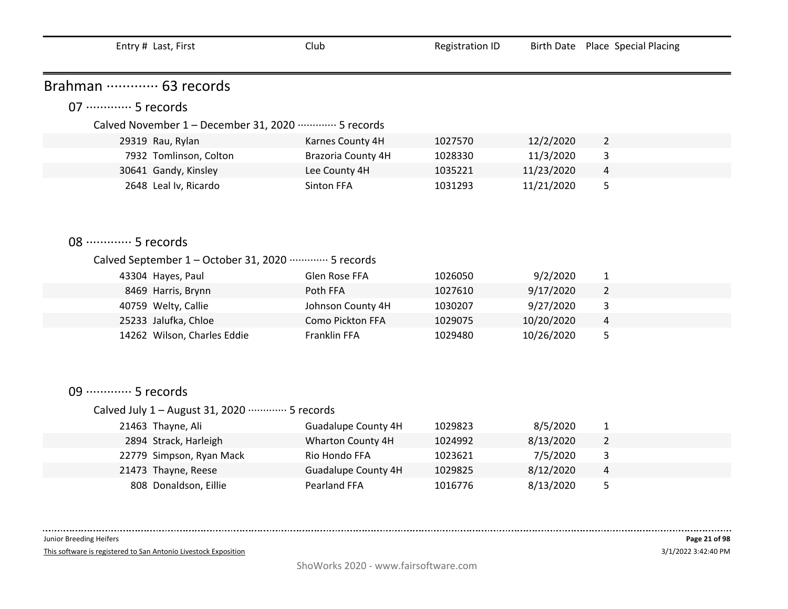| Entry # Last, First                                  | Club                       | <b>Registration ID</b> |            | Birth Date Place Special Placing |
|------------------------------------------------------|----------------------------|------------------------|------------|----------------------------------|
| Brahman  63 records                                  |                            |                        |            |                                  |
| 07 ·············· 5 records                          |                            |                        |            |                                  |
|                                                      |                            |                        |            |                                  |
| Calved November 1 - December 31, 2020 ………… 5 records |                            |                        |            |                                  |
| 29319 Rau, Rylan                                     | Karnes County 4H           | 1027570                | 12/2/2020  | $\overline{2}$                   |
| 7932 Tomlinson, Colton                               | <b>Brazoria County 4H</b>  | 1028330                | 11/3/2020  | 3                                |
| 30641 Gandy, Kinsley                                 | Lee County 4H              | 1035221                | 11/23/2020 | 4                                |
| 2648 Leal Iv, Ricardo                                | Sinton FFA                 | 1031293                | 11/21/2020 | 5                                |
|                                                      |                            |                        |            |                                  |
| 08 ············· 5 records                           |                            |                        |            |                                  |
| Calved September 1 – October 31, 2020 ………… 5 records |                            |                        |            |                                  |
| 43304 Hayes, Paul                                    | Glen Rose FFA              | 1026050                | 9/2/2020   | $\mathbf{1}$                     |
| 8469 Harris, Brynn                                   | Poth FFA                   | 1027610                | 9/17/2020  | $\overline{2}$                   |
| 40759 Welty, Callie                                  | Johnson County 4H          | 1030207                | 9/27/2020  | 3                                |
| 25233 Jalufka, Chloe                                 | Como Pickton FFA           | 1029075                | 10/20/2020 | 4                                |
| 14262 Wilson, Charles Eddie                          | Franklin FFA               | 1029480                | 10/26/2020 | 5                                |
|                                                      |                            |                        |            |                                  |
|                                                      |                            |                        |            |                                  |
| 09 ·············· 5 records                          |                            |                        |            |                                  |
| Calved July 1 - August 31, 2020 ………… 5 records       |                            |                        |            |                                  |
| 21463 Thayne, Ali                                    | <b>Guadalupe County 4H</b> | 1029823                | 8/5/2020   | $\mathbf{1}$                     |
| 2894 Strack, Harleigh                                | Wharton County 4H          | 1024992                | 8/13/2020  | $\overline{2}$                   |
| 22779 Simpson, Ryan Mack                             | Rio Hondo FFA              | 1023621                | 7/5/2020   | 3                                |
| 21473 Thayne, Reese                                  | <b>Guadalupe County 4H</b> | 1029825                | 8/12/2020  | 4                                |
| 808 Donaldson, Eillie                                | Pearland FFA               | 1016776                | 8/13/2020  | 5                                |

This software is registered to San Antonio Livestock Exposition

 $\sim 100$  and  $\sim 100$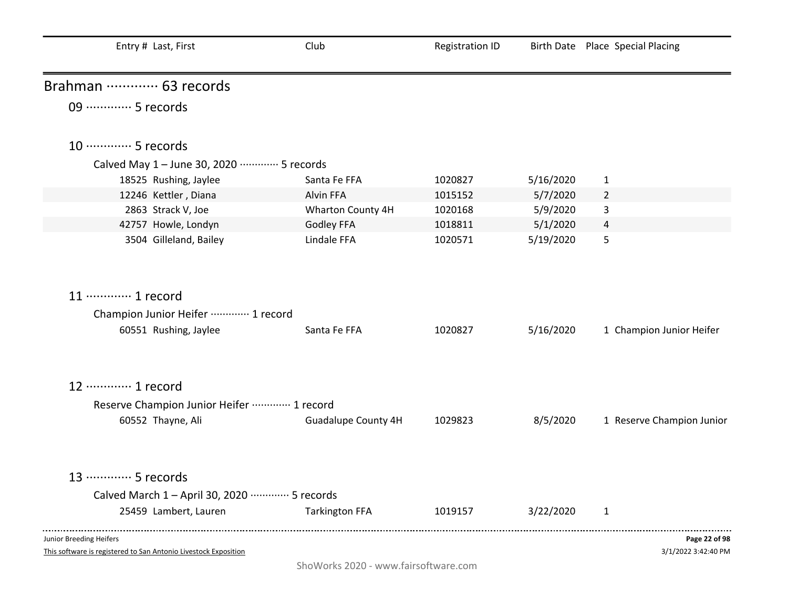| Entry # Last, First                                                                        | Club                       | <b>Registration ID</b> |           | Birth Date Place Special Placing     |
|--------------------------------------------------------------------------------------------|----------------------------|------------------------|-----------|--------------------------------------|
| Brahman  63 records                                                                        |                            |                        |           |                                      |
| 09 ·············· 5 records                                                                |                            |                        |           |                                      |
| 10 ············· 5 records                                                                 |                            |                        |           |                                      |
| Calved May 1 - June 30, 2020 ………… 5 records                                                |                            |                        |           |                                      |
| 18525 Rushing, Jaylee                                                                      | Santa Fe FFA               | 1020827                | 5/16/2020 | $\mathbf{1}$                         |
| 12246 Kettler, Diana                                                                       | Alvin FFA                  | 1015152                | 5/7/2020  | 2                                    |
| 2863 Strack V, Joe                                                                         | Wharton County 4H          | 1020168                | 5/9/2020  | 3                                    |
| 42757 Howle, Londyn                                                                        | <b>Godley FFA</b>          | 1018811                | 5/1/2020  | 4                                    |
| 3504 Gilleland, Bailey                                                                     | Lindale FFA                | 1020571                | 5/19/2020 | 5                                    |
| 11 ………… 1 record                                                                           |                            |                        |           |                                      |
| Champion Junior Heifer ………… 1 record                                                       |                            |                        |           |                                      |
| 60551 Rushing, Jaylee                                                                      | Santa Fe FFA               | 1020827                | 5/16/2020 | 1 Champion Junior Heifer             |
| 12 ………… 1 record                                                                           |                            |                        |           |                                      |
| Reserve Champion Junior Heifer  1 record                                                   |                            |                        |           |                                      |
| 60552 Thayne, Ali                                                                          | <b>Guadalupe County 4H</b> | 1029823                | 8/5/2020  | 1 Reserve Champion Junior            |
| 13 ………… 5 records                                                                          |                            |                        |           |                                      |
| Calved March 1 - April 30, 2020 ………… 5 records                                             |                            |                        |           |                                      |
| 25459 Lambert, Lauren                                                                      | <b>Tarkington FFA</b>      | 1019157                | 3/22/2020 | $\mathbf{1}$                         |
| Junior Breeding Heifers<br>This software is registered to San Antonio Livestock Exposition |                            |                        |           | Page 22 of 98<br>3/1/2022 3:42:40 PM |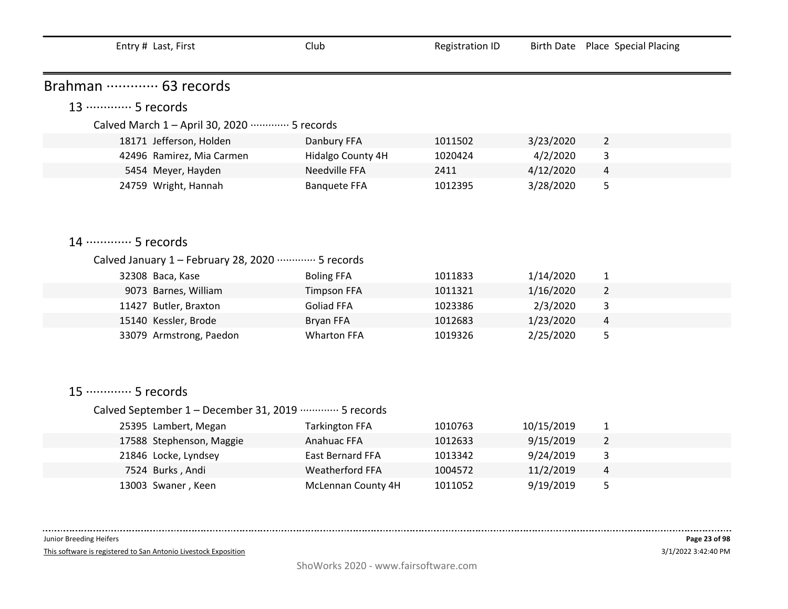| Entry # Last, First                                   | Club                  | <b>Registration ID</b> |            | Birth Date Place Special Placing |  |  |
|-------------------------------------------------------|-----------------------|------------------------|------------|----------------------------------|--|--|
| Brahman  63 records                                   |                       |                        |            |                                  |  |  |
| 13 ·············· 5 records                           |                       |                        |            |                                  |  |  |
|                                                       |                       |                        |            |                                  |  |  |
| Calved March 1 - April 30, 2020 ………… 5 records        |                       |                        |            |                                  |  |  |
| 18171 Jefferson, Holden                               | Danbury FFA           | 1011502                | 3/23/2020  | $\overline{2}$                   |  |  |
| 42496 Ramirez, Mia Carmen                             | Hidalgo County 4H     | 1020424                | 4/2/2020   | 3                                |  |  |
| 5454 Meyer, Hayden                                    | Needville FFA         | 2411                   | 4/12/2020  | 4                                |  |  |
| 24759 Wright, Hannah                                  | <b>Banquete FFA</b>   | 1012395                | 3/28/2020  | 5                                |  |  |
|                                                       |                       |                        |            |                                  |  |  |
| 14 ………… 5 records                                     |                       |                        |            |                                  |  |  |
| Calved January 1 - February 28, 2020 ………… 5 records   |                       |                        |            |                                  |  |  |
| 32308 Baca, Kase                                      | <b>Boling FFA</b>     | 1011833                | 1/14/2020  | $\mathbf{1}$                     |  |  |
| 9073 Barnes, William                                  | <b>Timpson FFA</b>    | 1011321                | 1/16/2020  | $\overline{2}$                   |  |  |
| 11427 Butler, Braxton                                 | <b>Goliad FFA</b>     | 1023386                | 2/3/2020   | 3                                |  |  |
| 15140 Kessler, Brode                                  | Bryan FFA             | 1012683                | 1/23/2020  | 4                                |  |  |
| 33079 Armstrong, Paedon                               | <b>Wharton FFA</b>    | 1019326                | 2/25/2020  | 5                                |  |  |
|                                                       |                       |                        |            |                                  |  |  |
|                                                       |                       |                        |            |                                  |  |  |
|                                                       |                       |                        |            |                                  |  |  |
| 15 ·············· 5 records                           |                       |                        |            |                                  |  |  |
| Calved September 1 - December 31, 2019 ………… 5 records |                       |                        |            |                                  |  |  |
| 25395 Lambert, Megan                                  | <b>Tarkington FFA</b> | 1010763                | 10/15/2019 | $\mathbf{1}$                     |  |  |
| 17588 Stephenson, Maggie                              | Anahuac FFA           | 1012633                | 9/15/2019  | $\overline{2}$                   |  |  |
| 21846 Locke, Lyndsey                                  | East Bernard FFA      | 1013342                | 9/24/2019  | 3                                |  |  |
| 7524 Burks, Andi                                      | Weatherford FFA       | 1004572                | 11/2/2019  | $\overline{a}$                   |  |  |
| 13003 Swaner, Keen                                    | McLennan County 4H    | 1011052                | 9/19/2019  | 5                                |  |  |

This software is registered to San Antonio Livestock Exposition

 $\sim 100$  and  $\sim 100$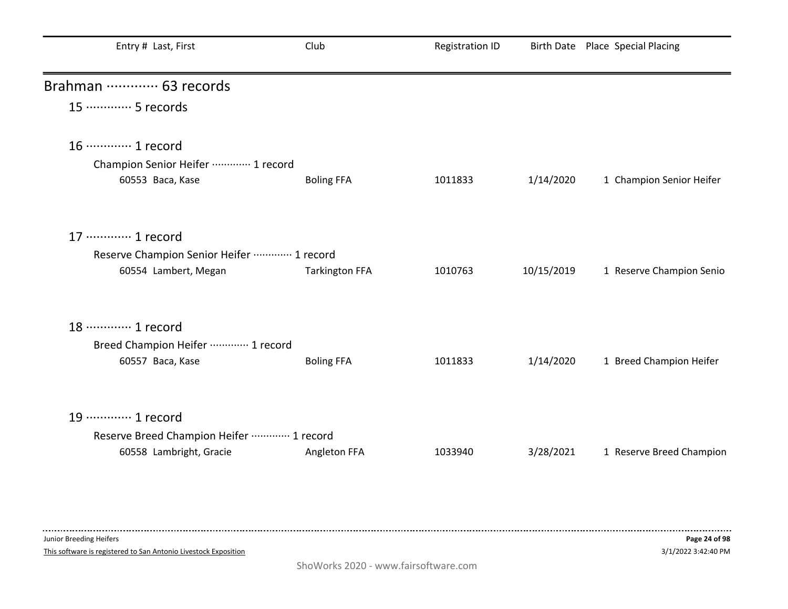| Entry # Last, First                                                                               | Club                  | <b>Registration ID</b> |            | Birth Date Place Special Placing |
|---------------------------------------------------------------------------------------------------|-----------------------|------------------------|------------|----------------------------------|
| Brahman  63 records                                                                               |                       |                        |            |                                  |
| 15 ·············· 5 records                                                                       |                       |                        |            |                                  |
| 16 ············· 1 record<br>Champion Senior Heifer  1 record<br>60553 Baca, Kase                 | <b>Boling FFA</b>     | 1011833                | 1/14/2020  | 1 Champion Senior Heifer         |
| 17 ············· 1 record<br>Reserve Champion Senior Heifer ………… 1 record<br>60554 Lambert, Megan | <b>Tarkington FFA</b> | 1010763                | 10/15/2019 | 1 Reserve Champion Senio         |
| 18 ………… 1 record<br>Breed Champion Heifer ………… 1 record<br>60557 Baca, Kase                       | <b>Boling FFA</b>     | 1011833                | 1/14/2020  | 1 Breed Champion Heifer          |
| 19 ………… 1 record<br>Reserve Breed Champion Heifer  1 record<br>60558 Lambright, Gracie            | Angleton FFA          | 1033940                | 3/28/2021  | 1 Reserve Breed Champion         |

This software is registered to San Antonio Livestock Exposition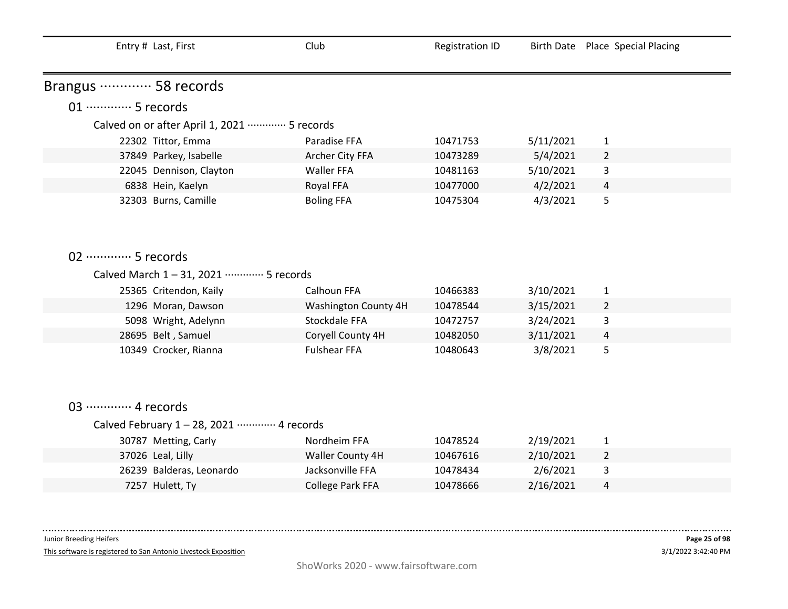| Entry # Last, First                         | Club                 | <b>Registration ID</b> |           | Birth Date Place Special Placing |
|---------------------------------------------|----------------------|------------------------|-----------|----------------------------------|
| Brangus ………… 58 records                     |                      |                        |           |                                  |
| 01 ·············· 5 records                 |                      |                        |           |                                  |
| Calved on or after April 1, 2021  5 records |                      |                        |           |                                  |
| 22302 Tittor, Emma                          | Paradise FFA         | 10471753               | 5/11/2021 | $\mathbf{1}$                     |
| 37849 Parkey, Isabelle                      | Archer City FFA      | 10473289               | 5/4/2021  | $\overline{2}$                   |
| 22045 Dennison, Clayton                     | Waller FFA           | 10481163               | 5/10/2021 | 3                                |
| 6838 Hein, Kaelyn                           | Royal FFA            | 10477000               | 4/2/2021  | 4                                |
| 32303 Burns, Camille                        | <b>Boling FFA</b>    | 10475304               | 4/3/2021  | 5                                |
|                                             |                      |                        |           |                                  |
|                                             |                      |                        |           |                                  |
|                                             |                      |                        |           |                                  |
| 02 ·············· 5 records                 |                      |                        |           |                                  |
| Calved March 1-31, 2021 ………… 5 records      |                      |                        |           |                                  |
| 25365 Critendon, Kaily                      | Calhoun FFA          | 10466383               | 3/10/2021 | $\mathbf{1}$                     |
| 1296 Moran, Dawson                          | Washington County 4H | 10478544               | 3/15/2021 | $\overline{2}$                   |
| 5098 Wright, Adelynn                        | Stockdale FFA        | 10472757               | 3/24/2021 | 3                                |
| 28695 Belt, Samuel                          | Coryell County 4H    | 10482050               | 3/11/2021 | 4                                |
| 10349 Crocker, Rianna                       | <b>Fulshear FFA</b>  | 10480643               | 3/8/2021  | 5                                |
|                                             |                      |                        |           |                                  |
|                                             |                      |                        |           |                                  |
|                                             |                      |                        |           |                                  |
| 03 ············· 4 records                  |                      |                        |           |                                  |
| Calved February 1 - 28, 2021 ………… 4 records |                      |                        |           |                                  |
| 30787 Metting, Carly                        | Nordheim FFA         | 10478524               | 2/19/2021 | $\mathbf{1}$                     |
| 37026 Leal, Lilly                           | Waller County 4H     | 10467616               | 2/10/2021 | $\overline{2}$                   |
| 26239 Balderas, Leonardo                    | Jacksonville FFA     | 10478434               | 2/6/2021  | 3                                |
| 7257 Hulett, Ty                             | College Park FFA     | 10478666               | 2/16/2021 | 4                                |

------------------------------Junior Breeding Heifers

This software is registered to San Antonio Livestock Exposition

. . . . .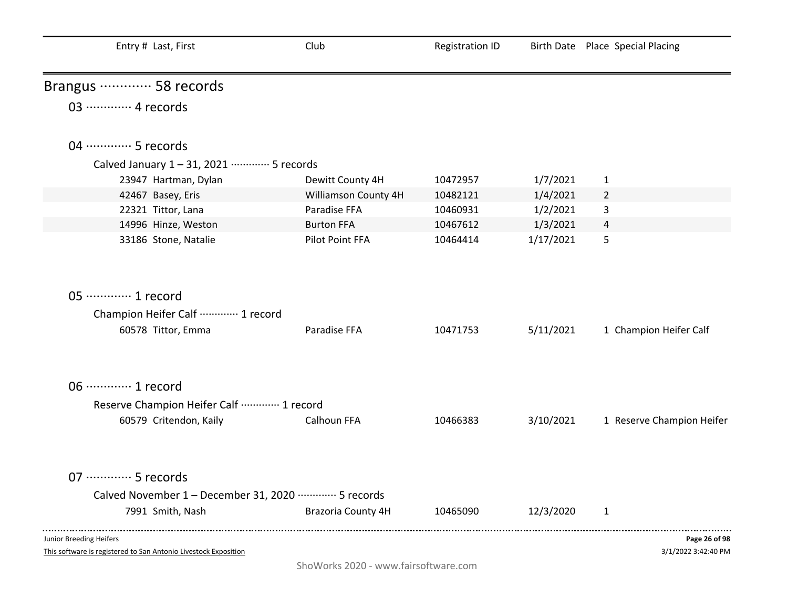| Entry # Last, First                                                                        | Club                 | <b>Registration ID</b> |           | Birth Date Place Special Placing     |
|--------------------------------------------------------------------------------------------|----------------------|------------------------|-----------|--------------------------------------|
| Brangus ………… 58 records                                                                    |                      |                        |           |                                      |
| 03 ············· 4 records                                                                 |                      |                        |           |                                      |
| 04 ………… 5 records                                                                          |                      |                        |           |                                      |
| Calved January 1-31, 2021 ………… 5 records                                                   |                      |                        |           |                                      |
| 23947 Hartman, Dylan                                                                       | Dewitt County 4H     | 10472957               | 1/7/2021  | $\mathbf{1}$                         |
| 42467 Basey, Eris                                                                          | Williamson County 4H | 10482121               | 1/4/2021  | $\overline{2}$                       |
| 22321 Tittor, Lana                                                                         | Paradise FFA         | 10460931               | 1/2/2021  | 3                                    |
| 14996 Hinze, Weston                                                                        | <b>Burton FFA</b>    | 10467612               | 1/3/2021  | 4                                    |
| 33186 Stone, Natalie                                                                       | Pilot Point FFA      | 10464414               | 1/17/2021 | 5                                    |
| 05 ·············· 1 record<br>Champion Heifer Calf  1 record                               |                      |                        |           |                                      |
| 60578 Tittor, Emma                                                                         | Paradise FFA         | 10471753               | 5/11/2021 | 1 Champion Heifer Calf               |
| 06 ············· 1 record                                                                  |                      |                        |           |                                      |
| Reserve Champion Heifer Calf  1 record                                                     |                      |                        |           |                                      |
| 60579 Critendon, Kaily                                                                     | Calhoun FFA          | 10466383               | 3/10/2021 | 1 Reserve Champion Heifer            |
| 07 ·············· 5 records                                                                |                      |                        |           |                                      |
| Calved November 1 - December 31, 2020 ………… 5 records                                       |                      |                        |           |                                      |
| 7991 Smith, Nash                                                                           | Brazoria County 4H   | 10465090               | 12/3/2020 | 1                                    |
| Junior Breeding Heifers<br>This software is registered to San Antonio Livestock Exposition |                      |                        |           | Page 26 of 98<br>3/1/2022 3:42:40 PM |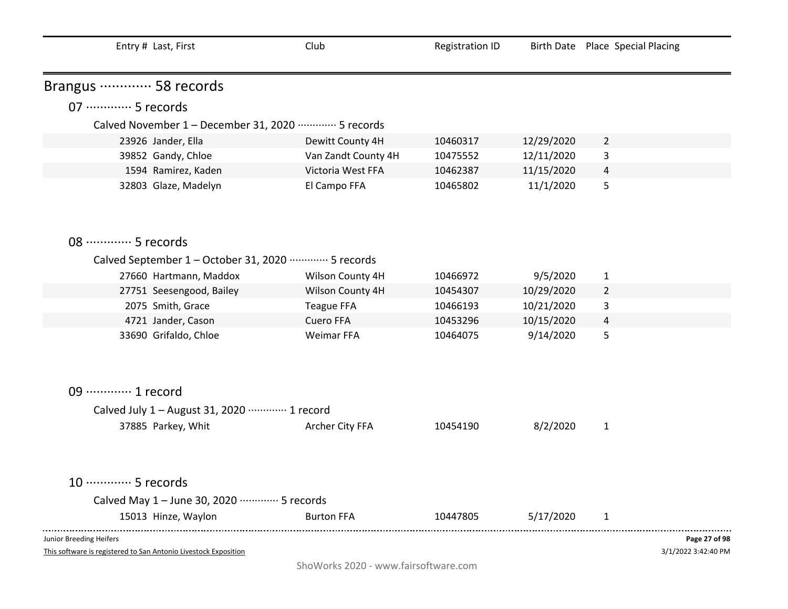| Entry # Last, First                                                                        | Club                | <b>Registration ID</b> |            | Birth Date Place Special Placing |               |
|--------------------------------------------------------------------------------------------|---------------------|------------------------|------------|----------------------------------|---------------|
| Brangus ………… 58 records                                                                    |                     |                        |            |                                  |               |
| 07 ·············· 5 records                                                                |                     |                        |            |                                  |               |
| Calved November 1 - December 31, 2020 ………… 5 records                                       |                     |                        |            |                                  |               |
| 23926 Jander, Ella                                                                         | Dewitt County 4H    | 10460317               | 12/29/2020 | $\overline{2}$                   |               |
| 39852 Gandy, Chloe                                                                         | Van Zandt County 4H | 10475552               | 12/11/2020 | 3                                |               |
| 1594 Ramirez, Kaden                                                                        | Victoria West FFA   | 10462387               | 11/15/2020 | 4                                |               |
| 32803 Glaze, Madelyn                                                                       | El Campo FFA        | 10465802               | 11/1/2020  | 5                                |               |
| 08 ………… 5 records                                                                          |                     |                        |            |                                  |               |
| Calved September 1 - October 31, 2020 ·············· 5 records                             |                     |                        |            |                                  |               |
| 27660 Hartmann, Maddox                                                                     | Wilson County 4H    | 10466972               | 9/5/2020   | $\mathbf{1}$                     |               |
| 27751 Seesengood, Bailey                                                                   | Wilson County 4H    | 10454307               | 10/29/2020 | $\overline{2}$                   |               |
| 2075 Smith, Grace                                                                          | <b>Teague FFA</b>   | 10466193               | 10/21/2020 | 3                                |               |
| 4721 Jander, Cason                                                                         | Cuero FFA           | 10453296               | 10/15/2020 | 4                                |               |
| 33690 Grifaldo, Chloe                                                                      | Weimar FFA          | 10464075               | 9/14/2020  | 5                                |               |
| 09 ·············· 1 record                                                                 |                     |                        |            |                                  |               |
| Calved July 1 - August 31, 2020 ………… 1 record                                              |                     |                        |            |                                  |               |
| 37885 Parkey, Whit                                                                         | Archer City FFA     | 10454190               | 8/2/2020   | $\mathbf{1}$                     |               |
| 10 ············· 5 records                                                                 |                     |                        |            |                                  |               |
| Calved May 1 - June 30, 2020 ………… 5 records                                                |                     |                        |            |                                  |               |
| 15013 Hinze, Waylon                                                                        | <b>Burton FFA</b>   | 10447805               | 5/17/2020  | 1                                |               |
| Junior Breeding Heifers<br>This software is registered to San Antonio Livestock Exposition |                     |                        |            | 3/1/2022 3:42:40 PM              | Page 27 of 98 |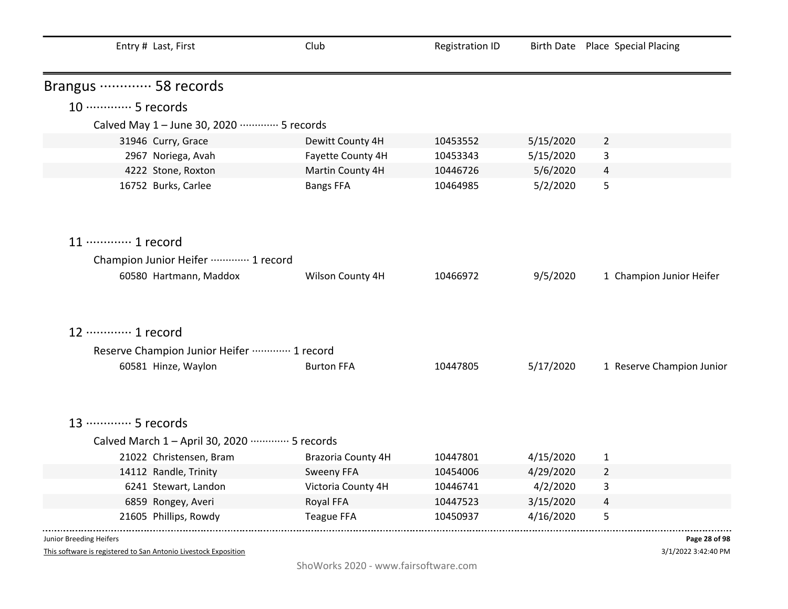| Entry # Last, First                            | Club               | <b>Registration ID</b> |           | Birth Date Place Special Placing |
|------------------------------------------------|--------------------|------------------------|-----------|----------------------------------|
| Brangus ………… 58 records                        |                    |                        |           |                                  |
| 10 ············· 5 records                     |                    |                        |           |                                  |
| Calved May 1 - June 30, 2020 ………… 5 records    |                    |                        |           |                                  |
| 31946 Curry, Grace                             | Dewitt County 4H   | 10453552               | 5/15/2020 | $\overline{2}$                   |
| 2967 Noriega, Avah                             | Fayette County 4H  | 10453343               | 5/15/2020 | 3                                |
| 4222 Stone, Roxton                             | Martin County 4H   | 10446726               | 5/6/2020  | 4                                |
| 16752 Burks, Carlee                            | <b>Bangs FFA</b>   | 10464985               | 5/2/2020  | 5                                |
| 11 ············· 1 record                      |                    |                        |           |                                  |
| Champion Junior Heifer ………… 1 record           |                    |                        |           |                                  |
| 60580 Hartmann, Maddox                         | Wilson County 4H   | 10466972               | 9/5/2020  | 1 Champion Junior Heifer         |
| 12 ………… 1 record                               |                    |                        |           |                                  |
| Reserve Champion Junior Heifer  1 record       |                    |                        |           |                                  |
| 60581 Hinze, Waylon                            | <b>Burton FFA</b>  | 10447805               | 5/17/2020 | 1 Reserve Champion Junior        |
| 13 ………… 5 records                              |                    |                        |           |                                  |
|                                                |                    |                        |           |                                  |
| Calved March 1 - April 30, 2020 ………… 5 records |                    |                        |           |                                  |
| 21022 Christensen, Bram                        | Brazoria County 4H | 10447801               | 4/15/2020 | $\mathbf{1}$                     |
| 14112 Randle, Trinity                          | Sweeny FFA         | 10454006               | 4/29/2020 | $\overline{2}$                   |
| 6241 Stewart, Landon                           | Victoria County 4H | 10446741               | 4/2/2020  | 3                                |
| 6859 Rongey, Averi                             | Royal FFA          | 10447523               | 3/15/2020 | 4                                |
| 21605 Phillips, Rowdy                          | <b>Teague FFA</b>  | 10450937               | 4/16/2020 | 5                                |
| Junior Breeding Heifers                        |                    |                        |           | Page 28 of 98                    |

This software is registered to San Antonio Livestock Exposition

3/1/2022 3:42:40 PM **Page 28 of 98**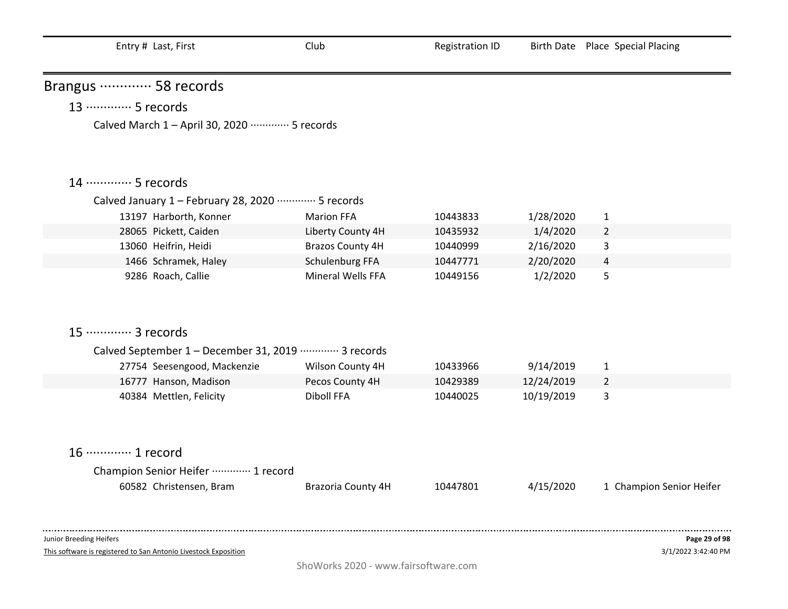| Brangus ………… 58 records                               |                           |          |            |                          |
|-------------------------------------------------------|---------------------------|----------|------------|--------------------------|
| 13 ·············· 5 records                           |                           |          |            |                          |
| Calved March 1 - April 30, 2020 ………… 5 records        |                           |          |            |                          |
|                                                       |                           |          |            |                          |
| 14 ………… 5 records                                     |                           |          |            |                          |
| Calved January 1 - February 28, 2020 ………… 5 records   |                           |          |            |                          |
| 13197 Harborth, Konner                                | <b>Marion FFA</b>         | 10443833 | 1/28/2020  | $\mathbf{1}$             |
| 28065 Pickett, Caiden                                 | Liberty County 4H         | 10435932 | 1/4/2020   | $\overline{2}$           |
| 13060 Heifrin, Heidi                                  | <b>Brazos County 4H</b>   | 10440999 | 2/16/2020  | 3                        |
| 1466 Schramek, Haley                                  | Schulenburg FFA           | 10447771 | 2/20/2020  | $\overline{a}$           |
| 9286 Roach, Callie                                    | Mineral Wells FFA         | 10449156 | 1/2/2020   | 5                        |
| 15 ············· 3 records                            |                           |          |            |                          |
| Calved September 1 - December 31, 2019 ………… 3 records |                           |          |            |                          |
| 27754 Seesengood, Mackenzie                           | Wilson County 4H          | 10433966 | 9/14/2019  | $\mathbf{1}$             |
| 16777 Hanson, Madison                                 | Pecos County 4H           | 10429389 | 12/24/2019 | $\overline{2}$           |
| 40384 Mettlen, Felicity                               | Diboll FFA                | 10440025 | 10/19/2019 | 3                        |
|                                                       |                           |          |            |                          |
| 16 ············· 1 record                             |                           |          |            |                          |
| Champion Senior Heifer  1 record                      |                           |          |            |                          |
| 60582 Christensen, Bram                               | <b>Brazoria County 4H</b> | 10447801 | 4/15/2020  | 1 Champion Senior Heifer |
|                                                       |                           |          |            |                          |
|                                                       |                           |          |            |                          |
|                                                       |                           |          |            |                          |

This software is registered to San Antonio Livestock Exposition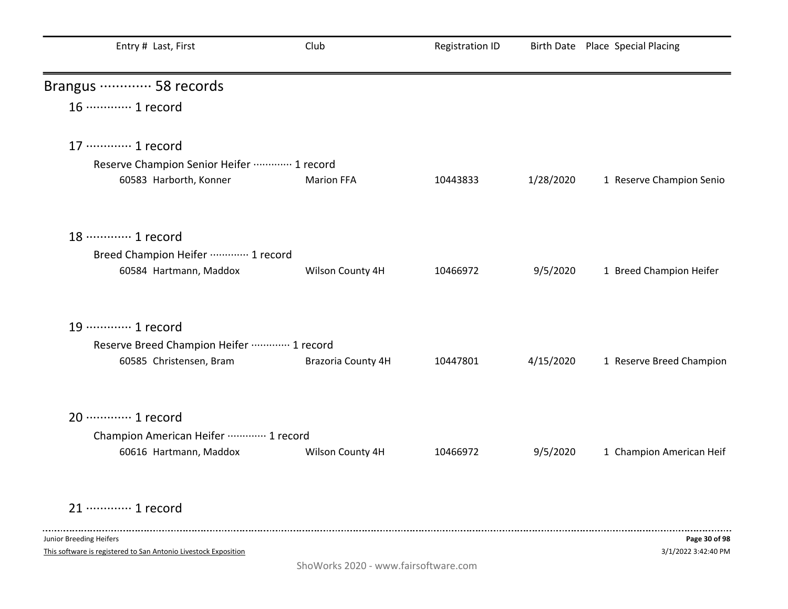| Entry # Last, First                                                    | Club               | <b>Registration ID</b> |           | Birth Date Place Special Placing |
|------------------------------------------------------------------------|--------------------|------------------------|-----------|----------------------------------|
| Brangus ………… 58 records                                                |                    |                        |           |                                  |
| 16 ············· 1 record                                              |                    |                        |           |                                  |
| 17 ………… 1 record                                                       |                    |                        |           |                                  |
| Reserve Champion Senior Heifer  1 record                               |                    |                        |           |                                  |
| 60583 Harborth, Konner                                                 | <b>Marion FFA</b>  | 10443833               | 1/28/2020 | 1 Reserve Champion Senio         |
| 18 ………… 1 record                                                       |                    |                        |           |                                  |
| Breed Champion Heifer  1 record                                        |                    |                        |           |                                  |
| 60584 Hartmann, Maddox                                                 | Wilson County 4H   | 10466972               | 9/5/2020  | 1 Breed Champion Heifer          |
| 19 ············· 1 record                                              |                    |                        |           |                                  |
|                                                                        |                    |                        |           |                                  |
| Reserve Breed Champion Heifer ………… 1 record<br>60585 Christensen, Bram | Brazoria County 4H | 10447801               | 4/15/2020 | 1 Reserve Breed Champion         |
|                                                                        |                    |                        |           |                                  |
| 20 ············· 1 record                                              |                    |                        |           |                                  |
| Champion American Heifer ………… 1 record                                 |                    |                        |           |                                  |
| 60616 Hartmann, Maddox                                                 | Wilson County 4H   | 10466972               | 9/5/2020  | 1 Champion American Heif         |
| 21 ………… 1 record                                                       |                    |                        |           |                                  |
| Junior Breeding Heifers                                                |                    |                        |           | Page 30 of 98                    |
| This software is registered to San Antonio Livestock Exposition        |                    |                        |           | 3/1/2022 3:42:40 PM              |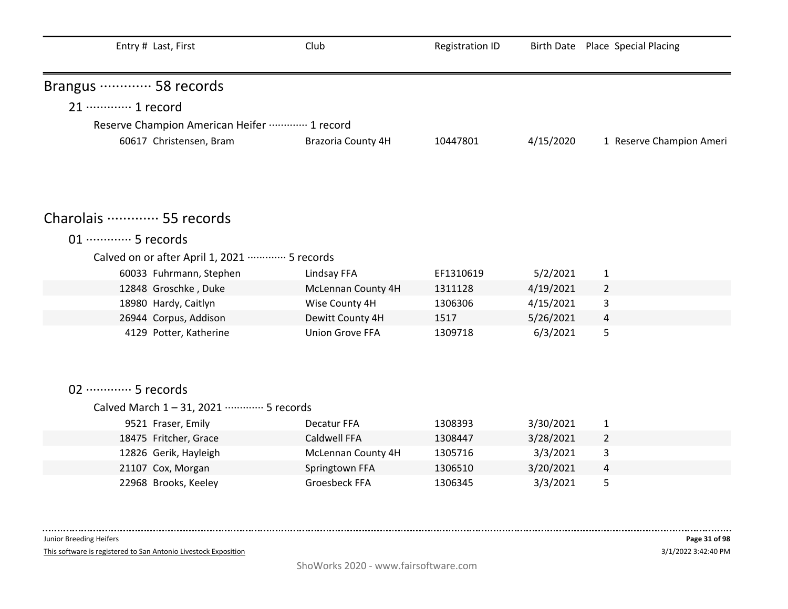| Entry # Last, First                         | Club                   | <b>Registration ID</b> |           | Birth Date Place Special Placing |
|---------------------------------------------|------------------------|------------------------|-----------|----------------------------------|
| Brangus ………… 58 records                     |                        |                        |           |                                  |
| 21 ············· 1 record                   |                        |                        |           |                                  |
| Reserve Champion American Heifer  1 record  |                        |                        |           |                                  |
| 60617 Christensen, Bram                     | Brazoria County 4H     | 10447801               | 4/15/2020 | 1 Reserve Champion Ameri         |
|                                             |                        |                        |           |                                  |
| Charolais  55 records                       |                        |                        |           |                                  |
| 01 ············· 5 records                  |                        |                        |           |                                  |
| Calved on or after April 1, 2021  5 records |                        |                        |           |                                  |
| 60033 Fuhrmann, Stephen                     | Lindsay FFA            | EF1310619              | 5/2/2021  | 1                                |
| 12848 Groschke, Duke                        | McLennan County 4H     | 1311128                | 4/19/2021 | $\overline{2}$                   |
| 18980 Hardy, Caitlyn                        | Wise County 4H         | 1306306                | 4/15/2021 | 3                                |
| 26944 Corpus, Addison                       | Dewitt County 4H       | 1517                   | 5/26/2021 | 4                                |
| 4129 Potter, Katherine                      | <b>Union Grove FFA</b> | 1309718                | 6/3/2021  | 5                                |
|                                             |                        |                        |           |                                  |
| 02 ·············· 5 records                 |                        |                        |           |                                  |
| Calved March 1-31, 2021 ………… 5 records      |                        |                        |           |                                  |
| 9521 Fraser, Emily                          | Decatur FFA            | 1308393                | 3/30/2021 | $\mathbf{1}$                     |
| 18475 Fritcher, Grace                       | <b>Caldwell FFA</b>    | 1308447                | 3/28/2021 | 2                                |
| 12826 Gerik, Hayleigh                       | McLennan County 4H     | 1305716                | 3/3/2021  | 3                                |
| 21107 Cox, Morgan                           | Springtown FFA         | 1306510                | 3/20/2021 | 4                                |
| 22968 Brooks, Keeley                        | Groesbeck FFA          | 1306345                | 3/3/2021  | 5                                |

This software is registered to San Antonio Livestock Exposition

. . . . . . . .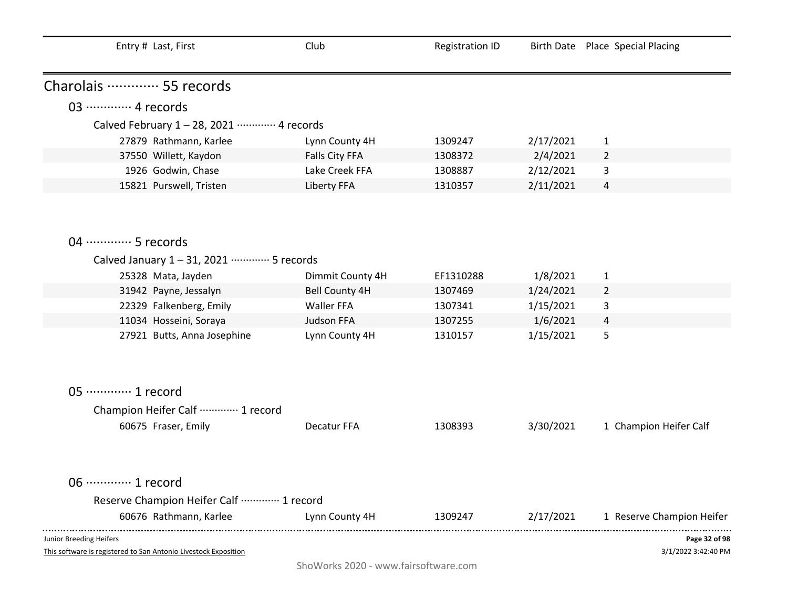| Entry # Last, First                                                                        | Club                  | <b>Registration ID</b> |           | Birth Date Place Special Placing     |
|--------------------------------------------------------------------------------------------|-----------------------|------------------------|-----------|--------------------------------------|
| Charolais ………… 55 records                                                                  |                       |                        |           |                                      |
| 03 ·············· 4 records                                                                |                       |                        |           |                                      |
| Calved February 1 - 28, 2021 ………… 4 records                                                |                       |                        |           |                                      |
| 27879 Rathmann, Karlee                                                                     | Lynn County 4H        | 1309247                | 2/17/2021 | $\mathbf{1}$                         |
| 37550 Willett, Kaydon                                                                      | Falls City FFA        | 1308372                | 2/4/2021  | $\overline{2}$                       |
| 1926 Godwin, Chase                                                                         | Lake Creek FFA        | 1308887                | 2/12/2021 | 3                                    |
| 15821 Purswell, Tristen                                                                    | Liberty FFA           | 1310357                | 2/11/2021 | $\overline{4}$                       |
| 04 ………… 5 records                                                                          |                       |                        |           |                                      |
| Calved January 1-31, 2021 ………… 5 records                                                   |                       |                        |           |                                      |
| 25328 Mata, Jayden                                                                         | Dimmit County 4H      | EF1310288              | 1/8/2021  | $\mathbf{1}$                         |
| 31942 Payne, Jessalyn                                                                      | <b>Bell County 4H</b> | 1307469                | 1/24/2021 | $\overline{2}$                       |
| 22329 Falkenberg, Emily                                                                    | Waller FFA            | 1307341                | 1/15/2021 | 3                                    |
| 11034 Hosseini, Soraya                                                                     | Judson FFA            | 1307255                | 1/6/2021  | 4                                    |
| 27921 Butts, Anna Josephine                                                                | Lynn County 4H        | 1310157                | 1/15/2021 | 5                                    |
| 05 ·············· 1 record                                                                 |                       |                        |           |                                      |
| Champion Heifer Calf  1 record                                                             |                       |                        |           |                                      |
| 60675 Fraser, Emily                                                                        | Decatur FFA           | 1308393                | 3/30/2021 | 1 Champion Heifer Calf               |
| 06 ············· 1 record                                                                  |                       |                        |           |                                      |
| Reserve Champion Heifer Calf  1 record                                                     |                       |                        |           |                                      |
| 60676 Rathmann, Karlee                                                                     | Lynn County 4H        | 1309247                | 2/17/2021 | 1 Reserve Champion Heifer            |
| Junior Breeding Heifers<br>This software is registered to San Antonio Livestock Exposition |                       |                        |           | Page 32 of 98<br>3/1/2022 3:42:40 PM |

ShoWorks 2020 - www.fairsoftware.com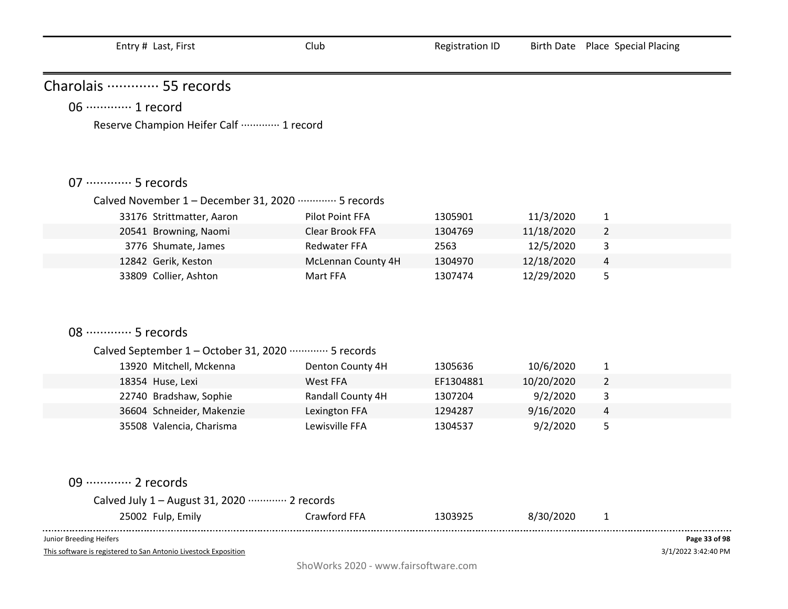| Charolais  55 records                                          |                    |           |            |                |               |
|----------------------------------------------------------------|--------------------|-----------|------------|----------------|---------------|
| 06 ·············· 1 record                                     |                    |           |            |                |               |
| Reserve Champion Heifer Calf  1 record                         |                    |           |            |                |               |
|                                                                |                    |           |            |                |               |
|                                                                |                    |           |            |                |               |
| 07 ·············· 5 records                                    |                    |           |            |                |               |
| Calved November 1 - December 31, 2020 ………… 5 records           |                    |           |            |                |               |
| 33176 Strittmatter, Aaron                                      | Pilot Point FFA    | 1305901   | 11/3/2020  | 1              |               |
| 20541 Browning, Naomi                                          | Clear Brook FFA    | 1304769   | 11/18/2020 | $\overline{2}$ |               |
| 3776 Shumate, James                                            | Redwater FFA       | 2563      | 12/5/2020  | 3              |               |
| 12842 Gerik, Keston                                            | McLennan County 4H | 1304970   | 12/18/2020 | 4              |               |
| 33809 Collier, Ashton                                          | Mart FFA           | 1307474   | 12/29/2020 | 5              |               |
|                                                                |                    |           |            |                |               |
|                                                                |                    |           |            |                |               |
|                                                                |                    |           |            |                |               |
| 08 ·············· 5 records                                    |                    |           |            |                |               |
| Calved September 1 - October 31, 2020 ·············· 5 records |                    |           |            |                |               |
| 13920 Mitchell, Mckenna                                        | Denton County 4H   | 1305636   | 10/6/2020  | $\mathbf{1}$   |               |
| 18354 Huse, Lexi                                               | West FFA           | EF1304881 | 10/20/2020 | $\overline{2}$ |               |
| 22740 Bradshaw, Sophie                                         | Randall County 4H  | 1307204   | 9/2/2020   | 3              |               |
| 36604 Schneider, Makenzie                                      | Lexington FFA      | 1294287   | 9/16/2020  | 4              |               |
| 35508 Valencia, Charisma                                       | Lewisville FFA     | 1304537   | 9/2/2020   | 5              |               |
|                                                                |                    |           |            |                |               |
|                                                                |                    |           |            |                |               |
| 09 ············· 2 records                                     |                    |           |            |                |               |
| Calved July 1 - August 31, 2020 ………… 2 records                 |                    |           |            |                |               |
| 25002 Fulp, Emily                                              | Crawford FFA       | 1303925   | 8/30/2020  | 1              |               |
| Junior Breeding Heifers                                        |                    |           |            |                | Page 33 of 98 |

This software is registered to San Antonio Livestock Exposition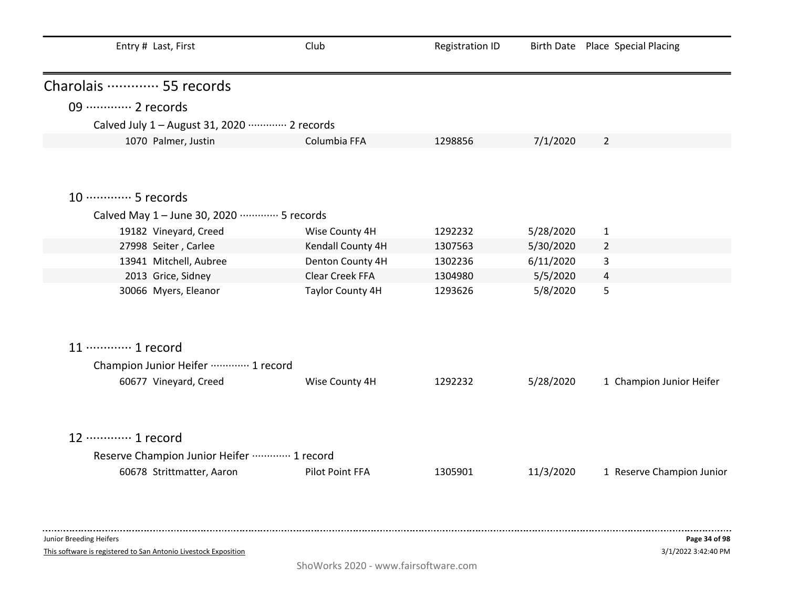| Entry # Last, First                                             | Club              | <b>Registration ID</b> |           | Birth Date Place Special Placing |
|-----------------------------------------------------------------|-------------------|------------------------|-----------|----------------------------------|
| Charolais ………… 55 records                                       |                   |                        |           |                                  |
| 09 ············· 2 records                                      |                   |                        |           |                                  |
| Calved July 1 - August 31, 2020 ………… 2 records                  |                   |                        |           |                                  |
| 1070 Palmer, Justin                                             | Columbia FFA      | 1298856                | 7/1/2020  | $\overline{2}$                   |
| 10 ·············· 5 records                                     |                   |                        |           |                                  |
| Calved May 1 - June 30, 2020 ………… 5 records                     |                   |                        |           |                                  |
| 19182 Vineyard, Creed                                           | Wise County 4H    | 1292232                | 5/28/2020 | $\mathbf{1}$                     |
| 27998 Seiter, Carlee                                            | Kendall County 4H | 1307563                | 5/30/2020 | $\overline{2}$                   |
| 13941 Mitchell, Aubree                                          | Denton County 4H  | 1302236                | 6/11/2020 | 3                                |
| 2013 Grice, Sidney                                              | Clear Creek FFA   | 1304980                | 5/5/2020  | 4                                |
| 30066 Myers, Eleanor                                            | Taylor County 4H  | 1293626                | 5/8/2020  | 5                                |
| 11 ············· 1 record                                       |                   |                        |           |                                  |
| Champion Junior Heifer ………… 1 record                            |                   |                        |           |                                  |
| 60677 Vineyard, Creed                                           | Wise County 4H    | 1292232                | 5/28/2020 | 1 Champion Junior Heifer         |
| 12 ………… 1 record                                                |                   |                        |           |                                  |
| Reserve Champion Junior Heifer  1 record                        |                   |                        |           |                                  |
| 60678 Strittmatter, Aaron                                       | Pilot Point FFA   | 1305901                | 11/3/2020 | 1 Reserve Champion Junior        |
|                                                                 |                   |                        |           |                                  |
| Junior Breeding Heifers                                         |                   |                        |           | Page 34 of 98                    |
| This software is registered to San Antonio Livestock Exposition |                   |                        |           | 3/1/2022 3:42:40 PM              |

ShoWorks 2020 - www.fairsoftware.com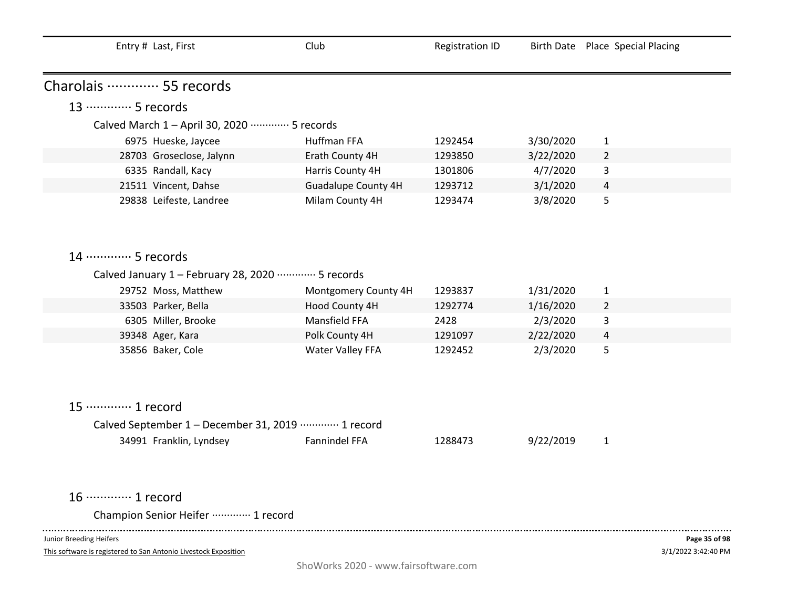| Entry # Last, First                                  | Club                       | <b>Registration ID</b> |           | Birth Date Place Special Placing |
|------------------------------------------------------|----------------------------|------------------------|-----------|----------------------------------|
|                                                      |                            |                        |           |                                  |
| Charolais ………… 55 records                            |                            |                        |           |                                  |
| 13 ………… 5 records                                    |                            |                        |           |                                  |
| Calved March 1 - April 30, 2020 ………… 5 records       |                            |                        |           |                                  |
| 6975 Hueske, Jaycee                                  | Huffman FFA                | 1292454                | 3/30/2020 | 1                                |
| 28703 Groseclose, Jalynn                             | Erath County 4H            | 1293850                | 3/22/2020 | $\overline{2}$                   |
| 6335 Randall, Kacy                                   | Harris County 4H           | 1301806                | 4/7/2020  | 3                                |
| 21511 Vincent, Dahse                                 | <b>Guadalupe County 4H</b> | 1293712                | 3/1/2020  | $\overline{4}$                   |
| 29838 Leifeste, Landree                              | Milam County 4H            | 1293474                | 3/8/2020  | 5                                |
|                                                      |                            |                        |           |                                  |
|                                                      |                            |                        |           |                                  |
| 14 ………… 5 records                                    |                            |                        |           |                                  |
|                                                      |                            |                        |           |                                  |
| Calved January 1 - February 28, 2020 ………… 5 records  |                            |                        |           |                                  |
| 29752 Moss, Matthew                                  | Montgomery County 4H       | 1293837                | 1/31/2020 | $\mathbf{1}$                     |
| 33503 Parker, Bella                                  | Hood County 4H             | 1292774                | 1/16/2020 | $\overline{2}$                   |
| 6305 Miller, Brooke                                  | Mansfield FFA              | 2428                   | 2/3/2020  | 3                                |
| 39348 Ager, Kara                                     | Polk County 4H             | 1291097                | 2/22/2020 | $\overline{4}$                   |
| 35856 Baker, Cole                                    | Water Valley FFA           | 1292452                | 2/3/2020  | 5                                |
|                                                      |                            |                        |           |                                  |
|                                                      |                            |                        |           |                                  |
|                                                      |                            |                        |           |                                  |
| 15 ············· 1 record                            |                            |                        |           |                                  |
| Calved September 1 - December 31, 2019 ………… 1 record |                            |                        |           |                                  |
| 34991 Franklin, Lyndsey                              | Fannindel FFA              | 1288473                | 9/22/2019 | $\mathbf{1}$                     |
|                                                      |                            |                        |           |                                  |
|                                                      |                            |                        |           |                                  |

16 ············· 1 record

Champion Senior Heifer ············· 1 record

Junior Breeding Heifers

 $\sim$   $\sim$   $\sim$ 

This software is registered to San Antonio Livestock Exposition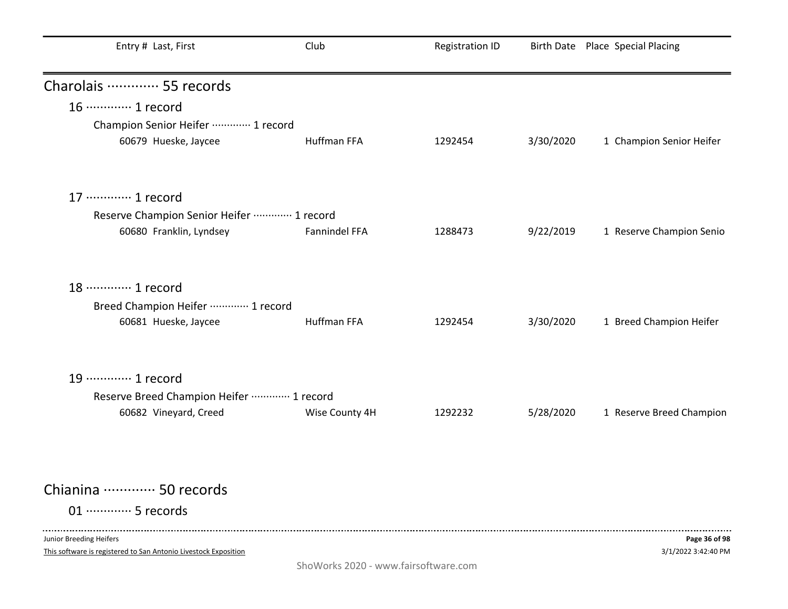| Entry # Last, First                                             | Club               | Registration ID |           | Birth Date Place Special Placing |
|-----------------------------------------------------------------|--------------------|-----------------|-----------|----------------------------------|
| Charolais  55 records                                           |                    |                 |           |                                  |
| 16 ············· 1 record                                       |                    |                 |           |                                  |
| Champion Senior Heifer  1 record                                |                    |                 |           |                                  |
| 60679 Hueske, Jaycee                                            | Huffman FFA        | 1292454         | 3/30/2020 | 1 Champion Senior Heifer         |
| 17 ············· 1 record                                       |                    |                 |           |                                  |
| Reserve Champion Senior Heifer  1 record                        |                    |                 |           |                                  |
| 60680 Franklin, Lyndsey                                         | Fannindel FFA      | 1288473         | 9/22/2019 | 1 Reserve Champion Senio         |
| 18 ………… 1 record                                                |                    |                 |           |                                  |
| Breed Champion Heifer ………… 1 record<br>60681 Hueske, Jaycee     | <b>Huffman FFA</b> | 1292454         | 3/30/2020 | 1 Breed Champion Heifer          |
| 19 ············· 1 record                                       |                    |                 |           |                                  |
| Reserve Breed Champion Heifer  1 record                         |                    |                 |           |                                  |
| 60682 Vineyard, Creed                                           | Wise County 4H     | 1292232         | 5/28/2020 | 1 Reserve Breed Champion         |
| Chianina  50 records                                            |                    |                 |           |                                  |
|                                                                 |                    |                 |           |                                  |
| 01 ············· 5 records                                      |                    |                 |           |                                  |
| Junior Breeding Heifers                                         |                    |                 |           | Page 36 of 98                    |
| This software is registered to San Antonio Livestock Exposition |                    |                 |           | 3/1/2022 3:42:40 PM              |

ShoWorks 2020 - www.fairsoftware.com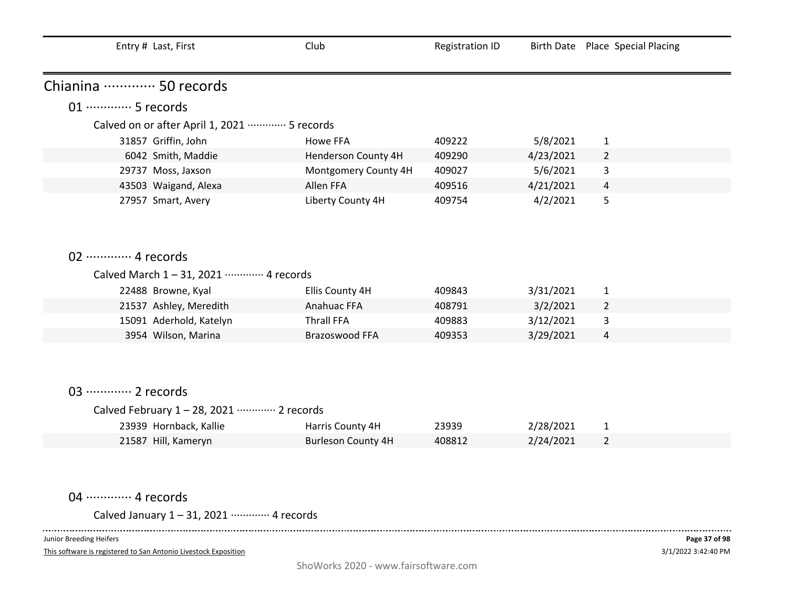| Entry # Last, First                         | Club                      | <b>Registration ID</b> |           | Birth Date Place Special Placing |
|---------------------------------------------|---------------------------|------------------------|-----------|----------------------------------|
| Chianina ………… 50 records                    |                           |                        |           |                                  |
| 01 ·············· 5 records                 |                           |                        |           |                                  |
| Calved on or after April 1, 2021  5 records |                           |                        |           |                                  |
| 31857 Griffin, John                         | Howe FFA                  | 409222                 | 5/8/2021  | 1                                |
| 6042 Smith, Maddie                          | Henderson County 4H       | 409290                 | 4/23/2021 | $\overline{2}$                   |
| 29737 Moss, Jaxson                          | Montgomery County 4H      | 409027                 | 5/6/2021  | 3                                |
| 43503 Waigand, Alexa                        | Allen FFA                 | 409516                 | 4/21/2021 | 4                                |
| 27957 Smart, Avery                          | Liberty County 4H         | 409754                 | 4/2/2021  | 5                                |
|                                             |                           |                        |           |                                  |
|                                             |                           |                        |           |                                  |
|                                             |                           |                        |           |                                  |
| 02 ············· 4 records                  |                           |                        |           |                                  |
| Calved March 1-31, 2021 ………… 4 records      |                           |                        |           |                                  |
| 22488 Browne, Kyal                          | Ellis County 4H           | 409843                 | 3/31/2021 | $\mathbf{1}$                     |
| 21537 Ashley, Meredith                      | Anahuac FFA               | 408791                 | 3/2/2021  | $\overline{2}$                   |
| 15091 Aderhold, Katelyn                     | <b>Thrall FFA</b>         | 409883                 | 3/12/2021 | 3                                |
| 3954 Wilson, Marina                         | Brazoswood FFA            | 409353                 | 3/29/2021 | 4                                |
|                                             |                           |                        |           |                                  |
|                                             |                           |                        |           |                                  |
|                                             |                           |                        |           |                                  |
| 03 ············· 2 records                  |                           |                        |           |                                  |
| Calved February 1-28, 2021 ………… 2 records   |                           |                        |           |                                  |
| 23939 Hornback, Kallie                      | Harris County 4H          | 23939                  | 2/28/2021 | 1                                |
| 21587 Hill, Kameryn                         | <b>Burleson County 4H</b> | 408812                 | 2/24/2021 | $\overline{2}$                   |
|                                             |                           |                        |           |                                  |

04 ·············· 4 records

Calved January 1 – 31, 2021 ············· 4 records

Junior Breeding Heifers

 $\frac{1}{2}$ 

This software is registered to San Antonio Livestock Exposition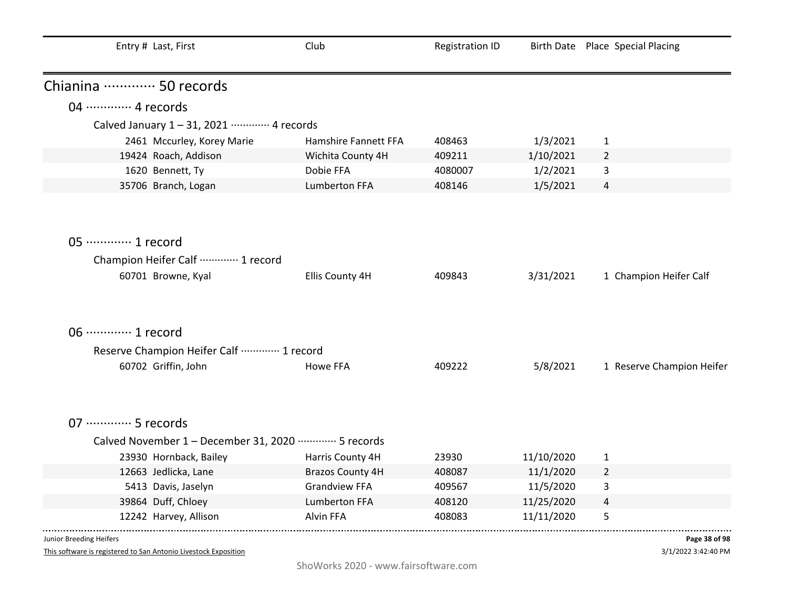| Entry # Last, First                                  | Club                    | <b>Registration ID</b> |            | Birth Date Place Special Placing |
|------------------------------------------------------|-------------------------|------------------------|------------|----------------------------------|
| Chianina ………… 50 records                             |                         |                        |            |                                  |
| 04 ………… 4 records                                    |                         |                        |            |                                  |
| Calved January 1-31, 2021 ………… 4 records             |                         |                        |            |                                  |
| 2461 Mccurley, Korey Marie                           | Hamshire Fannett FFA    | 408463                 | 1/3/2021   | $\mathbf{1}$                     |
| 19424 Roach, Addison                                 | Wichita County 4H       | 409211                 | 1/10/2021  | $\overline{2}$                   |
| 1620 Bennett, Ty                                     | Dobie FFA               | 4080007                | 1/2/2021   | 3                                |
| 35706 Branch, Logan                                  | Lumberton FFA           | 408146                 | 1/5/2021   | $\overline{4}$                   |
|                                                      |                         |                        |            |                                  |
| 05 ·············· 1 record                           |                         |                        |            |                                  |
| Champion Heifer Calf  1 record                       |                         |                        |            |                                  |
| 60701 Browne, Kyal                                   | Ellis County 4H         | 409843                 | 3/31/2021  | 1 Champion Heifer Calf           |
|                                                      |                         |                        |            |                                  |
| 06 ············· 1 record                            |                         |                        |            |                                  |
| Reserve Champion Heifer Calf  1 record               |                         |                        |            |                                  |
| 60702 Griffin, John                                  | Howe FFA                | 409222                 | 5/8/2021   | 1 Reserve Champion Heifer        |
| 07 ·············· 5 records                          |                         |                        |            |                                  |
| Calved November 1 - December 31, 2020 ………… 5 records |                         |                        |            |                                  |
| 23930 Hornback, Bailey                               | Harris County 4H        | 23930                  | 11/10/2020 | $\mathbf{1}$                     |
| 12663 Jedlicka, Lane                                 | <b>Brazos County 4H</b> | 408087                 | 11/1/2020  | $\overline{2}$                   |
| 5413 Davis, Jaselyn                                  | <b>Grandview FFA</b>    | 409567                 | 11/5/2020  | 3                                |
| 39864 Duff, Chloey                                   | <b>Lumberton FFA</b>    | 408120                 | 11/25/2020 | $\overline{a}$                   |
| 12242 Harvey, Allison                                | Alvin FFA               | 408083                 | 11/11/2020 | 5                                |
| Junior Breeding Heifers                              |                         |                        |            | Page 38 of 98                    |

3/1/2022 3:42:40 PM **Page 38 of 98**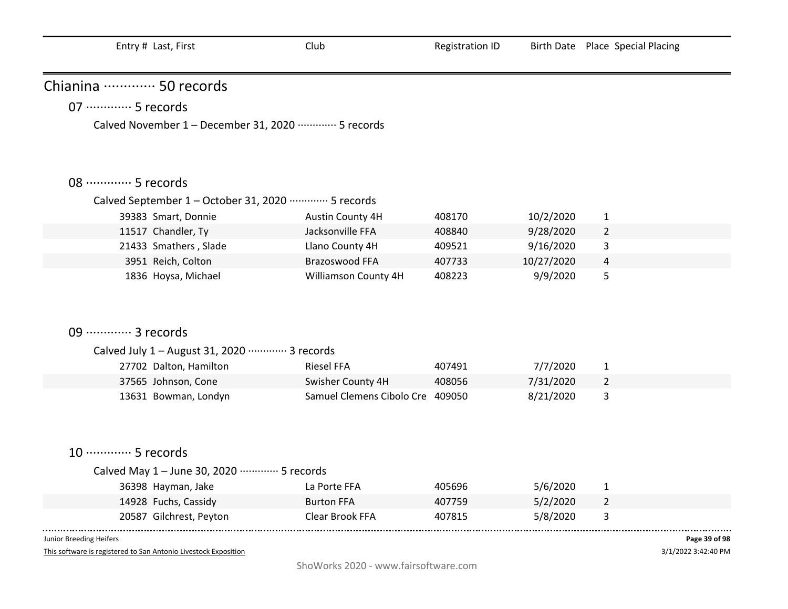| Chianina  50 records                                           |                                  |        |            |                |  |
|----------------------------------------------------------------|----------------------------------|--------|------------|----------------|--|
| 07 ·············· 5 records                                    |                                  |        |            |                |  |
| Calved November 1 - December 31, 2020 ………… 5 records           |                                  |        |            |                |  |
|                                                                |                                  |        |            |                |  |
|                                                                |                                  |        |            |                |  |
| 08 ·············· 5 records                                    |                                  |        |            |                |  |
| Calved September 1 - October 31, 2020 ·············· 5 records |                                  |        |            |                |  |
| 39383 Smart, Donnie                                            | Austin County 4H                 | 408170 | 10/2/2020  | $\mathbf{1}$   |  |
| 11517 Chandler, Ty                                             | Jacksonville FFA                 | 408840 | 9/28/2020  | $\overline{2}$ |  |
| 21433 Smathers, Slade                                          | Llano County 4H                  | 409521 | 9/16/2020  | 3              |  |
| 3951 Reich, Colton                                             | Brazoswood FFA                   | 407733 | 10/27/2020 | 4              |  |
| 1836 Hoysa, Michael                                            | Williamson County 4H             | 408223 | 9/9/2020   | 5              |  |
|                                                                |                                  |        |            |                |  |
|                                                                |                                  |        |            |                |  |
|                                                                |                                  |        |            |                |  |
| 09 ············· 3 records                                     |                                  |        |            |                |  |
| Calved July 1 - August 31, 2020 ………… 3 records                 |                                  |        |            |                |  |
| 27702 Dalton, Hamilton                                         | <b>Riesel FFA</b>                | 407491 | 7/7/2020   | $\mathbf{1}$   |  |
| 37565 Johnson, Cone                                            | Swisher County 4H                | 408056 | 7/31/2020  | $\overline{2}$ |  |
| 13631 Bowman, Londyn                                           | Samuel Clemens Cibolo Cre 409050 |        | 8/21/2020  | 3              |  |
|                                                                |                                  |        |            |                |  |
|                                                                |                                  |        |            |                |  |
| 10 ·············· 5 records                                    |                                  |        |            |                |  |
|                                                                |                                  |        |            |                |  |
| Calved May 1 - June 30, 2020 ………… 5 records                    |                                  |        |            |                |  |
| 36398 Hayman, Jake                                             | La Porte FFA                     | 405696 | 5/6/2020   | $\mathbf{1}$   |  |
| 14928 Fuchs, Cassidy                                           | <b>Burton FFA</b>                | 407759 | 5/2/2020   | $\overline{2}$ |  |
| 20587 Gilchrest, Peyton                                        | Clear Brook FFA                  | 407815 | 5/8/2020   | 3              |  |
|                                                                |                                  |        |            |                |  |

This software is registered to San Antonio Livestock Exposition

3/1/2022 3:42:40 PM **Page 39 of 98**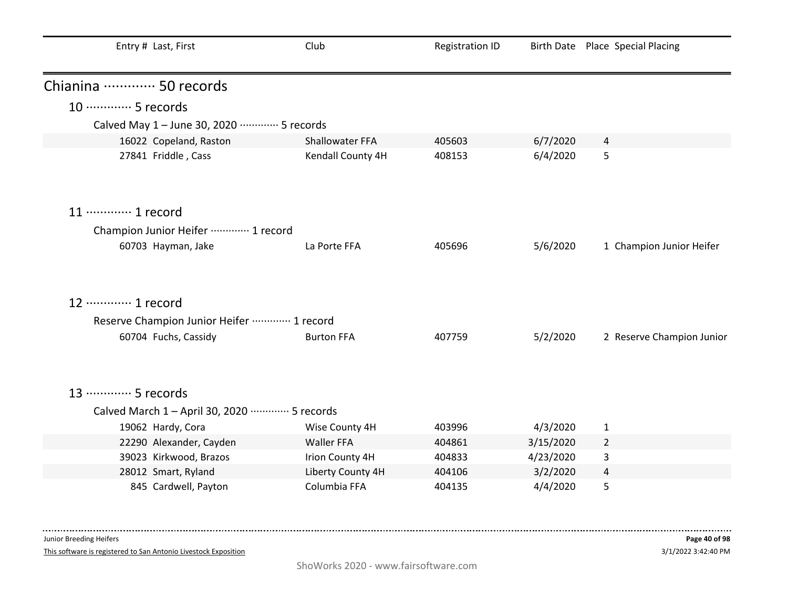| Entry # Last, First                            | Club              | <b>Registration ID</b> |           | Birth Date Place Special Placing |
|------------------------------------------------|-------------------|------------------------|-----------|----------------------------------|
| Chianina ………… 50 records                       |                   |                        |           |                                  |
| 10 ············· 5 records                     |                   |                        |           |                                  |
| Calved May 1 - June 30, 2020 ………… 5 records    |                   |                        |           |                                  |
| 16022 Copeland, Raston                         | Shallowater FFA   | 405603                 | 6/7/2020  | 4                                |
| 27841 Friddle, Cass                            | Kendall County 4H | 408153                 | 6/4/2020  | 5                                |
| 11 ············· 1 record                      |                   |                        |           |                                  |
| Champion Junior Heifer  1 record               |                   |                        |           |                                  |
| 60703 Hayman, Jake                             | La Porte FFA      | 405696                 | 5/6/2020  | 1 Champion Junior Heifer         |
| 12 ………… 1 record                               |                   |                        |           |                                  |
| Reserve Champion Junior Heifer  1 record       |                   |                        |           |                                  |
| 60704 Fuchs, Cassidy                           | <b>Burton FFA</b> | 407759                 | 5/2/2020  | 2 Reserve Champion Junior        |
| 13 ………… 5 records                              |                   |                        |           |                                  |
| Calved March 1 - April 30, 2020 ………… 5 records |                   |                        |           |                                  |
| 19062 Hardy, Cora                              | Wise County 4H    | 403996                 | 4/3/2020  | 1                                |
| 22290 Alexander, Cayden                        | <b>Waller FFA</b> | 404861                 | 3/15/2020 | $\overline{2}$                   |
| 39023 Kirkwood, Brazos                         | Irion County 4H   | 404833                 | 4/23/2020 | $\mathsf{3}$                     |
| 28012 Smart, Ryland                            | Liberty County 4H | 404106                 | 3/2/2020  | $\overline{a}$                   |
| 845 Cardwell, Payton                           | Columbia FFA      | 404135                 | 4/4/2020  | 5                                |

This software is registered to San Antonio Livestock Exposition

-------

---------------------------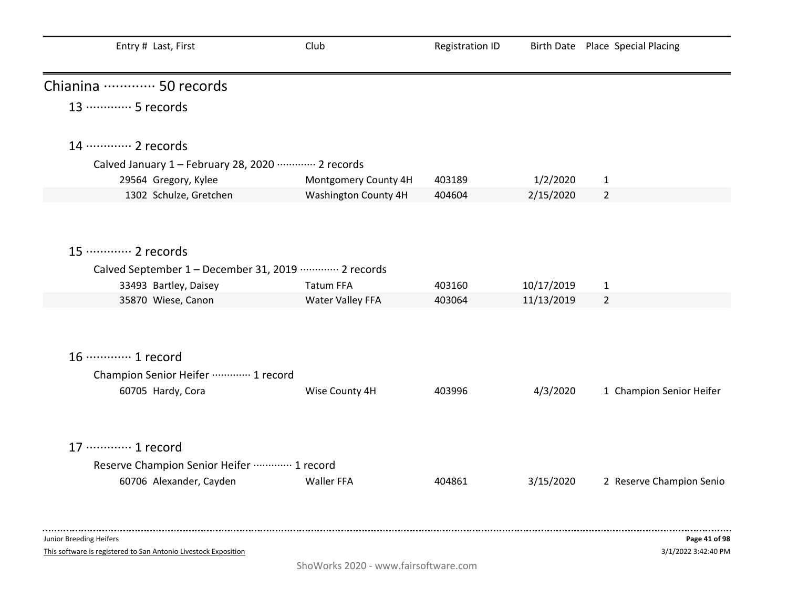| Entry # Last, First                                   | Club                 | <b>Registration ID</b> |            | Birth Date Place Special Placing |
|-------------------------------------------------------|----------------------|------------------------|------------|----------------------------------|
| Chianina  50 records                                  |                      |                        |            |                                  |
| 13 ………… 5 records                                     |                      |                        |            |                                  |
| 14 ………… 2 records                                     |                      |                        |            |                                  |
| Calved January 1 - February 28, 2020 ………… 2 records   |                      |                        |            |                                  |
| 29564 Gregory, Kylee                                  | Montgomery County 4H | 403189                 | 1/2/2020   | $\mathbf{1}$                     |
| 1302 Schulze, Gretchen                                | Washington County 4H | 404604                 | 2/15/2020  | $\overline{2}$                   |
| 15 ············· 2 records                            |                      |                        |            |                                  |
| Calved September 1 - December 31, 2019 ………… 2 records |                      |                        |            |                                  |
| 33493 Bartley, Daisey                                 | <b>Tatum FFA</b>     | 403160                 | 10/17/2019 | $\mathbf{1}$                     |
| 35870 Wiese, Canon                                    | Water Valley FFA     | 403064                 | 11/13/2019 | $\overline{2}$                   |
|                                                       |                      |                        |            |                                  |
| 16 ············· 1 record                             |                      |                        |            |                                  |
| Champion Senior Heifer  1 record                      |                      |                        |            |                                  |
| 60705 Hardy, Cora                                     | Wise County 4H       | 403996                 | 4/3/2020   | 1 Champion Senior Heifer         |
| 17 ············· 1 record                             |                      |                        |            |                                  |
| Reserve Champion Senior Heifer  1 record              |                      |                        |            |                                  |
| 60706 Alexander, Cayden                               | <b>Waller FFA</b>    | 404861                 | 3/15/2020  | 2 Reserve Champion Senio         |
|                                                       |                      |                        |            |                                  |
| Junior Breeding Heifers                               |                      |                        |            | Page 41 of 98                    |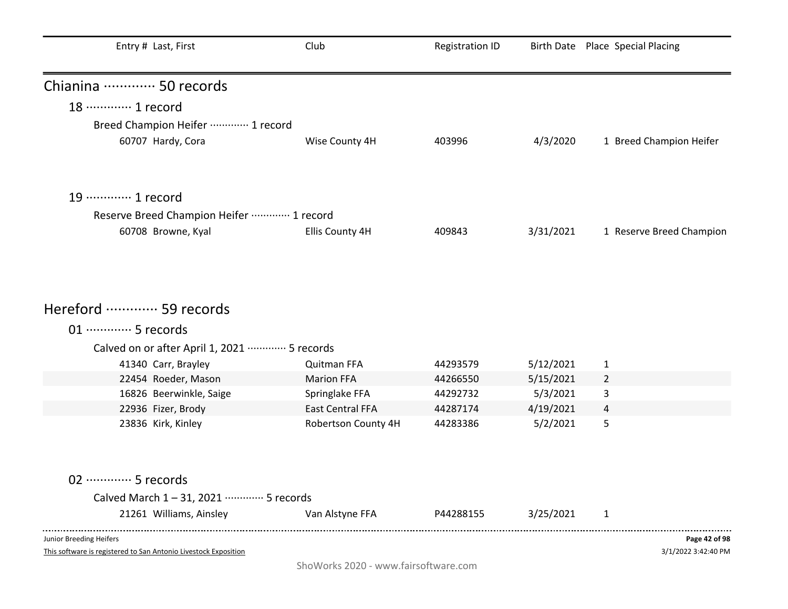| Entry # Last, First                                       | Club                | <b>Registration ID</b> |           | Birth Date Place Special Placing |
|-----------------------------------------------------------|---------------------|------------------------|-----------|----------------------------------|
| Chianina  50 records                                      |                     |                        |           |                                  |
| 18 ………… 1 record                                          |                     |                        |           |                                  |
| Breed Champion Heifer  1 record                           |                     |                        |           |                                  |
| 60707 Hardy, Cora                                         | Wise County 4H      | 403996                 | 4/3/2020  | 1 Breed Champion Heifer          |
| 19 ············· 1 record                                 |                     |                        |           |                                  |
| Reserve Breed Champion Heifer  1 record                   |                     |                        |           |                                  |
| 60708 Browne, Kyal                                        | Ellis County 4H     | 409843                 | 3/31/2021 | 1 Reserve Breed Champion         |
|                                                           |                     |                        |           |                                  |
| Hereford  59 records                                      |                     |                        |           |                                  |
| 01 ·············· 5 records                               |                     |                        |           |                                  |
| Calved on or after April 1, 2021 ·············· 5 records |                     |                        |           |                                  |
| 41340 Carr, Brayley                                       | Quitman FFA         | 44293579               | 5/12/2021 | 1                                |
| 22454 Roeder, Mason                                       | <b>Marion FFA</b>   | 44266550               | 5/15/2021 | $\overline{2}$                   |
| 16826 Beerwinkle, Saige                                   | Springlake FFA      | 44292732               | 5/3/2021  | 3                                |
| 22936 Fizer, Brody                                        | East Central FFA    | 44287174               | 4/19/2021 | $\overline{a}$                   |
| 23836 Kirk, Kinley                                        | Robertson County 4H | 44283386               | 5/2/2021  | 5                                |
| 02 ·············· 5 records                               |                     |                        |           |                                  |
| Calved March 1-31, 2021 ………… 5 records                    |                     |                        |           |                                  |
| 21261 Williams, Ainsley                                   | Van Alstyne FFA     | P44288155              | 3/25/2021 | $\mathbf{1}$                     |
| Junior Breeding Heifers                                   |                     |                        |           | Page 42 of 98                    |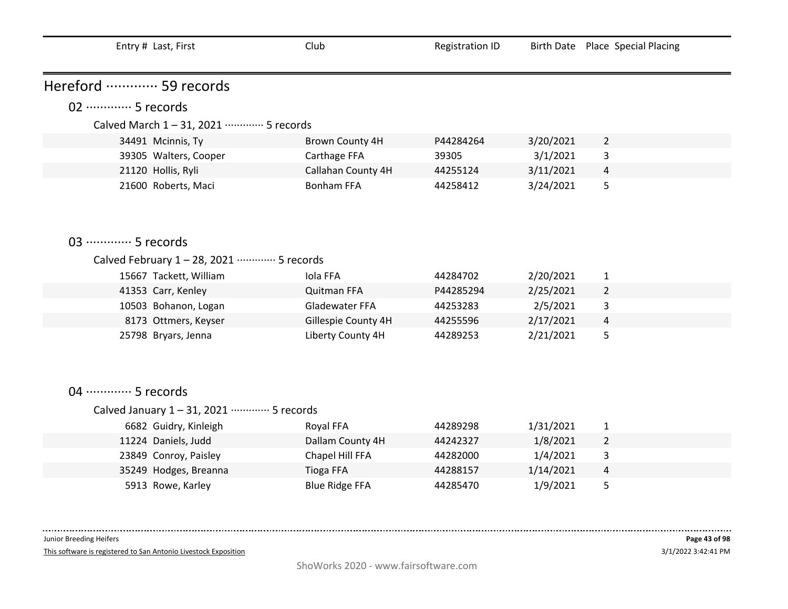| Entry # Last, First                         | Club                  | <b>Registration ID</b> |           | Birth Date Place Special Placing |  |  |  |
|---------------------------------------------|-----------------------|------------------------|-----------|----------------------------------|--|--|--|
| Hereford  59 records                        |                       |                        |           |                                  |  |  |  |
| 02 ·············· 5 records                 |                       |                        |           |                                  |  |  |  |
|                                             |                       |                        |           |                                  |  |  |  |
| Calved March 1-31, 2021 ………… 5 records      |                       |                        |           |                                  |  |  |  |
| 34491 Mcinnis, Ty                           | Brown County 4H       | P44284264              | 3/20/2021 | $\overline{2}$                   |  |  |  |
| 39305 Walters, Cooper                       | Carthage FFA          | 39305                  | 3/1/2021  | 3                                |  |  |  |
| 21120 Hollis, Ryli                          | Callahan County 4H    | 44255124               | 3/11/2021 | 4                                |  |  |  |
| 21600 Roberts, Maci                         | <b>Bonham FFA</b>     | 44258412               | 3/24/2021 | 5                                |  |  |  |
|                                             |                       |                        |           |                                  |  |  |  |
|                                             |                       |                        |           |                                  |  |  |  |
| 03 ·············· 5 records                 |                       |                        |           |                                  |  |  |  |
| Calved February 1 - 28, 2021 ………… 5 records |                       |                        |           |                                  |  |  |  |
| 15667 Tackett, William                      | Iola FFA              | 44284702               | 2/20/2021 | $\mathbf{1}$                     |  |  |  |
| 41353 Carr, Kenley                          | <b>Quitman FFA</b>    | P44285294              | 2/25/2021 | $\overline{2}$                   |  |  |  |
| 10503 Bohanon, Logan                        | Gladewater FFA        | 44253283               | 2/5/2021  | 3                                |  |  |  |
| 8173 Ottmers, Keyser                        | Gillespie County 4H   | 44255596               | 2/17/2021 | $\overline{4}$                   |  |  |  |
| 25798 Bryars, Jenna                         | Liberty County 4H     | 44289253               | 2/21/2021 | 5                                |  |  |  |
|                                             |                       |                        |           |                                  |  |  |  |
|                                             |                       |                        |           |                                  |  |  |  |
|                                             |                       |                        |           |                                  |  |  |  |
| 04 ………… 5 records                           |                       |                        |           |                                  |  |  |  |
| Calved January 1-31, 2021 ………… 5 records    |                       |                        |           |                                  |  |  |  |
| 6682 Guidry, Kinleigh                       | Royal FFA             | 44289298               | 1/31/2021 | 1                                |  |  |  |
| 11224 Daniels, Judd                         | Dallam County 4H      | 44242327               | 1/8/2021  | $\overline{2}$                   |  |  |  |
| 23849 Conroy, Paisley                       | Chapel Hill FFA       | 44282000               | 1/4/2021  | 3                                |  |  |  |
| 35249 Hodges, Breanna                       | <b>Tioga FFA</b>      | 44288157               | 1/14/2021 | 4                                |  |  |  |
| 5913 Rowe, Karley                           | <b>Blue Ridge FFA</b> | 44285470               | 1/9/2021  | 5                                |  |  |  |

 $- - - - - - -$ 

This software is registered to San Antonio Livestock Exposition

 $\sim 100$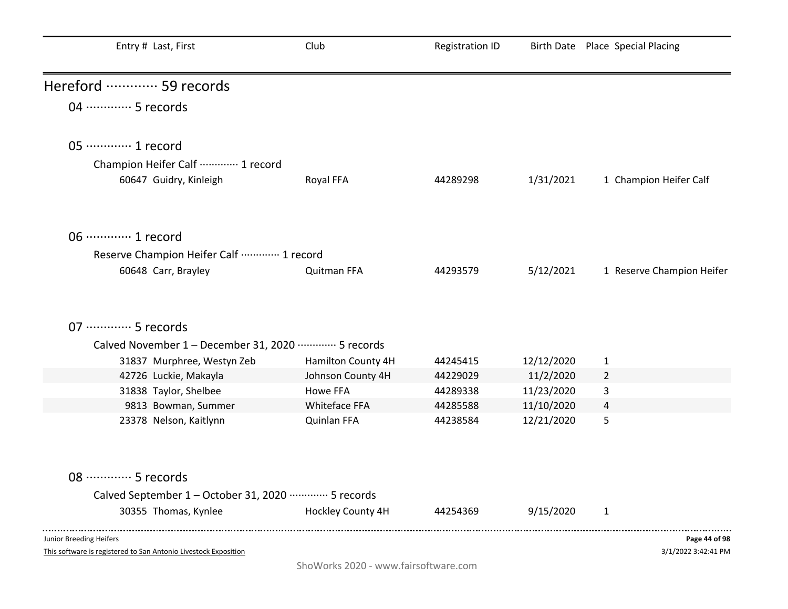| Entry # Last, First                                            | Club               | <b>Registration ID</b> |            | Birth Date Place Special Placing |
|----------------------------------------------------------------|--------------------|------------------------|------------|----------------------------------|
| Hereford  59 records                                           |                    |                        |            |                                  |
| 04 ………… 5 records                                              |                    |                        |            |                                  |
| 05 ············· 1 record                                      |                    |                        |            |                                  |
| Champion Heifer Calf  1 record                                 |                    |                        |            |                                  |
| 60647 Guidry, Kinleigh                                         | Royal FFA          | 44289298               | 1/31/2021  | 1 Champion Heifer Calf           |
| 06 ············· 1 record                                      |                    |                        |            |                                  |
| Reserve Champion Heifer Calf  1 record                         |                    |                        |            |                                  |
| 60648 Carr, Brayley                                            | Quitman FFA        | 44293579               | 5/12/2021  | 1 Reserve Champion Heifer        |
|                                                                |                    |                        |            |                                  |
| 07 ·············· 5 records                                    |                    |                        |            |                                  |
| Calved November 1 - December 31, 2020 ………… 5 records           |                    |                        |            |                                  |
| 31837 Murphree, Westyn Zeb                                     | Hamilton County 4H | 44245415               | 12/12/2020 | $\mathbf{1}$                     |
| 42726 Luckie, Makayla                                          | Johnson County 4H  | 44229029               | 11/2/2020  | $\overline{2}$                   |
| 31838 Taylor, Shelbee                                          | Howe FFA           | 44289338               | 11/23/2020 | 3                                |
| 9813 Bowman, Summer                                            | Whiteface FFA      | 44285588               | 11/10/2020 | 4                                |
| 23378 Nelson, Kaitlynn                                         | Quinlan FFA        | 44238584               | 12/21/2020 | 5                                |
| 08 ·············· 5 records                                    |                    |                        |            |                                  |
| Calved September 1 - October 31, 2020 ·············· 5 records |                    |                        |            |                                  |
| 30355 Thomas, Kynlee                                           | Hockley County 4H  | 44254369               | 9/15/2020  | 1                                |
| Junior Breeding Heifers                                        |                    |                        |            | Page 44 of 98                    |

3/1/2022 3:42:41 PM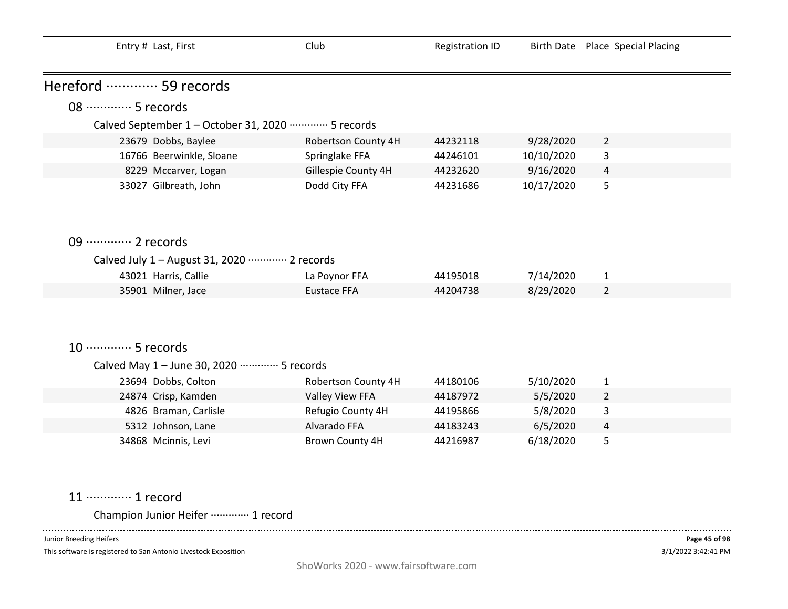| Entry # Last, First                                                          | Club                | <b>Registration ID</b> | <b>Birth Date</b> | Place Special Placing |  |  |  |
|------------------------------------------------------------------------------|---------------------|------------------------|-------------------|-----------------------|--|--|--|
| Hereford  59 records                                                         |                     |                        |                   |                       |  |  |  |
| 08 ………… 5 records                                                            |                     |                        |                   |                       |  |  |  |
| Calved September 1 - October 31, 2020 ·············· 5 records               |                     |                        |                   |                       |  |  |  |
| 23679 Dobbs, Baylee                                                          | Robertson County 4H | 44232118               | 9/28/2020         | $\overline{2}$        |  |  |  |
| 16766 Beerwinkle, Sloane                                                     | Springlake FFA      | 44246101               | 10/10/2020        | 3                     |  |  |  |
| 8229 Mccarver, Logan                                                         | Gillespie County 4H | 44232620               | 9/16/2020         | $\overline{4}$        |  |  |  |
| 33027 Gilbreath, John                                                        | Dodd City FFA       | 44231686               | 10/17/2020        | 5                     |  |  |  |
|                                                                              |                     |                        |                   |                       |  |  |  |
| 09 ············· 2 records<br>Calved July 1 - August 31, 2020 ………… 2 records |                     |                        |                   |                       |  |  |  |
| 43021 Harris, Callie                                                         | La Poynor FFA       | 44195018               | 7/14/2020         | $\mathbf{1}$          |  |  |  |
| 35901 Milner, Jace                                                           | <b>Eustace FFA</b>  | 44204738               | 8/29/2020         | $\overline{2}$        |  |  |  |
| 10 ·············· 5 records                                                  |                     |                        |                   |                       |  |  |  |
| Calved May 1 - June 30, 2020 ………… 5 records                                  |                     |                        |                   |                       |  |  |  |
| 23694 Dobbs, Colton                                                          | Robertson County 4H | 44180106               | 5/10/2020         | $\mathbf{1}$          |  |  |  |
| 24874 Crisp, Kamden                                                          | Valley View FFA     | 44187972               | 5/5/2020          | $\overline{2}$        |  |  |  |
| 4826 Braman, Carlisle                                                        | Refugio County 4H   | 44195866               | 5/8/2020          | 3                     |  |  |  |
| 5312 Johnson, Lane                                                           | Alvarado FFA        | 44183243               | 6/5/2020          | $\overline{4}$        |  |  |  |
| 34868 Mcinnis, Levi                                                          | Brown County 4H     | 44216987               | 6/18/2020         | 5                     |  |  |  |

# 11 ·············· 1 record

Champion Junior Heifer ············· 1 record 

Junior Breeding Heifers

 $\frac{1}{2}$ 

This software is registered to San Antonio Livestock Exposition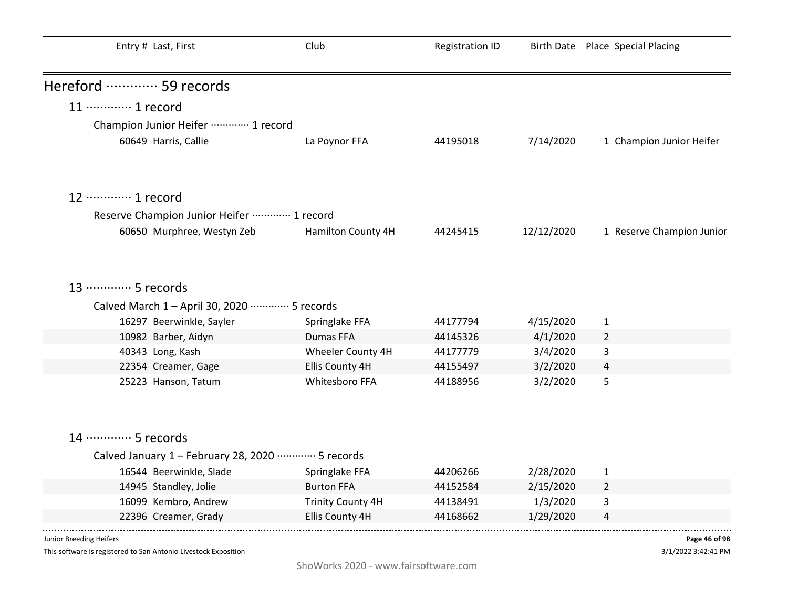| Entry # Last, First                                                 | Club                     | <b>Registration ID</b> |            | Birth Date Place Special Placing |
|---------------------------------------------------------------------|--------------------------|------------------------|------------|----------------------------------|
| Hereford  59 records                                                |                          |                        |            |                                  |
| 11 ············· 1 record                                           |                          |                        |            |                                  |
| Champion Junior Heifer  1 record                                    |                          |                        |            |                                  |
| 60649 Harris, Callie                                                | La Poynor FFA            | 44195018               | 7/14/2020  | 1 Champion Junior Heifer         |
|                                                                     |                          |                        |            |                                  |
| 12 ………… 1 record                                                    |                          |                        |            |                                  |
| Reserve Champion Junior Heifer  1 record                            |                          |                        |            |                                  |
| 60650 Murphree, Westyn Zeb                                          | Hamilton County 4H       | 44245415               | 12/12/2020 | 1 Reserve Champion Junior        |
| 13 ………… 5 records<br>Calved March 1 - April 30, 2020 ………… 5 records |                          |                        |            |                                  |
| 16297 Beerwinkle, Sayler                                            | Springlake FFA           | 44177794               | 4/15/2020  | $\mathbf{1}$                     |
| 10982 Barber, Aidyn                                                 | Dumas FFA                | 44145326               | 4/1/2020   | $\overline{2}$                   |
| 40343 Long, Kash                                                    | Wheeler County 4H        | 44177779               | 3/4/2020   | 3                                |
| 22354 Creamer, Gage                                                 | Ellis County 4H          | 44155497               | 3/2/2020   | 4                                |
| 25223 Hanson, Tatum                                                 | Whitesboro FFA           | 44188956               | 3/2/2020   | 5                                |
|                                                                     |                          |                        |            |                                  |
| 14 ………… 5 records                                                   |                          |                        |            |                                  |
| Calved January 1 - February 28, 2020 ………… 5 records                 |                          |                        |            |                                  |
| 16544 Beerwinkle, Slade                                             | Springlake FFA           | 44206266               | 2/28/2020  | $\mathbf{1}$                     |
| 14945 Standley, Jolie                                               | <b>Burton FFA</b>        | 44152584               | 2/15/2020  | $\overline{2}$                   |
| 16099 Kembro, Andrew                                                | <b>Trinity County 4H</b> | 44138491               | 1/3/2020   | 3                                |
| 22396 Creamer, Grady                                                | Ellis County 4H          | 44168662               | 1/29/2020  | 4                                |
|                                                                     |                          |                        |            |                                  |

This software is registered to San Antonio Livestock Exposition

3/1/2022 3:42:41 PM **Page 46 of 98**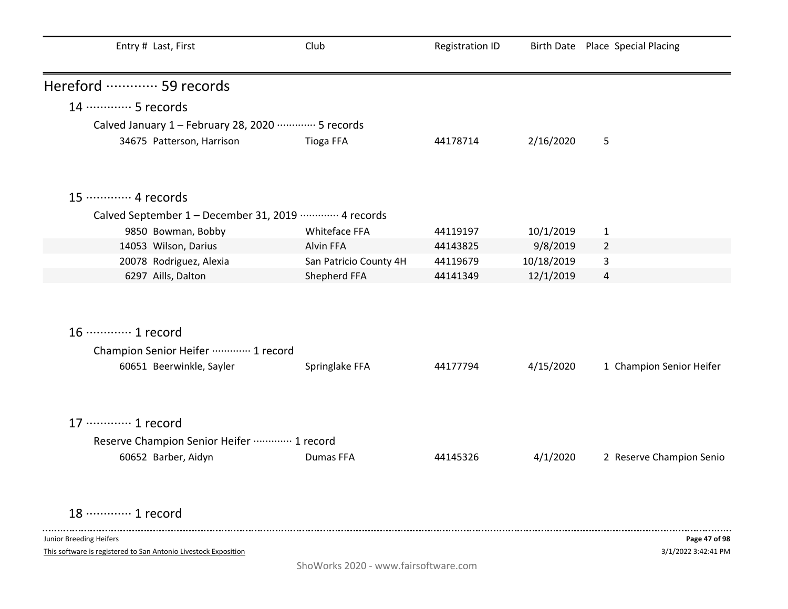| Entry # Last, First                                             | Club                   | <b>Registration ID</b> |            | Birth Date Place Special Placing |
|-----------------------------------------------------------------|------------------------|------------------------|------------|----------------------------------|
| Hereford  59 records                                            |                        |                        |            |                                  |
| 14 ………… 5 records                                               |                        |                        |            |                                  |
| Calved January 1 - February 28, 2020 ………… 5 records             |                        |                        |            |                                  |
| 34675 Patterson, Harrison                                       | Tioga FFA              | 44178714               | 2/16/2020  | 5                                |
| 15 ············· 4 records                                      |                        |                        |            |                                  |
| Calved September 1 - December 31, 2019 ………… 4 records           |                        |                        |            |                                  |
| 9850 Bowman, Bobby                                              | Whiteface FFA          | 44119197               | 10/1/2019  | $\mathbf{1}$                     |
| 14053 Wilson, Darius                                            | Alvin FFA              | 44143825               | 9/8/2019   | $\overline{2}$                   |
| 20078 Rodriguez, Alexia                                         | San Patricio County 4H | 44119679               | 10/18/2019 | 3                                |
| 6297 Aills, Dalton                                              | Shepherd FFA           | 44141349               | 12/1/2019  | 4                                |
| 16 ············· 1 record                                       |                        |                        |            |                                  |
| Champion Senior Heifer  1 record                                |                        |                        |            |                                  |
| 60651 Beerwinkle, Sayler                                        | Springlake FFA         | 44177794               | 4/15/2020  | 1 Champion Senior Heifer         |
| 17 ············· 1 record                                       |                        |                        |            |                                  |
| Reserve Champion Senior Heifer  1 record                        |                        |                        |            |                                  |
| 60652 Barber, Aidyn                                             | Dumas FFA              | 44145326               | 4/1/2020   | 2 Reserve Champion Senio         |
| 18 ………… 1 record                                                |                        |                        |            |                                  |
| Junior Breeding Heifers                                         |                        |                        |            | Page 47 of 98                    |
| This software is registered to San Antonio Livestock Exposition |                        |                        |            | 3/1/2022 3:42:41 PM              |

ShoWorks 2020 - www.fairsoftware.com

 $3/1/2$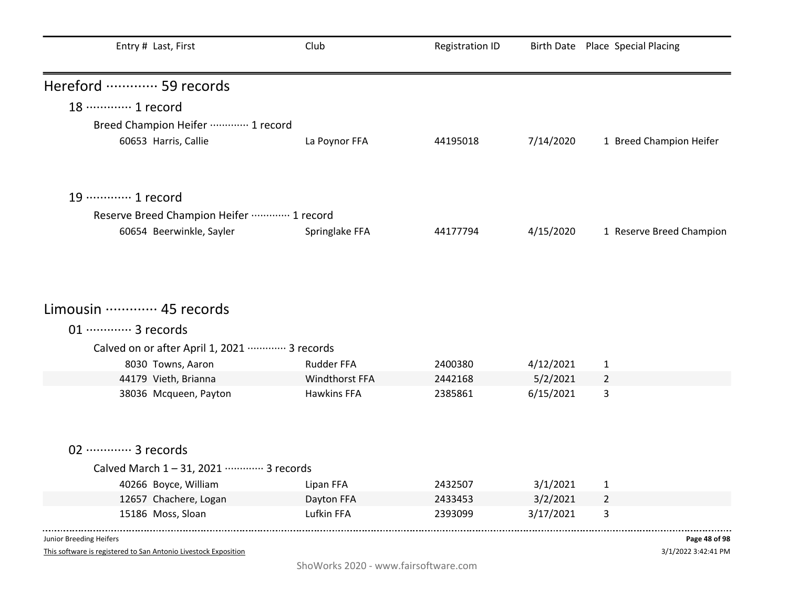| Entry # Last, First                                       | Club               | <b>Registration ID</b> |           | Birth Date Place Special Placing |
|-----------------------------------------------------------|--------------------|------------------------|-----------|----------------------------------|
| Hereford  59 records                                      |                    |                        |           |                                  |
| 18 ············· 1 record                                 |                    |                        |           |                                  |
| Breed Champion Heifer ………… 1 record                       |                    |                        |           |                                  |
| 60653 Harris, Callie                                      | La Poynor FFA      | 44195018               | 7/14/2020 | 1 Breed Champion Heifer          |
| 19 ············· 1 record                                 |                    |                        |           |                                  |
| Reserve Breed Champion Heifer ………… 1 record               |                    |                        |           |                                  |
| 60654 Beerwinkle, Sayler                                  | Springlake FFA     | 44177794               | 4/15/2020 | 1 Reserve Breed Champion         |
| Limousin  45 records                                      |                    |                        |           |                                  |
|                                                           |                    |                        |           |                                  |
| 01 ············· 3 records                                |                    |                        |           |                                  |
| Calved on or after April 1, 2021 ·············· 3 records |                    |                        |           |                                  |
| 8030 Towns, Aaron                                         | <b>Rudder FFA</b>  | 2400380                | 4/12/2021 | $\mathbf{1}$                     |
| 44179 Vieth, Brianna                                      | Windthorst FFA     | 2442168                | 5/2/2021  | $\overline{2}$                   |
| 38036 Mcqueen, Payton                                     | <b>Hawkins FFA</b> | 2385861                | 6/15/2021 | 3                                |
| 02 ············· 3 records                                |                    |                        |           |                                  |
| Calved March 1-31, 2021 ………… 3 records                    |                    |                        |           |                                  |
| 40266 Boyce, William                                      | Lipan FFA          | 2432507                | 3/1/2021  | $\mathbf{1}$                     |
| 12657 Chachere, Logan                                     | Dayton FFA         | 2433453                | 3/2/2021  | $\overline{2}$                   |
| 15186 Moss, Sloan                                         | Lufkin FFA         | 2393099                | 3/17/2021 | 3                                |
| Junior Breeding Heifers                                   |                    |                        |           | Page 48 of 98                    |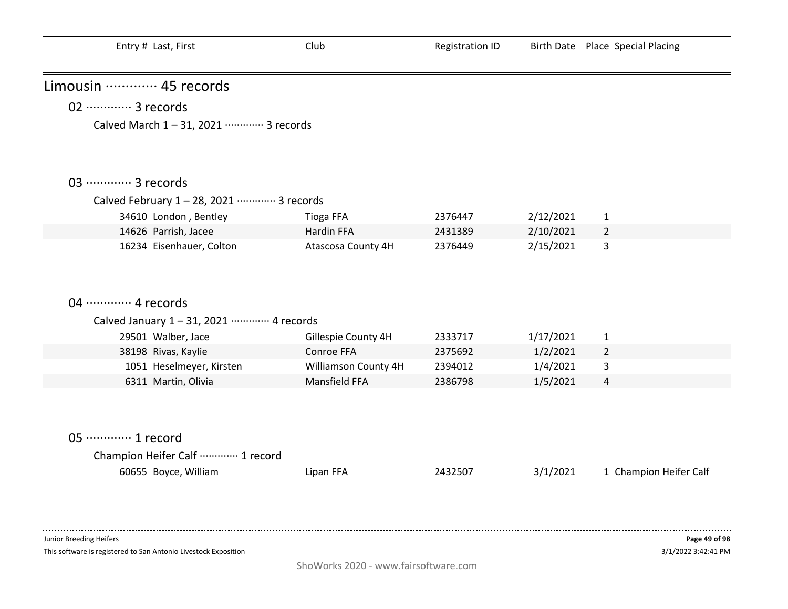| Entry # Last, First                                             | Club                 | <b>Registration ID</b> |           | Birth Date Place Special Placing |
|-----------------------------------------------------------------|----------------------|------------------------|-----------|----------------------------------|
| Limousin  45 records                                            |                      |                        |           |                                  |
| 02 ············· 3 records                                      |                      |                        |           |                                  |
| Calved March 1-31, 2021 ………… 3 records                          |                      |                        |           |                                  |
| 03 ·············· 3 records                                     |                      |                        |           |                                  |
| Calved February 1-28, 2021 ………… 3 records                       |                      |                        |           |                                  |
| 34610 London, Bentley                                           | <b>Tioga FFA</b>     | 2376447                | 2/12/2021 | $\mathbf{1}$                     |
| 14626 Parrish, Jacee                                            | Hardin FFA           | 2431389                | 2/10/2021 | $\overline{2}$                   |
| 16234 Eisenhauer, Colton                                        | Atascosa County 4H   | 2376449                | 2/15/2021 | 3                                |
|                                                                 |                      |                        |           |                                  |
|                                                                 |                      |                        |           |                                  |
|                                                                 |                      |                        |           |                                  |
| 04 ………… 4 records                                               |                      |                        |           |                                  |
| Calved January 1-31, 2021 ………… 4 records                        |                      |                        |           |                                  |
| 29501 Walber, Jace                                              | Gillespie County 4H  | 2333717                | 1/17/2021 | $\mathbf{1}$                     |
| 38198 Rivas, Kaylie                                             | Conroe FFA           | 2375692                | 1/2/2021  | $\overline{2}$                   |
| 1051 Heselmeyer, Kirsten                                        | Williamson County 4H | 2394012                | 1/4/2021  | 3                                |
| 6311 Martin, Olivia                                             | Mansfield FFA        | 2386798                | 1/5/2021  | 4                                |
| 05 ·············· 1 record                                      |                      |                        |           |                                  |
| Champion Heifer Calf  1 record                                  |                      |                        |           |                                  |
| 60655 Boyce, William                                            | Lipan FFA            | 2432507                | 3/1/2021  | 1 Champion Heifer Calf           |
|                                                                 |                      |                        |           |                                  |
| Junior Breeding Heifers                                         |                      |                        |           | Page 49 of 98                    |
| This software is registered to San Antonio Livestock Exposition |                      |                        |           | 3/1/2022 3:42:41 PM              |
|                                                                 |                      |                        |           |                                  |

 $\blacksquare$ 

ShoWorks 2020 - www.fairsoftware.com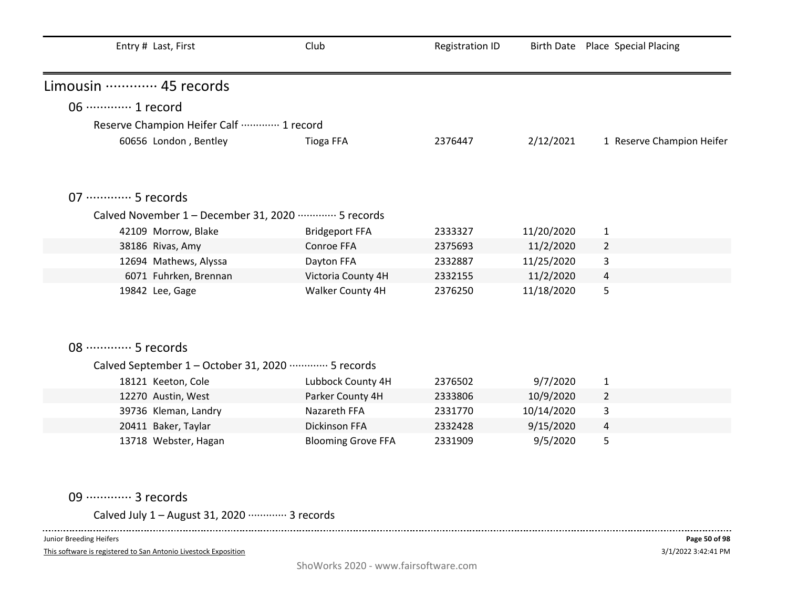| Entry # Last, First                                            | Club                      | <b>Registration ID</b> |            | Birth Date Place Special Placing |
|----------------------------------------------------------------|---------------------------|------------------------|------------|----------------------------------|
| Limousin ………… 45 records                                       |                           |                        |            |                                  |
| 06 ·············· 1 record                                     |                           |                        |            |                                  |
| Reserve Champion Heifer Calf ………… 1 record                     |                           |                        |            |                                  |
| 60656 London, Bentley                                          | <b>Tioga FFA</b>          | 2376447                | 2/12/2021  | 1 Reserve Champion Heifer        |
| 07 ·············· 5 records                                    |                           |                        |            |                                  |
| Calved November 1 - December 31, 2020 ·············· 5 records |                           |                        |            |                                  |
| 42109 Morrow, Blake                                            | <b>Bridgeport FFA</b>     | 2333327                | 11/20/2020 | $\mathbf{1}$                     |
| 38186 Rivas, Amy                                               | Conroe FFA                | 2375693                | 11/2/2020  | $\overline{2}$                   |
| 12694 Mathews, Alyssa                                          | Dayton FFA                | 2332887                | 11/25/2020 | 3                                |
| 6071 Fuhrken, Brennan                                          | Victoria County 4H        | 2332155                | 11/2/2020  | 4                                |
| 19842 Lee, Gage                                                | Walker County 4H          | 2376250                | 11/18/2020 | 5                                |
| 08 ·············· 5 records                                    |                           |                        |            |                                  |
| Calved September 1 - October 31, 2020 ·············· 5 records |                           |                        |            |                                  |
| 18121 Keeton, Cole                                             | Lubbock County 4H         | 2376502                | 9/7/2020   | $\mathbf{1}$                     |
| 12270 Austin, West                                             | Parker County 4H          | 2333806                | 10/9/2020  | $\overline{2}$                   |
| 39736 Kleman, Landry                                           | Nazareth FFA              | 2331770                | 10/14/2020 | 3                                |
| 20411 Baker, Taylar                                            | Dickinson FFA             | 2332428                | 9/15/2020  | 4                                |
| 13718 Webster, Hagan                                           | <b>Blooming Grove FFA</b> | 2331909                | 9/5/2020   | 5                                |

09 ·············· 3 records

Calved July 1 – August 31, 2020 ············· 3 records

Junior Breeding Heifers

 $\sim$   $\sim$   $\sim$   $\sim$ 

This software is registered to San Antonio Livestock Exposition

 $- - - - -$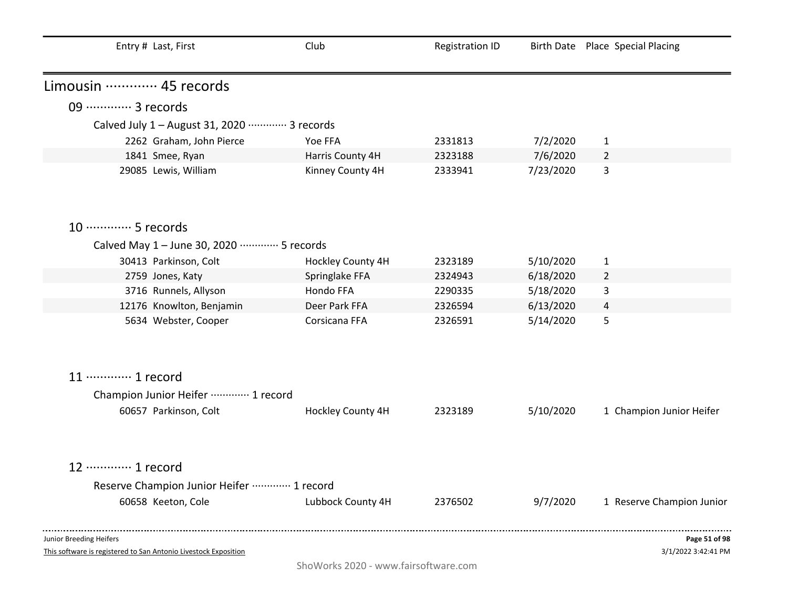| Entry # Last, First                                                                        | Club              | <b>Registration ID</b> |           | Birth Date Place Special Placing     |
|--------------------------------------------------------------------------------------------|-------------------|------------------------|-----------|--------------------------------------|
| Limousin  45 records                                                                       |                   |                        |           |                                      |
| 09 ·············· 3 records                                                                |                   |                        |           |                                      |
| Calved July 1 - August 31, 2020 ………… 3 records                                             |                   |                        |           |                                      |
| 2262 Graham, John Pierce                                                                   | Yoe FFA           | 2331813                | 7/2/2020  | $\mathbf{1}$                         |
| 1841 Smee, Ryan                                                                            | Harris County 4H  | 2323188                | 7/6/2020  | $\overline{2}$                       |
| 29085 Lewis, William                                                                       | Kinney County 4H  | 2333941                | 7/23/2020 | 3                                    |
| 10 ·············· 5 records                                                                |                   |                        |           |                                      |
| Calved May 1 - June 30, 2020 ………… 5 records                                                |                   |                        |           |                                      |
| 30413 Parkinson, Colt                                                                      | Hockley County 4H | 2323189                | 5/10/2020 | $\mathbf{1}$                         |
| 2759 Jones, Katy                                                                           | Springlake FFA    | 2324943                | 6/18/2020 | $\overline{2}$                       |
| 3716 Runnels, Allyson                                                                      | Hondo FFA         | 2290335                | 5/18/2020 | 3                                    |
| 12176 Knowlton, Benjamin                                                                   | Deer Park FFA     | 2326594                | 6/13/2020 | 4                                    |
| 5634 Webster, Cooper                                                                       | Corsicana FFA     | 2326591                | 5/14/2020 | 5                                    |
| 11 ············· 1 record                                                                  |                   |                        |           |                                      |
| Champion Junior Heifer ………… 1 record                                                       |                   |                        |           |                                      |
| 60657 Parkinson, Colt                                                                      | Hockley County 4H | 2323189                | 5/10/2020 | 1 Champion Junior Heifer             |
| 12 ………… 1 record                                                                           |                   |                        |           |                                      |
| Reserve Champion Junior Heifer  1 record                                                   |                   |                        |           |                                      |
| 60658 Keeton, Cole                                                                         | Lubbock County 4H | 2376502                | 9/7/2020  | 1 Reserve Champion Junior            |
| Junior Breeding Heifers<br>This software is registered to San Antonio Livestock Exposition |                   |                        |           | Page 51 of 98<br>3/1/2022 3:42:41 PM |

ShoWorks 2020 - www.fairsoftware.com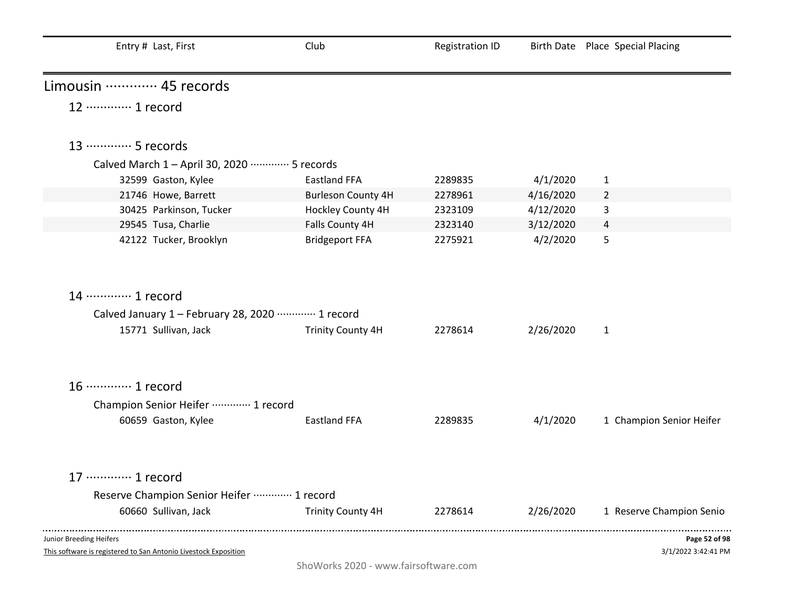| Entry # Last, First                                                                        | Club                      | <b>Registration ID</b> |           | Birth Date Place Special Placing     |
|--------------------------------------------------------------------------------------------|---------------------------|------------------------|-----------|--------------------------------------|
| Limousin  45 records                                                                       |                           |                        |           |                                      |
| 12 ………… 1 record                                                                           |                           |                        |           |                                      |
| 13 ············· 5 records                                                                 |                           |                        |           |                                      |
| Calved March 1 - April 30, 2020 ………… 5 records                                             |                           |                        |           |                                      |
| 32599 Gaston, Kylee                                                                        | <b>Eastland FFA</b>       | 2289835                | 4/1/2020  | $\mathbf{1}$                         |
| 21746 Howe, Barrett                                                                        | <b>Burleson County 4H</b> | 2278961                | 4/16/2020 | $\overline{2}$                       |
| 30425 Parkinson, Tucker                                                                    | Hockley County 4H         | 2323109                | 4/12/2020 | 3                                    |
| 29545 Tusa, Charlie                                                                        | Falls County 4H           | 2323140                | 3/12/2020 | 4                                    |
| 42122 Tucker, Brooklyn                                                                     | <b>Bridgeport FFA</b>     | 2275921                | 4/2/2020  | 5                                    |
| 14 ………… 1 record                                                                           |                           |                        |           |                                      |
| Calved January 1 - February 28, 2020 ………… 1 record                                         |                           |                        |           |                                      |
| 15771 Sullivan, Jack                                                                       | <b>Trinity County 4H</b>  | 2278614                | 2/26/2020 | $\mathbf{1}$                         |
| 16 ············· 1 record                                                                  |                           |                        |           |                                      |
| Champion Senior Heifer  1 record                                                           |                           |                        |           |                                      |
| 60659 Gaston, Kylee                                                                        | <b>Eastland FFA</b>       | 2289835                | 4/1/2020  | 1 Champion Senior Heifer             |
| 17 ············· 1 record                                                                  |                           |                        |           |                                      |
| Reserve Champion Senior Heifer  1 record                                                   |                           |                        |           |                                      |
| 60660 Sullivan, Jack                                                                       | <b>Trinity County 4H</b>  | 2278614                | 2/26/2020 | 1 Reserve Champion Senio             |
| Junior Breeding Heifers<br>This software is registered to San Antonio Livestock Exposition |                           |                        |           | Page 52 of 98<br>3/1/2022 3:42:41 PM |

ShoWorks 2020 - www.fairsoftware.com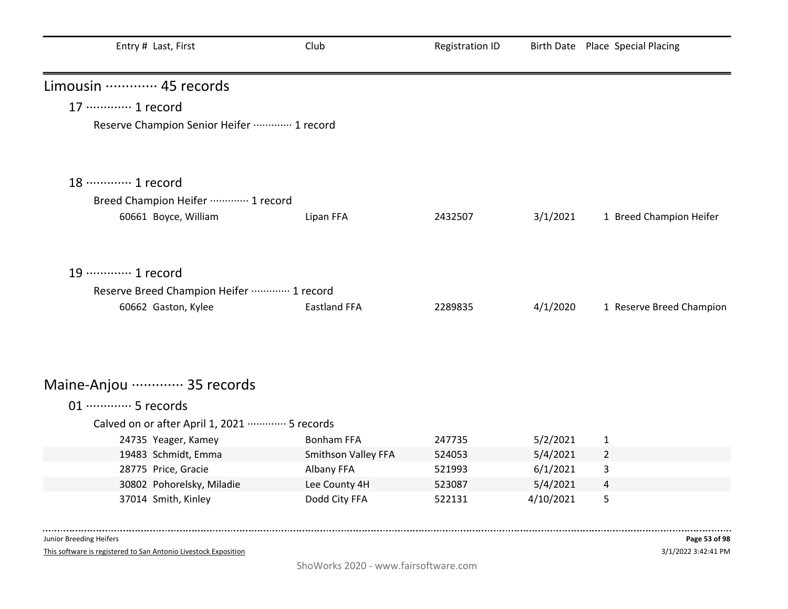| Entry # Last, First                         | Club                | <b>Registration ID</b> |           | Birth Date Place Special Placing |
|---------------------------------------------|---------------------|------------------------|-----------|----------------------------------|
| Limousin ………… 45 records                    |                     |                        |           |                                  |
| 17 ············· 1 record                   |                     |                        |           |                                  |
| Reserve Champion Senior Heifer  1 record    |                     |                        |           |                                  |
| 18 ············· 1 record                   |                     |                        |           |                                  |
| Breed Champion Heifer ………… 1 record         |                     |                        |           |                                  |
| 60661 Boyce, William                        | Lipan FFA           | 2432507                | 3/1/2021  | 1 Breed Champion Heifer          |
| 19 ············· 1 record                   |                     |                        |           |                                  |
| Reserve Breed Champion Heifer  1 record     |                     |                        |           |                                  |
| 60662 Gaston, Kylee                         | <b>Eastland FFA</b> | 2289835                | 4/1/2020  | 1 Reserve Breed Champion         |
| Maine-Anjou ………… 35 records                 |                     |                        |           |                                  |
| 01 ············· 5 records                  |                     |                        |           |                                  |
| Calved on or after April 1, 2021  5 records |                     |                        |           |                                  |
| 24735 Yeager, Kamey                         | <b>Bonham FFA</b>   | 247735                 | 5/2/2021  | 1                                |
| 19483 Schmidt, Emma                         | Smithson Valley FFA | 524053                 | 5/4/2021  | $\overline{2}$                   |
| 28775 Price, Gracie                         | Albany FFA          | 521993                 | 6/1/2021  | 3                                |
| 30802 Pohorelsky, Miladie                   | Lee County 4H       | 523087                 | 5/4/2021  | 4                                |
| 37014 Smith, Kinley                         | Dodd City FFA       | 522131                 | 4/10/2021 | 5                                |

This software is registered to San Antonio Livestock Exposition

. . . . . . . .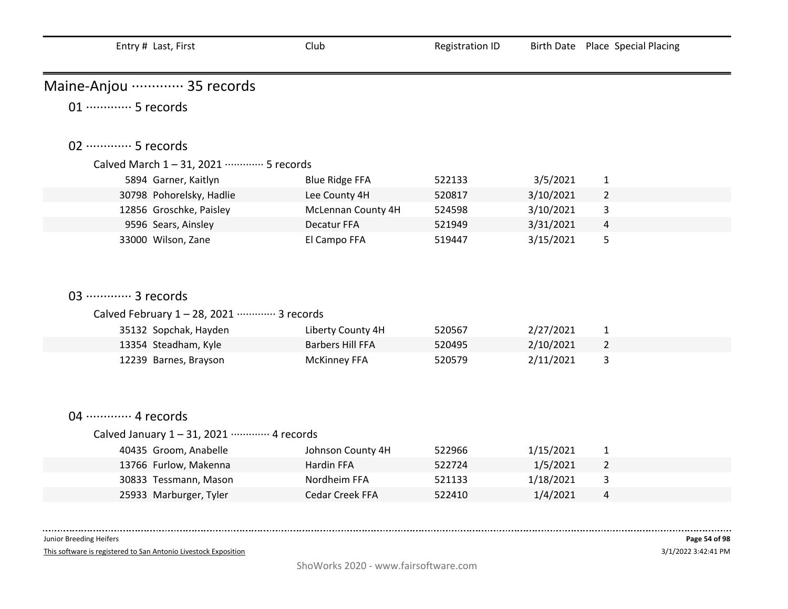| Entry # Last, First                       | Club                    | <b>Registration ID</b> |           | Birth Date Place Special Placing |
|-------------------------------------------|-------------------------|------------------------|-----------|----------------------------------|
| Maine-Anjou ………… 35 records               |                         |                        |           |                                  |
| 01 ············· 5 records                |                         |                        |           |                                  |
| 02 ·············· 5 records               |                         |                        |           |                                  |
| Calved March 1-31, 2021 ………… 5 records    |                         |                        |           |                                  |
| 5894 Garner, Kaitlyn                      | <b>Blue Ridge FFA</b>   | 522133                 | 3/5/2021  | 1                                |
| 30798 Pohorelsky, Hadlie                  | Lee County 4H           | 520817                 | 3/10/2021 | $\overline{2}$                   |
| 12856 Groschke, Paisley                   | McLennan County 4H      | 524598                 | 3/10/2021 | 3                                |
| 9596 Sears, Ainsley                       | Decatur FFA             | 521949                 | 3/31/2021 | 4                                |
| 33000 Wilson, Zane                        | El Campo FFA            | 519447                 | 3/15/2021 | 5                                |
| 03 ·············· 3 records               |                         |                        |           |                                  |
| Calved February 1-28, 2021 ………… 3 records |                         |                        |           |                                  |
| 35132 Sopchak, Hayden                     | Liberty County 4H       | 520567                 | 2/27/2021 | $\mathbf{1}$                     |
| 13354 Steadham, Kyle                      | <b>Barbers Hill FFA</b> | 520495                 | 2/10/2021 | $\overline{2}$                   |
| 12239 Barnes, Brayson                     | <b>McKinney FFA</b>     | 520579                 | 2/11/2021 | 3                                |
| 04 ………… 4 records                         |                         |                        |           |                                  |
| Calved January 1-31, 2021 ………… 4 records  |                         |                        |           |                                  |
| 40435 Groom, Anabelle                     | Johnson County 4H       | 522966                 | 1/15/2021 | $\mathbf{1}$                     |
| 13766 Furlow, Makenna                     | Hardin FFA              | 522724                 | 1/5/2021  | $\overline{2}$                   |
| 30833 Tessmann, Mason                     | Nordheim FFA            | 521133                 | 1/18/2021 | 3                                |
| 25933 Marburger, Tyler                    | Cedar Creek FFA         | 522410                 | 1/4/2021  | 4                                |

This software is registered to San Antonio Livestock Exposition

. . . . .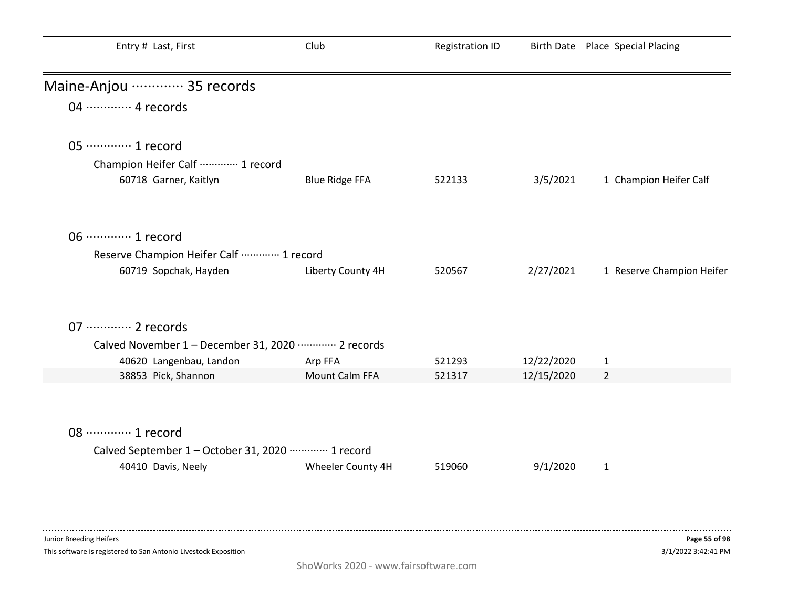| Entry # Last, First                                  | Club                  | <b>Registration ID</b> |            | Birth Date Place Special Placing |
|------------------------------------------------------|-----------------------|------------------------|------------|----------------------------------|
| Maine-Anjou ………… 35 records                          |                       |                        |            |                                  |
| 04 ………… 4 records                                    |                       |                        |            |                                  |
| 05 ············· 1 record                            |                       |                        |            |                                  |
| Champion Heifer Calf  1 record                       |                       |                        |            |                                  |
| 60718 Garner, Kaitlyn                                | <b>Blue Ridge FFA</b> | 522133                 | 3/5/2021   | 1 Champion Heifer Calf           |
| 06 ············· 1 record                            |                       |                        |            |                                  |
| Reserve Champion Heifer Calf  1 record               |                       |                        |            |                                  |
| 60719 Sopchak, Hayden                                | Liberty County 4H     | 520567                 | 2/27/2021  | 1 Reserve Champion Heifer        |
| 07 ············· 2 records                           |                       |                        |            |                                  |
| Calved November 1 - December 31, 2020 ………… 2 records |                       |                        |            |                                  |
| 40620 Langenbau, Landon                              | Arp FFA               | 521293                 | 12/22/2020 | $\mathbf{1}$                     |
| 38853 Pick, Shannon                                  | Mount Calm FFA        | 521317                 | 12/15/2020 | $\overline{2}$                   |
|                                                      |                       |                        |            |                                  |
| 08 ············· 1 record                            |                       |                        |            |                                  |
| Calved September 1 - October 31, 2020 ………… 1 record  |                       |                        |            |                                  |
| 40410 Davis, Neely                                   | Wheeler County 4H     | 519060                 | 9/1/2020   | $\mathbf{1}$                     |
|                                                      |                       |                        |            |                                  |

This software is registered to San Antonio Livestock Exposition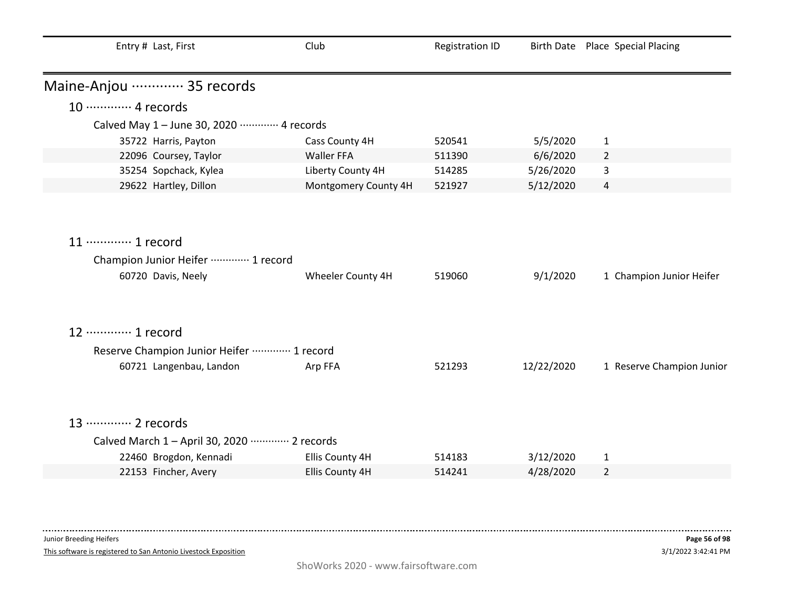| Entry # Last, First                                     | Club                 | <b>Registration ID</b> |            | Birth Date Place Special Placing |
|---------------------------------------------------------|----------------------|------------------------|------------|----------------------------------|
| Maine-Anjou ………… 35 records                             |                      |                        |            |                                  |
| 10 ············· 4 records                              |                      |                        |            |                                  |
| Calved May 1 - June 30, 2020 ………… 4 records             |                      |                        |            |                                  |
| 35722 Harris, Payton                                    | Cass County 4H       | 520541                 | 5/5/2020   | $\mathbf{1}$                     |
| 22096 Coursey, Taylor                                   | Waller FFA           | 511390                 | 6/6/2020   | $\overline{2}$                   |
| 35254 Sopchack, Kylea                                   | Liberty County 4H    | 514285                 | 5/26/2020  | 3                                |
| 29622 Hartley, Dillon                                   | Montgomery County 4H | 521927                 | 5/12/2020  | 4                                |
|                                                         |                      |                        |            |                                  |
|                                                         |                      |                        |            |                                  |
| 11 ………… 1 record                                        |                      |                        |            |                                  |
| Champion Junior Heifer ………… 1 record                    |                      |                        |            |                                  |
| 60720 Davis, Neely                                      | Wheeler County 4H    | 519060                 | 9/1/2020   | 1 Champion Junior Heifer         |
|                                                         |                      |                        |            |                                  |
| 12 ………… 1 record                                        |                      |                        |            |                                  |
|                                                         |                      |                        |            |                                  |
| Reserve Champion Junior Heifer  1 record                |                      |                        |            |                                  |
| 60721 Langenbau, Landon                                 | Arp FFA              | 521293                 | 12/22/2020 | 1 Reserve Champion Junior        |
|                                                         |                      |                        |            |                                  |
| 13 ············· 2 records                              |                      |                        |            |                                  |
| Calved March 1 - April 30, 2020 ············· 2 records |                      |                        |            |                                  |
| 22460 Brogdon, Kennadi                                  | Ellis County 4H      | 514183                 | 3/12/2020  | $\mathbf{1}$                     |
| 22153 Fincher, Avery                                    | Ellis County 4H      | 514241                 | 4/28/2020  | $\overline{2}$                   |
|                                                         |                      |                        |            |                                  |

This software is registered to San Antonio Livestock Exposition

-------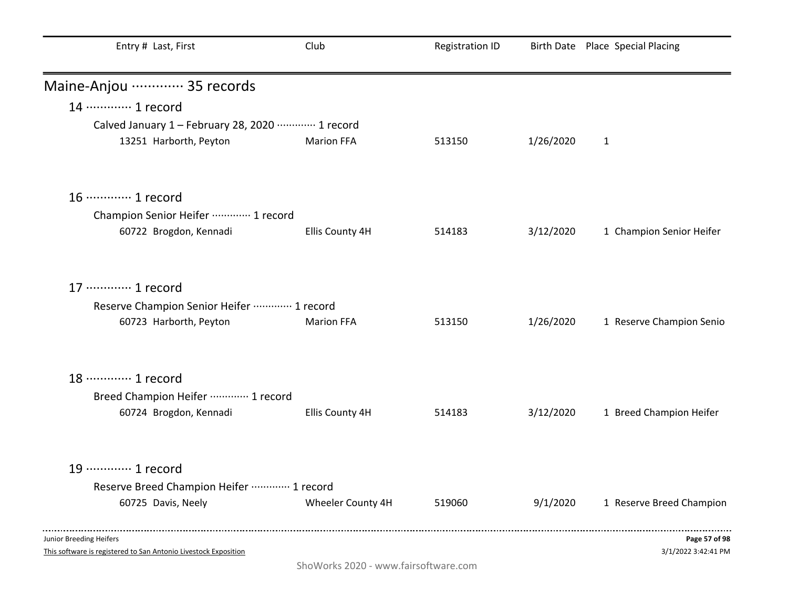| Entry # Last, First                                                                        | Club              | <b>Registration ID</b> |           | Birth Date Place Special Placing     |
|--------------------------------------------------------------------------------------------|-------------------|------------------------|-----------|--------------------------------------|
| Maine-Anjou ………… 35 records                                                                |                   |                        |           |                                      |
| 14 ………… 1 record                                                                           |                   |                        |           |                                      |
| Calved January 1 - February 28, 2020 ………… 1 record                                         |                   |                        |           |                                      |
| 13251 Harborth, Peyton                                                                     | <b>Marion FFA</b> | 513150                 | 1/26/2020 | $\mathbf{1}$                         |
| 16 ············· 1 record                                                                  |                   |                        |           |                                      |
| Champion Senior Heifer ………… 1 record                                                       |                   |                        |           |                                      |
| 60722 Brogdon, Kennadi                                                                     | Ellis County 4H   | 514183                 | 3/12/2020 | 1 Champion Senior Heifer             |
| 17 ············· 1 record                                                                  |                   |                        |           |                                      |
| Reserve Champion Senior Heifer ………… 1 record                                               |                   |                        |           |                                      |
| 60723 Harborth, Peyton                                                                     | <b>Marion FFA</b> | 513150                 | 1/26/2020 | 1 Reserve Champion Senio             |
| 18 ············· 1 record                                                                  |                   |                        |           |                                      |
| Breed Champion Heifer ………… 1 record                                                        |                   |                        |           |                                      |
| 60724 Brogdon, Kennadi                                                                     | Ellis County 4H   | 514183                 | 3/12/2020 | 1 Breed Champion Heifer              |
| 19 ············· 1 record                                                                  |                   |                        |           |                                      |
| Reserve Breed Champion Heifer  1 record                                                    |                   |                        |           |                                      |
| 60725 Davis, Neely                                                                         | Wheeler County 4H | 519060                 | 9/1/2020  | 1 Reserve Breed Champion             |
| Junior Breeding Heifers<br>This software is registered to San Antonio Livestock Exposition |                   |                        |           | Page 57 of 98<br>3/1/2022 3:42:41 PM |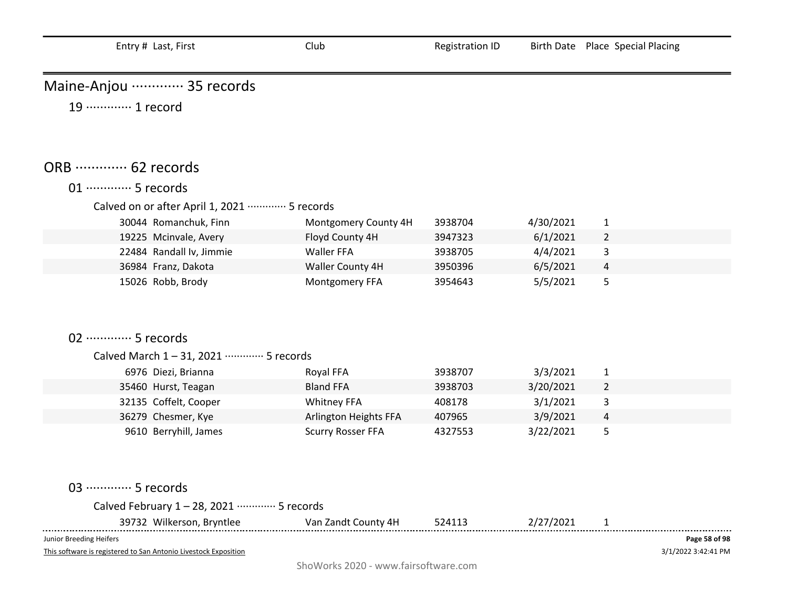| Entry # Last, First                                                                        | Club                     | <b>Registration ID</b> |           | Birth Date Place Special Placing     |
|--------------------------------------------------------------------------------------------|--------------------------|------------------------|-----------|--------------------------------------|
| Maine-Anjou ………… 35 records                                                                |                          |                        |           |                                      |
| 19 ············· 1 record                                                                  |                          |                        |           |                                      |
| ORB  62 records                                                                            |                          |                        |           |                                      |
| 01 ············· 5 records                                                                 |                          |                        |           |                                      |
| Calved on or after April 1, 2021 ·············· 5 records                                  |                          |                        |           |                                      |
| 30044 Romanchuk, Finn                                                                      | Montgomery County 4H     | 3938704                | 4/30/2021 | $\mathbf{1}$                         |
| 19225 Mcinvale, Avery                                                                      | Floyd County 4H          | 3947323                | 6/1/2021  | $\overline{2}$                       |
| 22484 Randall Iv, Jimmie                                                                   | Waller FFA               | 3938705                | 4/4/2021  | 3                                    |
| 36984 Franz, Dakota                                                                        | Waller County 4H         | 3950396                | 6/5/2021  | 4                                    |
| 15026 Robb, Brody                                                                          | Montgomery FFA           | 3954643                | 5/5/2021  | 5                                    |
| 02 ·············· 5 records                                                                |                          |                        |           |                                      |
| Calved March 1-31, 2021 ………… 5 records                                                     |                          |                        |           |                                      |
| 6976 Diezi, Brianna                                                                        | Royal FFA                | 3938707                | 3/3/2021  | $\mathbf{1}$                         |
| 35460 Hurst, Teagan                                                                        | <b>Bland FFA</b>         | 3938703                | 3/20/2021 | $\overline{2}$                       |
| 32135 Coffelt, Cooper                                                                      | <b>Whitney FFA</b>       | 408178                 | 3/1/2021  | 3                                    |
| 36279 Chesmer, Kye                                                                         | Arlington Heights FFA    | 407965                 | 3/9/2021  | 4                                    |
| 9610 Berryhill, James                                                                      | <b>Scurry Rosser FFA</b> | 4327553                | 3/22/2021 | 5                                    |
| 03 ………… 5 records                                                                          |                          |                        |           |                                      |
| Calved February 1 - 28, 2021 ………… 5 records                                                |                          |                        |           |                                      |
| 39732 Wilkerson, Bryntlee                                                                  | Van Zandt County 4H      | 524113                 | 2/27/2021 | 1                                    |
| Junior Breeding Heifers<br>This software is registered to San Antonio Livestock Exposition |                          |                        |           | Page 58 of 98<br>3/1/2022 3:42:41 PM |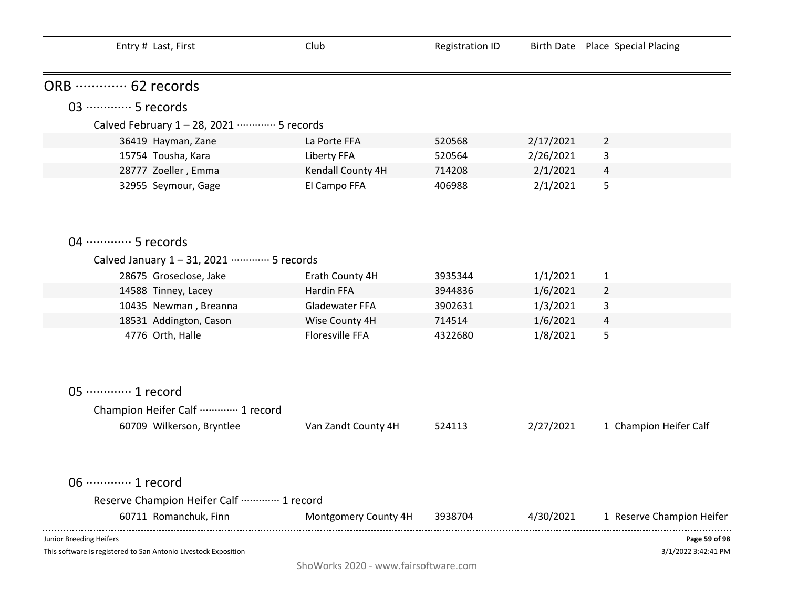| Entry # Last, First                                                                        | Club                 | <b>Registration ID</b> |           | Birth Date Place Special Placing     |
|--------------------------------------------------------------------------------------------|----------------------|------------------------|-----------|--------------------------------------|
| ORB  62 records                                                                            |                      |                        |           |                                      |
| 03 ·············· 5 records                                                                |                      |                        |           |                                      |
| Calved February 1 - 28, 2021 ………… 5 records                                                |                      |                        |           |                                      |
| 36419 Hayman, Zane                                                                         | La Porte FFA         | 520568                 | 2/17/2021 | $\overline{2}$                       |
| 15754 Tousha, Kara                                                                         | Liberty FFA          | 520564                 | 2/26/2021 | 3                                    |
| 28777 Zoeller, Emma                                                                        | Kendall County 4H    | 714208                 | 2/1/2021  | $\overline{4}$                       |
| 32955 Seymour, Gage                                                                        | El Campo FFA         | 406988                 | 2/1/2021  | 5                                    |
| 04 ………… 5 records                                                                          |                      |                        |           |                                      |
| Calved January 1-31, 2021 ………… 5 records                                                   |                      |                        |           |                                      |
| 28675 Groseclose, Jake                                                                     | Erath County 4H      | 3935344                | 1/1/2021  | $\mathbf{1}$                         |
| 14588 Tinney, Lacey                                                                        | Hardin FFA           | 3944836                | 1/6/2021  | $\overline{2}$                       |
| 10435 Newman, Breanna                                                                      | Gladewater FFA       | 3902631                | 1/3/2021  | 3                                    |
| 18531 Addington, Cason                                                                     | Wise County 4H       | 714514                 | 1/6/2021  | 4                                    |
| 4776 Orth, Halle                                                                           | Floresville FFA      | 4322680                | 1/8/2021  | 5                                    |
| 05 ············· 1 record                                                                  |                      |                        |           |                                      |
| Champion Heifer Calf  1 record                                                             |                      |                        |           |                                      |
| 60709 Wilkerson, Bryntlee                                                                  | Van Zandt County 4H  | 524113                 | 2/27/2021 | 1 Champion Heifer Calf               |
| 06 ············· 1 record                                                                  |                      |                        |           |                                      |
| Reserve Champion Heifer Calf  1 record                                                     |                      |                        |           |                                      |
| 60711 Romanchuk, Finn                                                                      | Montgomery County 4H | 3938704                | 4/30/2021 | 1 Reserve Champion Heifer            |
| Junior Breeding Heifers<br>This software is registered to San Antonio Livestock Exposition |                      |                        |           | Page 59 of 98<br>3/1/2022 3:42:41 PM |

ShoWorks 2020 - www.fairsoftware.com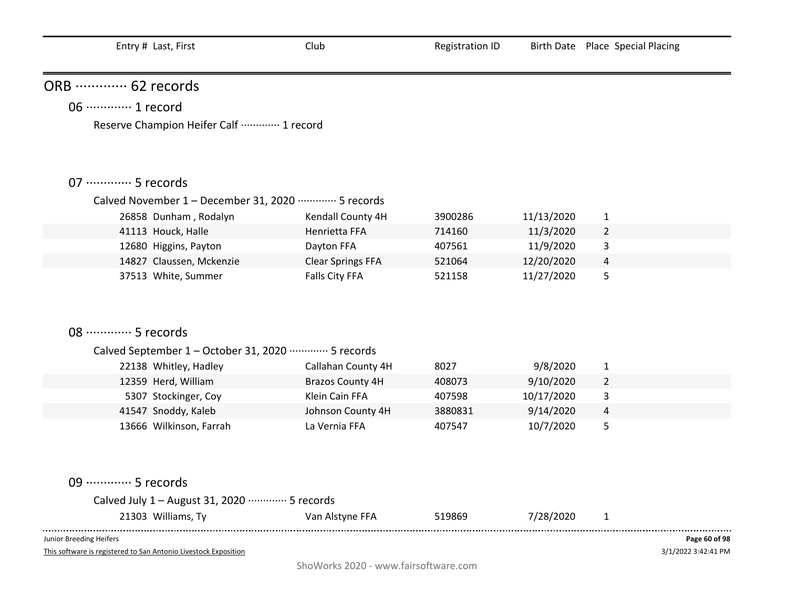| ORB  62 records                                                |                          |         |            |                                |               |
|----------------------------------------------------------------|--------------------------|---------|------------|--------------------------------|---------------|
| 06 ·············· 1 record                                     |                          |         |            |                                |               |
| Reserve Champion Heifer Calf  1 record                         |                          |         |            |                                |               |
|                                                                |                          |         |            |                                |               |
|                                                                |                          |         |            |                                |               |
| 07 ·············· 5 records                                    |                          |         |            |                                |               |
| Calved November 1 - December 31, 2020 ………… 5 records           |                          |         |            |                                |               |
| 26858 Dunham, Rodalyn                                          | Kendall County 4H        | 3900286 | 11/13/2020 |                                |               |
| 41113 Houck, Halle                                             | Henrietta FFA            | 714160  | 11/3/2020  | $\mathbf{1}$<br>$\overline{2}$ |               |
| 12680 Higgins, Payton                                          | Dayton FFA               | 407561  | 11/9/2020  | 3                              |               |
| 14827 Claussen, Mckenzie                                       | <b>Clear Springs FFA</b> | 521064  | 12/20/2020 | $\overline{4}$                 |               |
| 37513 White, Summer                                            | Falls City FFA           | 521158  | 11/27/2020 | 5                              |               |
|                                                                |                          |         |            |                                |               |
|                                                                |                          |         |            |                                |               |
|                                                                |                          |         |            |                                |               |
| 08 ·············· 5 records                                    |                          |         |            |                                |               |
| Calved September 1 - October 31, 2020 ·············· 5 records |                          |         |            |                                |               |
| 22138 Whitley, Hadley                                          | Callahan County 4H       | 8027    | 9/8/2020   | $\mathbf{1}$                   |               |
| 12359 Herd, William                                            | <b>Brazos County 4H</b>  | 408073  | 9/10/2020  | $\overline{2}$                 |               |
| 5307 Stockinger, Coy                                           | Klein Cain FFA           | 407598  | 10/17/2020 | 3                              |               |
| 41547 Snoddy, Kaleb                                            | Johnson County 4H        | 3880831 | 9/14/2020  | $\overline{4}$                 |               |
| 13666 Wilkinson, Farrah                                        | La Vernia FFA            | 407547  | 10/7/2020  | 5                              |               |
|                                                                |                          |         |            |                                |               |
|                                                                |                          |         |            |                                |               |
|                                                                |                          |         |            |                                |               |
| 09 ·············· 5 records                                    |                          |         |            |                                |               |
| Calved July 1 - August 31, 2020 ………… 5 records                 |                          |         |            |                                |               |
| 21303 Williams, Ty                                             | Van Alstyne FFA          | 519869  | 7/28/2020  | $\mathbf{1}$                   |               |
| Junior Breeding Heifers                                        |                          |         |            |                                | Page 60 of 98 |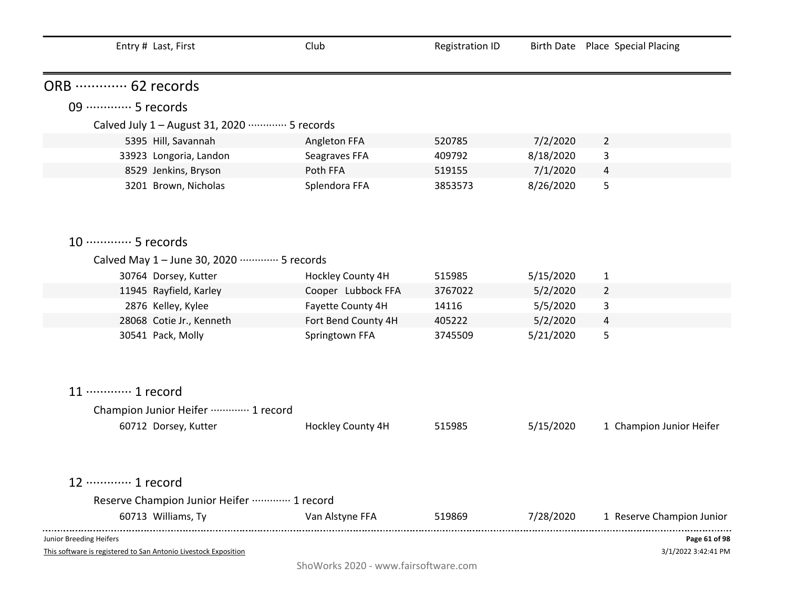| Entry # Last, First                                                                        | Club                | <b>Registration ID</b> |           | Birth Date Place Special Placing     |
|--------------------------------------------------------------------------------------------|---------------------|------------------------|-----------|--------------------------------------|
| ORB  62 records                                                                            |                     |                        |           |                                      |
| 09 ·············· 5 records                                                                |                     |                        |           |                                      |
| Calved July 1 - August 31, 2020 ………… 5 records                                             |                     |                        |           |                                      |
| 5395 Hill, Savannah                                                                        | Angleton FFA        | 520785                 | 7/2/2020  | $\overline{2}$                       |
| 33923 Longoria, Landon                                                                     | Seagraves FFA       | 409792                 | 8/18/2020 | 3                                    |
| 8529 Jenkins, Bryson                                                                       | Poth FFA            | 519155                 | 7/1/2020  | 4                                    |
| 3201 Brown, Nicholas                                                                       | Splendora FFA       | 3853573                | 8/26/2020 | 5                                    |
| 10 ············· 5 records                                                                 |                     |                        |           |                                      |
| Calved May 1 - June 30, 2020 ………… 5 records                                                |                     |                        |           |                                      |
| 30764 Dorsey, Kutter                                                                       | Hockley County 4H   | 515985                 | 5/15/2020 | $\mathbf{1}$                         |
| 11945 Rayfield, Karley                                                                     | Cooper Lubbock FFA  | 3767022                | 5/2/2020  | 2                                    |
| 2876 Kelley, Kylee                                                                         | Fayette County 4H   | 14116                  | 5/5/2020  | 3                                    |
| 28068 Cotie Jr., Kenneth                                                                   | Fort Bend County 4H | 405222                 | 5/2/2020  | 4                                    |
| 30541 Pack, Molly                                                                          | Springtown FFA      | 3745509                | 5/21/2020 | 5                                    |
| 11 ………… 1 record                                                                           |                     |                        |           |                                      |
| Champion Junior Heifer  1 record                                                           |                     |                        |           |                                      |
| 60712 Dorsey, Kutter                                                                       | Hockley County 4H   | 515985                 | 5/15/2020 | 1 Champion Junior Heifer             |
| 12 ………… 1 record                                                                           |                     |                        |           |                                      |
| Reserve Champion Junior Heifer ………… 1 record                                               |                     |                        |           |                                      |
| 60713 Williams, Ty                                                                         | Van Alstyne FFA     | 519869                 | 7/28/2020 | 1 Reserve Champion Junior            |
| Junior Breeding Heifers<br>This software is registered to San Antonio Livestock Exposition |                     |                        |           | Page 61 of 98<br>3/1/2022 3:42:41 PM |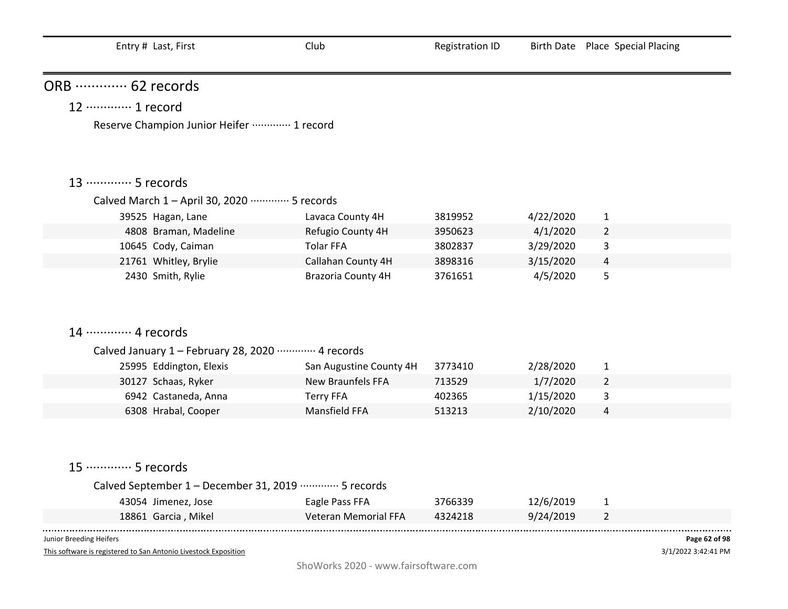| ORB  62 records                                       |                                                     |                   |                       |                     |
|-------------------------------------------------------|-----------------------------------------------------|-------------------|-----------------------|---------------------|
| 12 ………… 1 record                                      |                                                     |                   |                       |                     |
| Reserve Champion Junior Heifer  1 record              |                                                     |                   |                       |                     |
|                                                       |                                                     |                   |                       |                     |
|                                                       |                                                     |                   |                       |                     |
| 13 ………… 5 records                                     |                                                     |                   |                       |                     |
| Calved March 1 - April 30, 2020 ………… 5 records        |                                                     |                   |                       |                     |
| 39525 Hagan, Lane                                     | Lavaca County 4H                                    | 3819952           | 4/22/2020             | $\mathbf{1}$        |
| 4808 Braman, Madeline                                 | Refugio County 4H                                   | 3950623           | 4/1/2020              | $\overline{2}$      |
| 10645 Cody, Caiman                                    | <b>Tolar FFA</b>                                    | 3802837           | 3/29/2020             | 3                   |
| 21761 Whitley, Brylie                                 | Callahan County 4H                                  | 3898316           | 3/15/2020             | $\overline{a}$      |
| 2430 Smith, Rylie                                     | Brazoria County 4H                                  | 3761651           | 4/5/2020              | 5                   |
|                                                       |                                                     |                   |                       |                     |
|                                                       |                                                     |                   |                       |                     |
| 14 ………… 4 records                                     |                                                     |                   |                       |                     |
|                                                       |                                                     |                   |                       |                     |
| Calved January 1 - February 28, 2020 ………… 4 records   |                                                     |                   |                       |                     |
| 25995 Eddington, Elexis                               | San Augustine County 4H<br><b>New Braunfels FFA</b> | 3773410<br>713529 | 2/28/2020             | $\mathbf{1}$        |
| 30127 Schaas, Ryker<br>6942 Castaneda, Anna           | <b>Terry FFA</b>                                    | 402365            | 1/7/2020<br>1/15/2020 | $\overline{2}$<br>3 |
| 6308 Hrabal, Cooper                                   | Mansfield FFA                                       | 513213            | 2/10/2020             | $\overline{a}$      |
|                                                       |                                                     |                   |                       |                     |
|                                                       |                                                     |                   |                       |                     |
|                                                       |                                                     |                   |                       |                     |
| 15 ·············· 5 records                           |                                                     |                   |                       |                     |
| Calved September 1 - December 31, 2019 ………… 5 records |                                                     |                   |                       |                     |
| 43054 Jimenez, Jose                                   | Eagle Pass FFA                                      | 3766339           | 12/6/2019             | $\mathbf{1}$        |
| 18861 Garcia, Mikel                                   | <b>Veteran Memorial FFA</b>                         | 4324218           | 9/24/2019             | $\overline{2}$      |
|                                                       |                                                     |                   |                       |                     |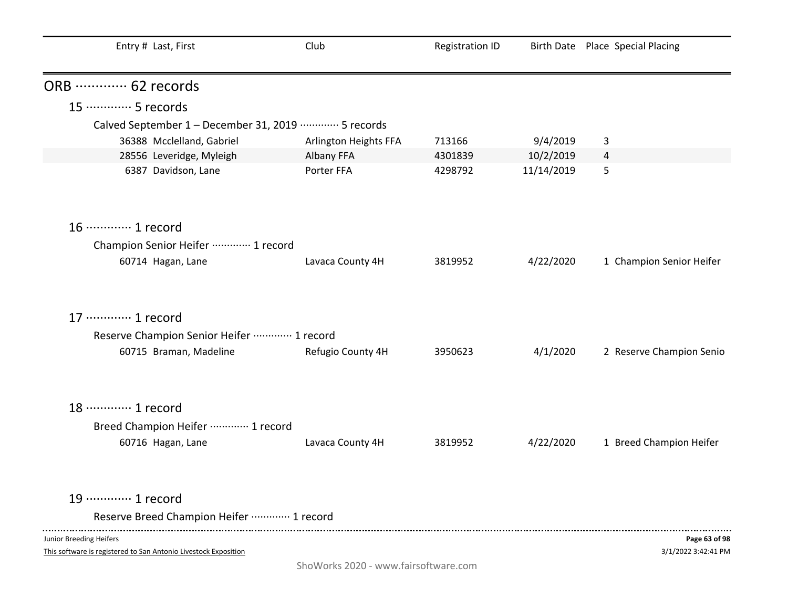| Entry # Last, First                                                                        | Club                  | <b>Registration ID</b> |            | Birth Date Place Special Placing     |
|--------------------------------------------------------------------------------------------|-----------------------|------------------------|------------|--------------------------------------|
| ORB  62 records                                                                            |                       |                        |            |                                      |
| 15 ………… 5 records                                                                          |                       |                        |            |                                      |
| Calved September 1 - December 31, 2019 ………… 5 records                                      |                       |                        |            |                                      |
| 36388 Mcclelland, Gabriel                                                                  | Arlington Heights FFA | 713166                 | 9/4/2019   | 3                                    |
| 28556 Leveridge, Myleigh                                                                   | Albany FFA            | 4301839                | 10/2/2019  | 4                                    |
| 6387 Davidson, Lane                                                                        | Porter FFA            | 4298792                | 11/14/2019 | 5                                    |
| 16 ············· 1 record                                                                  |                       |                        |            |                                      |
| Champion Senior Heifer  1 record                                                           |                       |                        |            |                                      |
| 60714 Hagan, Lane                                                                          | Lavaca County 4H      | 3819952                | 4/22/2020  | 1 Champion Senior Heifer             |
| 17 ············· 1 record                                                                  |                       |                        |            |                                      |
| Reserve Champion Senior Heifer  1 record                                                   |                       |                        |            |                                      |
| 60715 Braman, Madeline                                                                     | Refugio County 4H     | 3950623                | 4/1/2020   | 2 Reserve Champion Senio             |
| 18 ………… 1 record                                                                           |                       |                        |            |                                      |
| Breed Champion Heifer ………… 1 record                                                        |                       |                        |            |                                      |
| 60716 Hagan, Lane                                                                          | Lavaca County 4H      | 3819952                | 4/22/2020  | 1 Breed Champion Heifer              |
| 19 ············· 1 record                                                                  |                       |                        |            |                                      |
| Reserve Breed Champion Heifer  1 record                                                    |                       |                        |            |                                      |
| Junior Breeding Heifers<br>This software is registered to San Antonio Livestock Exposition |                       |                        |            | Page 63 of 98<br>3/1/2022 3:42:41 PM |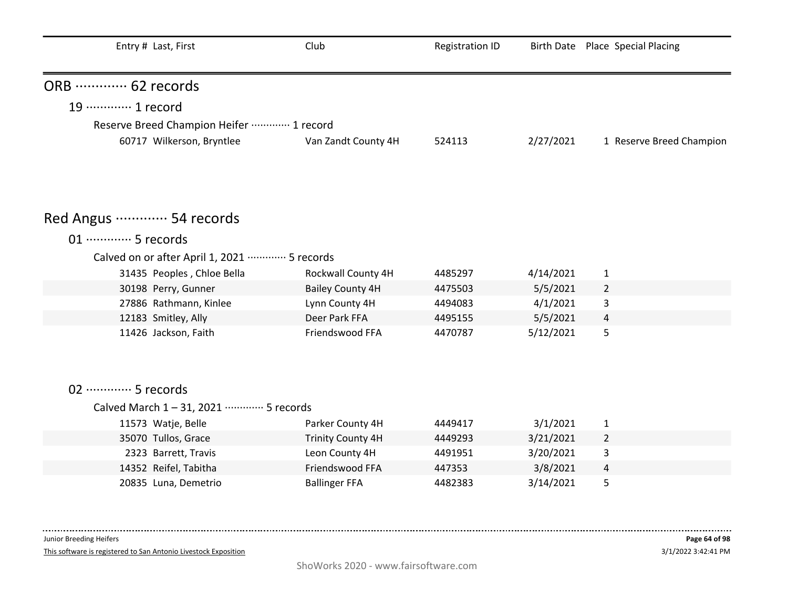| Entry # Last, First                         | Club                     | <b>Registration ID</b> |           | Birth Date Place Special Placing |
|---------------------------------------------|--------------------------|------------------------|-----------|----------------------------------|
| ORB  62 records                             |                          |                        |           |                                  |
| 19 ············· 1 record                   |                          |                        |           |                                  |
| Reserve Breed Champion Heifer  1 record     |                          |                        |           |                                  |
| 60717 Wilkerson, Bryntlee                   | Van Zandt County 4H      | 524113                 | 2/27/2021 | 1 Reserve Breed Champion         |
| Red Angus ………… 54 records                   |                          |                        |           |                                  |
|                                             |                          |                        |           |                                  |
| 01 ·············· 5 records                 |                          |                        |           |                                  |
| Calved on or after April 1, 2021  5 records |                          |                        |           |                                  |
| 31435 Peoples, Chloe Bella                  | Rockwall County 4H       | 4485297                | 4/14/2021 | $\mathbf{1}$                     |
| 30198 Perry, Gunner                         | <b>Bailey County 4H</b>  | 4475503                | 5/5/2021  | $\overline{2}$                   |
| 27886 Rathmann, Kinlee                      | Lynn County 4H           | 4494083                | 4/1/2021  | 3                                |
| 12183 Smitley, Ally                         | Deer Park FFA            | 4495155                | 5/5/2021  | $\overline{4}$                   |
| 11426 Jackson, Faith                        | Friendswood FFA          | 4470787                | 5/12/2021 | 5                                |
|                                             |                          |                        |           |                                  |
| 02 ·············· 5 records                 |                          |                        |           |                                  |
| Calved March 1-31, 2021 ………… 5 records      |                          |                        |           |                                  |
| 11573 Watje, Belle                          | Parker County 4H         | 4449417                | 3/1/2021  | $\mathbf{1}$                     |
| 35070 Tullos, Grace                         | <b>Trinity County 4H</b> | 4449293                | 3/21/2021 | $\overline{2}$                   |
| 2323 Barrett, Travis                        | Leon County 4H           | 4491951                | 3/20/2021 | 3                                |
| 14352 Reifel, Tabitha                       | Friendswood FFA          | 447353                 | 3/8/2021  | 4                                |
| 20835 Luna, Demetrio                        | <b>Ballinger FFA</b>     | 4482383                | 3/14/2021 | 5                                |
|                                             |                          |                        |           |                                  |

This software is registered to San Antonio Livestock Exposition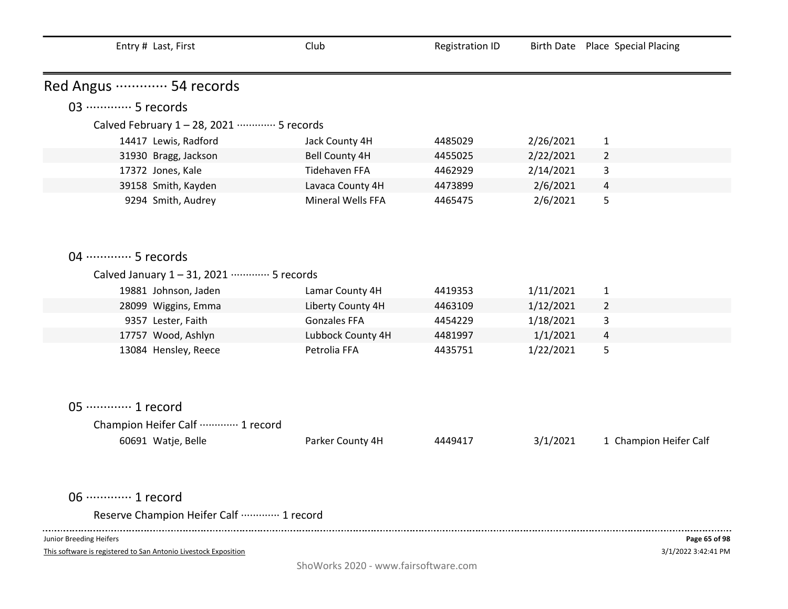| Entry # Last, First                       | Club                  | <b>Registration ID</b> |           | Birth Date Place Special Placing |
|-------------------------------------------|-----------------------|------------------------|-----------|----------------------------------|
| Red Angus  54 records                     |                       |                        |           |                                  |
| 03 ·············· 5 records               |                       |                        |           |                                  |
| Calved February 1-28, 2021 ………… 5 records |                       |                        |           |                                  |
| 14417 Lewis, Radford                      | Jack County 4H        | 4485029                | 2/26/2021 | $\mathbf{1}$                     |
| 31930 Bragg, Jackson                      | <b>Bell County 4H</b> | 4455025                | 2/22/2021 | $\overline{2}$                   |
| 17372 Jones, Kale                         | <b>Tidehaven FFA</b>  | 4462929                | 2/14/2021 | 3                                |
| 39158 Smith, Kayden                       | Lavaca County 4H      | 4473899                | 2/6/2021  | $\overline{4}$                   |
| 9294 Smith, Audrey                        | Mineral Wells FFA     | 4465475                | 2/6/2021  | 5                                |
| 04 ………… 5 records                         |                       |                        |           |                                  |
| Calved January 1-31, 2021 ………… 5 records  |                       |                        |           |                                  |
| 19881 Johnson, Jaden                      | Lamar County 4H       | 4419353                | 1/11/2021 | $\mathbf{1}$                     |
| 28099 Wiggins, Emma                       | Liberty County 4H     | 4463109                | 1/12/2021 | $\overline{2}$                   |
| 9357 Lester, Faith                        | <b>Gonzales FFA</b>   | 4454229                | 1/18/2021 | 3                                |
| 17757 Wood, Ashlyn                        | Lubbock County 4H     | 4481997                | 1/1/2021  | $\overline{4}$                   |
| 13084 Hensley, Reece                      | Petrolia FFA          | 4435751                | 1/22/2021 | 5                                |
| 05 ·············· 1 record                |                       |                        |           |                                  |
| Champion Heifer Calf  1 record            |                       |                        |           |                                  |
| 60691 Watje, Belle                        | Parker County 4H      | 4449417                | 3/1/2021  | 1 Champion Heifer Calf           |
| 06 ·············· 1 record                |                       |                        |           |                                  |
| Reserve Champion Heifer Calf  1 record    |                       |                        |           |                                  |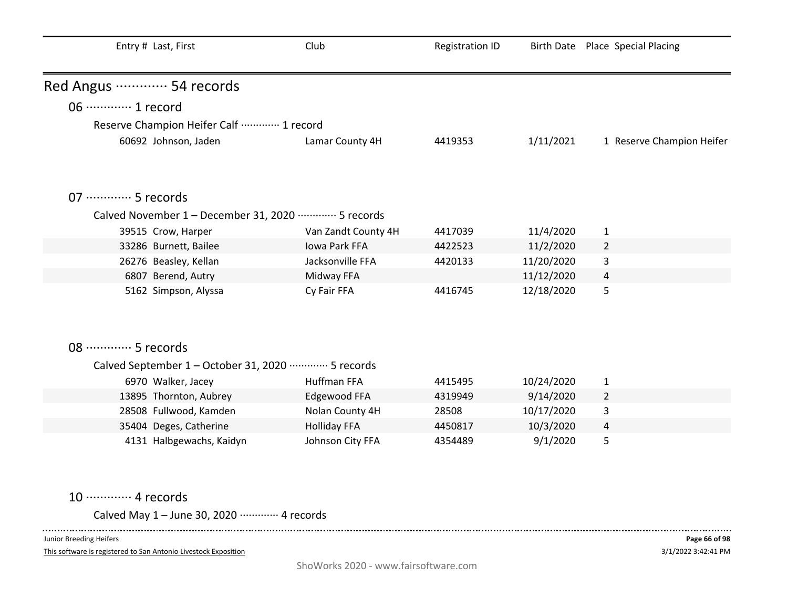|                             | Entry # Last, First                                            | Club                | <b>Registration ID</b> |            | Birth Date Place Special Placing |
|-----------------------------|----------------------------------------------------------------|---------------------|------------------------|------------|----------------------------------|
| Red Angus ………… 54 records   |                                                                |                     |                        |            |                                  |
| 06 ············· 1 record   |                                                                |                     |                        |            |                                  |
|                             | Reserve Champion Heifer Calf  1 record                         |                     |                        |            |                                  |
|                             | 60692 Johnson, Jaden                                           | Lamar County 4H     | 4419353                | 1/11/2021  | 1 Reserve Champion Heifer        |
|                             |                                                                |                     |                        |            |                                  |
| 07 ·············· 5 records |                                                                |                     |                        |            |                                  |
|                             | Calved November 1 - December 31, 2020 ………… 5 records           |                     |                        |            |                                  |
|                             | 39515 Crow, Harper                                             | Van Zandt County 4H | 4417039                | 11/4/2020  | 1                                |
|                             | 33286 Burnett, Bailee                                          | Iowa Park FFA       | 4422523                | 11/2/2020  | $\overline{2}$                   |
|                             | 26276 Beasley, Kellan                                          | Jacksonville FFA    | 4420133                | 11/20/2020 | 3                                |
|                             | 6807 Berend, Autry                                             | Midway FFA          |                        | 11/12/2020 | $\overline{4}$                   |
|                             | 5162 Simpson, Alyssa                                           | Cy Fair FFA         | 4416745                | 12/18/2020 | 5                                |
| 08 ………… 5 records           |                                                                |                     |                        |            |                                  |
|                             | Calved September 1 - October 31, 2020 ·············· 5 records |                     |                        |            |                                  |
|                             | 6970 Walker, Jacey                                             | Huffman FFA         | 4415495                | 10/24/2020 | $\mathbf{1}$                     |
|                             | 13895 Thornton, Aubrey                                         | Edgewood FFA        | 4319949                | 9/14/2020  | $\overline{2}$                   |
|                             | 28508 Fullwood, Kamden                                         | Nolan County 4H     | 28508                  | 10/17/2020 | 3                                |
|                             | 35404 Deges, Catherine                                         | <b>Holliday FFA</b> | 4450817                | 10/3/2020  | 4                                |
|                             | 4131 Halbgewachs, Kaidyn                                       | Johnson City FFA    | 4354489                | 9/1/2020   | 5                                |

10 ·············· 4 records

Calved May 1 – June 30, 2020 ············· 4 records 

Junior Breeding Heifers

 $\sim$   $\sim$   $\sim$   $\sim$ 

This software is registered to San Antonio Livestock Exposition

. . . . . .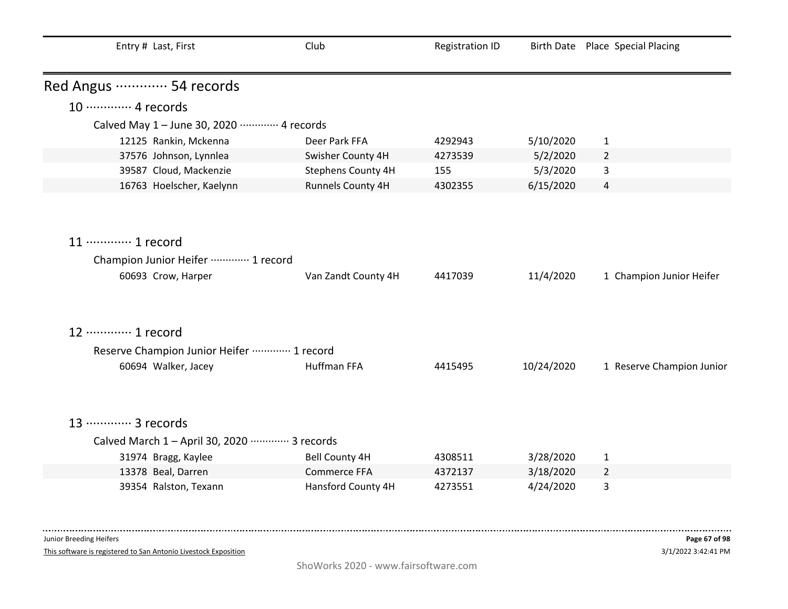| Entry # Last, First                                                                     | Club                | <b>Registration ID</b> |            | Birth Date Place Special Placing |
|-----------------------------------------------------------------------------------------|---------------------|------------------------|------------|----------------------------------|
| Red Angus ………… 54 records                                                               |                     |                        |            |                                  |
| 10 ············· 4 records                                                              |                     |                        |            |                                  |
| Calved May 1 - June 30, 2020 ………… 4 records                                             |                     |                        |            |                                  |
| 12125 Rankin, Mckenna                                                                   | Deer Park FFA       | 4292943                | 5/10/2020  | $\mathbf{1}$                     |
| 37576 Johnson, Lynnlea                                                                  | Swisher County 4H   | 4273539                | 5/2/2020   | $\overline{2}$                   |
| 39587 Cloud, Mackenzie                                                                  | Stephens County 4H  | 155                    | 5/3/2020   | 3                                |
| 16763 Hoelscher, Kaelynn                                                                | Runnels County 4H   | 4302355                | 6/15/2020  | 4                                |
| 11 ············· 1 record<br>Champion Junior Heifer ………… 1 record<br>60693 Crow, Harper | Van Zandt County 4H | 4417039                | 11/4/2020  | 1 Champion Junior Heifer         |
| 12 ………… 1 record                                                                        |                     |                        |            |                                  |
| Reserve Champion Junior Heifer  1 record                                                |                     |                        |            |                                  |
| 60694 Walker, Jacey                                                                     | <b>Huffman FFA</b>  | 4415495                | 10/24/2020 | 1 Reserve Champion Junior        |
| 13 ············· 3 records<br>Calved March 1 - April 30, 2020 ………… 3 records            |                     |                        |            |                                  |
| 31974 Bragg, Kaylee                                                                     | Bell County 4H      | 4308511                | 3/28/2020  | $\mathbf{1}$                     |
| 13378 Beal, Darren                                                                      | <b>Commerce FFA</b> | 4372137                | 3/18/2020  | $\overline{2}$                   |
| 39354 Ralston, Texann                                                                   | Hansford County 4H  | 4273551                | 4/24/2020  | 3                                |

This software is registered to San Antonio Livestock Exposition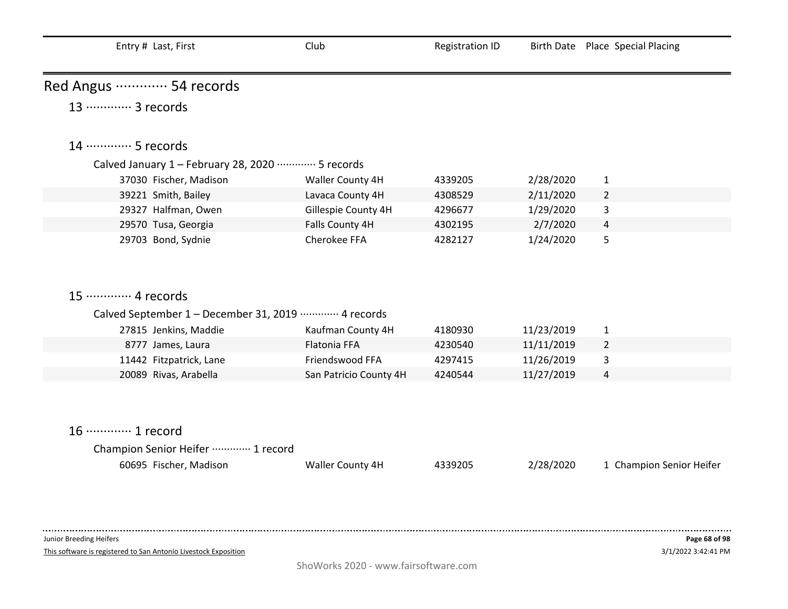| Entry # Last, First                                                                     | Club                   | <b>Registration ID</b> |            | Birth Date Place Special Placing |
|-----------------------------------------------------------------------------------------|------------------------|------------------------|------------|----------------------------------|
| Red Angus ………… 54 records                                                               |                        |                        |            |                                  |
| 13 ············· 3 records                                                              |                        |                        |            |                                  |
| 14 ………… 5 records                                                                       |                        |                        |            |                                  |
| Calved January 1 - February 28, 2020 ………… 5 records                                     |                        |                        |            |                                  |
| 37030 Fischer, Madison                                                                  | Waller County 4H       | 4339205                | 2/28/2020  | $\mathbf{1}$                     |
| 39221 Smith, Bailey                                                                     | Lavaca County 4H       | 4308529                | 2/11/2020  | $\overline{2}$                   |
| 29327 Halfman, Owen                                                                     | Gillespie County 4H    | 4296677                | 1/29/2020  | 3                                |
| 29570 Tusa, Georgia                                                                     | Falls County 4H        | 4302195                | 2/7/2020   | 4                                |
| 29703 Bond, Sydnie                                                                      | Cherokee FFA           | 4282127                | 1/24/2020  | 5                                |
| 15 ············· 4 records                                                              |                        |                        |            |                                  |
| Calved September 1 - December 31, 2019 ………… 4 records                                   |                        |                        |            |                                  |
| 27815 Jenkins, Maddie                                                                   | Kaufman County 4H      | 4180930                | 11/23/2019 | $\mathbf{1}$                     |
| 8777 James, Laura                                                                       | <b>Flatonia FFA</b>    | 4230540                | 11/11/2019 | $\overline{2}$                   |
| 11442 Fitzpatrick, Lane                                                                 | Friendswood FFA        | 4297415                | 11/26/2019 | 3                                |
| 20089 Rivas, Arabella                                                                   | San Patricio County 4H | 4240544                | 11/27/2019 | 4                                |
| 16 ············· 1 record<br>Champion Senior Heifer  1 record<br>60695 Fischer, Madison | Waller County 4H       | 4339205                | 2/28/2020  | 1 Champion Senior Heifer         |
| Junior Breeding Heifers                                                                 |                        |                        |            | Page 68 of 98                    |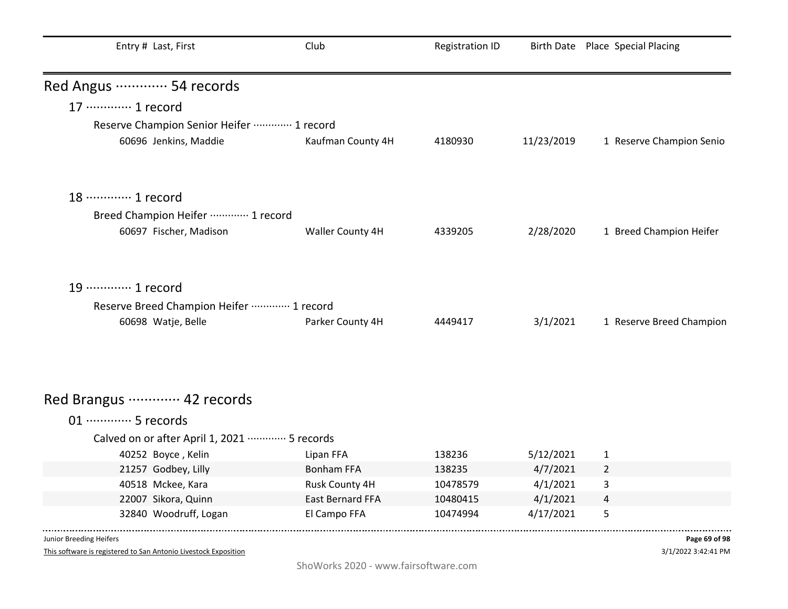| Entry # Last, First                                       | Club                                      | <b>Registration ID</b> |                      | Birth Date Place Special Placing |
|-----------------------------------------------------------|-------------------------------------------|------------------------|----------------------|----------------------------------|
| Red Angus  54 records                                     |                                           |                        |                      |                                  |
| 17 ············· 1 record                                 |                                           |                        |                      |                                  |
| Reserve Champion Senior Heifer  1 record                  |                                           |                        |                      |                                  |
| 60696 Jenkins, Maddie                                     | Kaufman County 4H                         | 4180930                | 11/23/2019           | 1 Reserve Champion Senio         |
| 18 ………… 1 record                                          |                                           |                        |                      |                                  |
| Breed Champion Heifer ………… 1 record                       |                                           |                        |                      |                                  |
| 60697 Fischer, Madison                                    | Waller County 4H                          | 4339205                | 2/28/2020            | 1 Breed Champion Heifer          |
| 19 ………… 1 record                                          |                                           |                        |                      |                                  |
| Reserve Breed Champion Heifer  1 record                   |                                           |                        |                      |                                  |
| 60698 Watje, Belle                                        | Parker County 4H                          | 4449417                | 3/1/2021             | 1 Reserve Breed Champion         |
| Red Brangus ………… 42 records                               |                                           |                        |                      |                                  |
|                                                           |                                           |                        |                      |                                  |
| 01 ·············· 5 records                               |                                           |                        |                      |                                  |
| Calved on or after April 1, 2021 ·············· 5 records |                                           |                        |                      |                                  |
| 40252 Boyce, Kelin                                        | Lipan FFA                                 | 138236                 | 5/12/2021            | $\mathbf{1}$                     |
| 21257 Godbey, Lilly                                       | <b>Bonham FFA</b>                         | 138235                 | 4/7/2021             | $\overline{2}$                   |
| 40518 Mckee, Kara<br>22007 Sikora, Quinn                  | Rusk County 4H<br><b>East Bernard FFA</b> | 10478579<br>10480415   | 4/1/2021<br>4/1/2021 | 3                                |
| 32840 Woodruff, Logan                                     | El Campo FFA                              | 10474994               | 4/17/2021            | 4<br>5                           |

This software is registered to San Antonio Livestock Exposition

3/1/2022 3:42:41 PM **Page 69 of 98**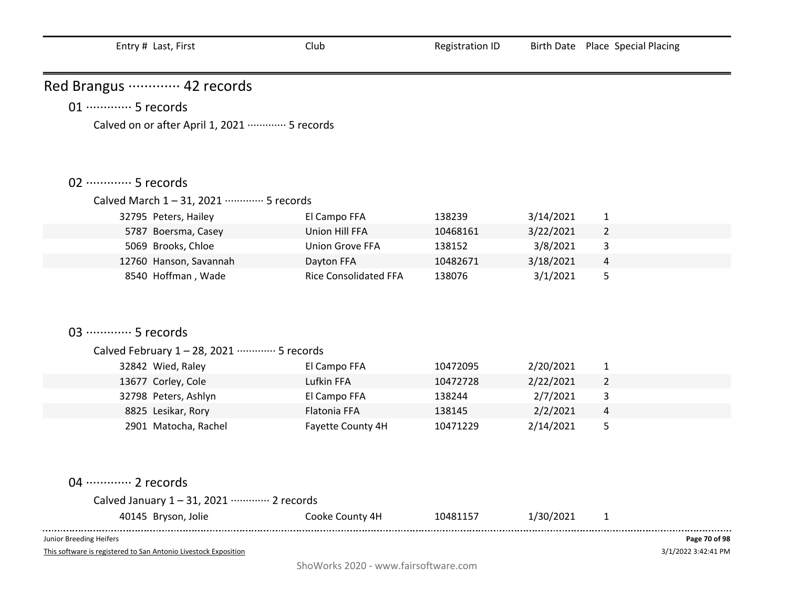| Entry # Last, First |  |  |
|---------------------|--|--|
|---------------------|--|--|

Red Brangus ·············· 42 records

# 01 ·············· 5 records

Calved on or after April 1, 2021 ·············· 5 records

### 02 ··············· 5 records

#### Calved March 1 – 31, 2021 ············· 5 records

| 32795 Peters, Hailey   | El Campo FFA                 | 138239   | 3/14/2021 |   |  |
|------------------------|------------------------------|----------|-----------|---|--|
| 5787 Boersma, Casey    | Union Hill FFA               | 10468161 | 3/22/2021 |   |  |
| 5069 Brooks, Chloe     | Union Grove FFA              | 138152   | 3/8/2021  | 3 |  |
| 12760 Hanson, Savannah | Dayton FFA                   | 10482671 | 3/18/2021 | 4 |  |
| 8540 Hoffman, Wade     | <b>Rice Consolidated FFA</b> | 138076   | 3/1/2021  | Ы |  |

## 03 ··············· 5 records

### Calved February 1 – 28, 2021 ············· 5 records

| 32842 Wied, Raley    | El Campo FFA      | 10472095 | 2/20/2021 |   |  |
|----------------------|-------------------|----------|-----------|---|--|
| 13677 Corley, Cole   | Lufkin FFA        | 10472728 | 2/22/2021 |   |  |
| 32798 Peters, Ashlyn | El Campo FFA      | 138244   | 2/7/2021  |   |  |
| 8825 Lesikar, Rory   | Flatonia FFA      | 138145   | 2/2/2021  | 4 |  |
| 2901 Matocha, Rachel | Fayette County 4H | 10471229 | 2/14/2021 | 5 |  |

### 04 ············· 2 records

| Calved January 1 - 31, 2021 ………… 2 records |                 |          |           |  |
|--------------------------------------------|-----------------|----------|-----------|--|
| 40145 Bryson, Jolie                        | Cooke County 4H | 10481157 | 1/30/2021 |  |

Junior Breeding Heifers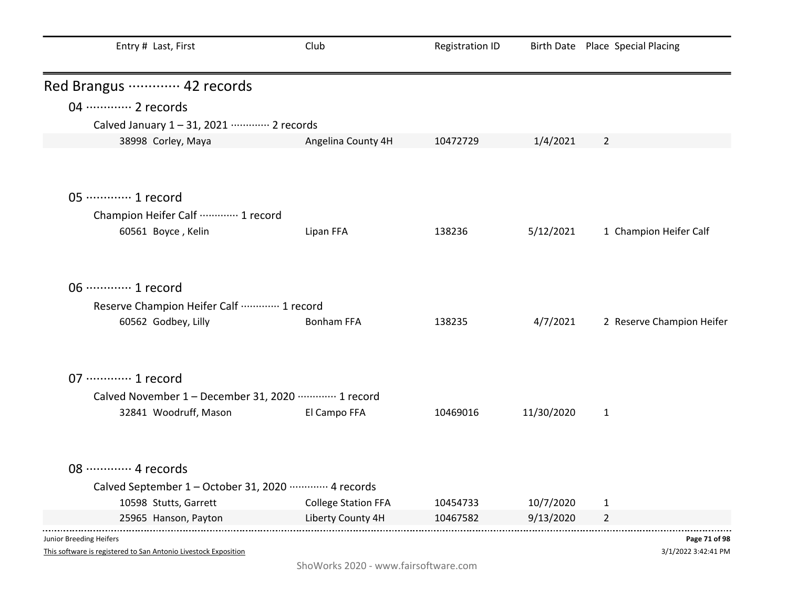| Entry # Last, First                                            | Club                       | <b>Registration ID</b> |            | Birth Date Place Special Placing |  |
|----------------------------------------------------------------|----------------------------|------------------------|------------|----------------------------------|--|
| Red Brangus ………… 42 records                                    |                            |                        |            |                                  |  |
| 04 ············· 2 records                                     |                            |                        |            |                                  |  |
| Calved January 1-31, 2021 ………… 2 records                       |                            |                        |            |                                  |  |
| 38998 Corley, Maya                                             | Angelina County 4H         | 10472729               | 1/4/2021   | $\overline{2}$                   |  |
|                                                                |                            |                        |            |                                  |  |
| 05 ·············· 1 record                                     |                            |                        |            |                                  |  |
| Champion Heifer Calf  1 record                                 |                            |                        |            |                                  |  |
| 60561 Boyce, Kelin                                             | Lipan FFA                  | 138236                 | 5/12/2021  | 1 Champion Heifer Calf           |  |
| 06 ············· 1 record                                      |                            |                        |            |                                  |  |
| Reserve Champion Heifer Calf  1 record                         |                            |                        |            |                                  |  |
| 60562 Godbey, Lilly                                            | <b>Bonham FFA</b>          | 138235                 | 4/7/2021   | 2 Reserve Champion Heifer        |  |
| 07 ·············· 1 record                                     |                            |                        |            |                                  |  |
| Calved November 1 - December 31, 2020 ………… 1 record            |                            |                        |            |                                  |  |
| 32841 Woodruff, Mason                                          | El Campo FFA               | 10469016               | 11/30/2020 | $\mathbf{1}$                     |  |
|                                                                |                            |                        |            |                                  |  |
| 08 ············· 4 records                                     |                            |                        |            |                                  |  |
| Calved September 1 - October 31, 2020 ·············· 4 records |                            |                        |            |                                  |  |
| 10598 Stutts, Garrett                                          | <b>College Station FFA</b> | 10454733               | 10/7/2020  | 1                                |  |
| 25965 Hanson, Payton                                           | Liberty County 4H          | 10467582               | 9/13/2020  | $\overline{2}$                   |  |
|                                                                |                            |                        |            |                                  |  |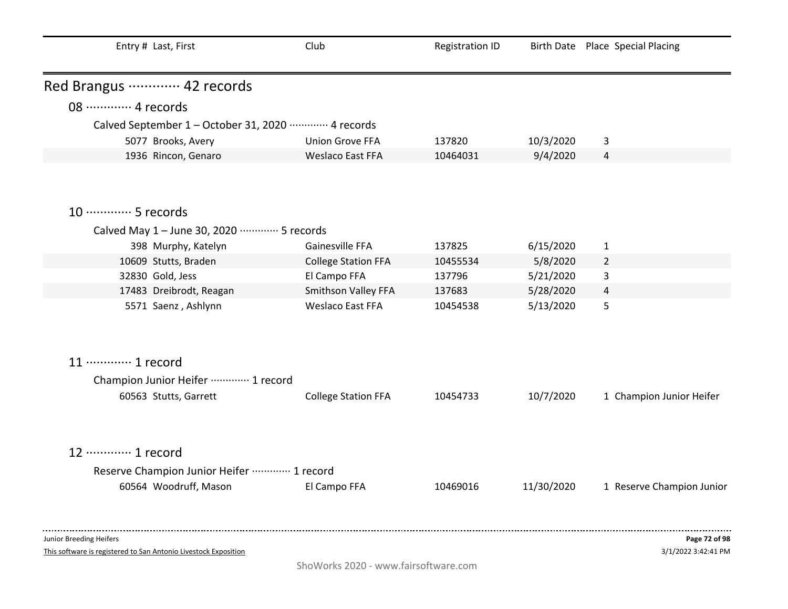| Entry # Last, First                                             | Club                       | <b>Registration ID</b> |            | Birth Date Place Special Placing |
|-----------------------------------------------------------------|----------------------------|------------------------|------------|----------------------------------|
| Red Brangus ………… 42 records                                     |                            |                        |            |                                  |
| 08 ············· 4 records                                      |                            |                        |            |                                  |
| Calved September 1 - October 31, 2020 ·············· 4 records  |                            |                        |            |                                  |
| 5077 Brooks, Avery                                              | <b>Union Grove FFA</b>     | 137820                 | 10/3/2020  | 3                                |
| 1936 Rincon, Genaro                                             | <b>Weslaco East FFA</b>    | 10464031               | 9/4/2020   | 4                                |
|                                                                 |                            |                        |            |                                  |
| 10 ············· 5 records                                      |                            |                        |            |                                  |
| Calved May 1 - June 30, 2020 ………… 5 records                     |                            |                        |            |                                  |
| 398 Murphy, Katelyn                                             | Gainesville FFA            | 137825                 | 6/15/2020  | $\mathbf{1}$                     |
| 10609 Stutts, Braden                                            | <b>College Station FFA</b> | 10455534               | 5/8/2020   | $\overline{2}$                   |
| 32830 Gold, Jess                                                | El Campo FFA               | 137796                 | 5/21/2020  | 3                                |
| 17483 Dreibrodt, Reagan                                         | Smithson Valley FFA        | 137683                 | 5/28/2020  | 4                                |
| 5571 Saenz, Ashlynn                                             | <b>Weslaco East FFA</b>    | 10454538               | 5/13/2020  | 5                                |
| 11 ············· 1 record                                       |                            |                        |            |                                  |
| Champion Junior Heifer ………… 1 record                            |                            |                        |            |                                  |
| 60563 Stutts, Garrett                                           | <b>College Station FFA</b> | 10454733               | 10/7/2020  | 1 Champion Junior Heifer         |
| 12 ………… 1 record                                                |                            |                        |            |                                  |
| Reserve Champion Junior Heifer  1 record                        |                            |                        |            |                                  |
| 60564 Woodruff, Mason                                           | El Campo FFA               | 10469016               | 11/30/2020 | 1 Reserve Champion Junior        |
|                                                                 |                            |                        |            |                                  |
| Junior Breeding Heifers                                         |                            |                        |            | Page 72 of 98                    |
| This software is registered to San Antonio Livestock Exposition |                            |                        |            | 3/1/2022 3:42:41 PM              |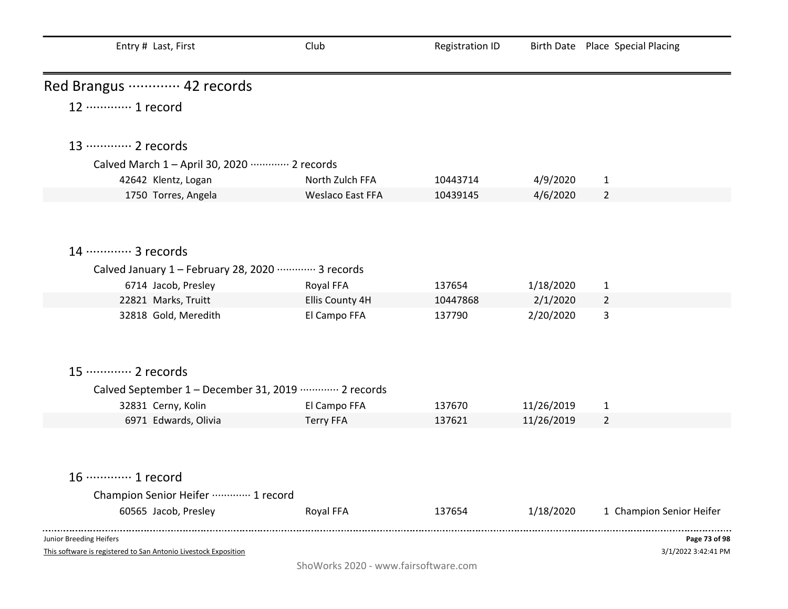| Entry # Last, First                                             | Club             | <b>Registration ID</b> |            | Birth Date Place Special Placing |
|-----------------------------------------------------------------|------------------|------------------------|------------|----------------------------------|
| Red Brangus ………… 42 records                                     |                  |                        |            |                                  |
| 12 ………… 1 record                                                |                  |                        |            |                                  |
| 13 ············· 2 records                                      |                  |                        |            |                                  |
| Calved March 1 - April 30, 2020 ………… 2 records                  |                  |                        |            |                                  |
| 42642 Klentz, Logan                                             | North Zulch FFA  | 10443714               | 4/9/2020   | $\mathbf{1}$                     |
| 1750 Torres, Angela                                             | Weslaco East FFA | 10439145               | 4/6/2020   | $\overline{2}$                   |
|                                                                 |                  |                        |            |                                  |
| 14 ………… 3 records                                               |                  |                        |            |                                  |
| Calved January 1 - February 28, 2020 ………… 3 records             |                  |                        |            |                                  |
| 6714 Jacob, Presley                                             | Royal FFA        | 137654                 | 1/18/2020  | $\mathbf{1}$                     |
| 22821 Marks, Truitt                                             | Ellis County 4H  | 10447868               | 2/1/2020   | $\overline{2}$                   |
| 32818 Gold, Meredith                                            | El Campo FFA     | 137790                 | 2/20/2020  | 3                                |
| 15 ············· 2 records                                      |                  |                        |            |                                  |
| Calved September 1 - December 31, 2019 ………… 2 records           |                  |                        |            |                                  |
| 32831 Cerny, Kolin                                              | El Campo FFA     | 137670                 | 11/26/2019 | $\mathbf{1}$                     |
| 6971 Edwards, Olivia                                            | <b>Terry FFA</b> | 137621                 | 11/26/2019 | $\overline{2}$                   |
|                                                                 |                  |                        |            |                                  |
| 16 ………… 1 record                                                |                  |                        |            |                                  |
| Champion Senior Heifer  1 record                                |                  |                        |            |                                  |
| 60565 Jacob, Presley                                            | Royal FFA        | 137654                 | 1/18/2020  | 1 Champion Senior Heifer         |
| Junior Breeding Heifers                                         |                  |                        |            | Page 73 of 98                    |
| This software is registered to San Antonio Livestock Exposition |                  |                        |            | 3/1/2022 3:42:41 PM              |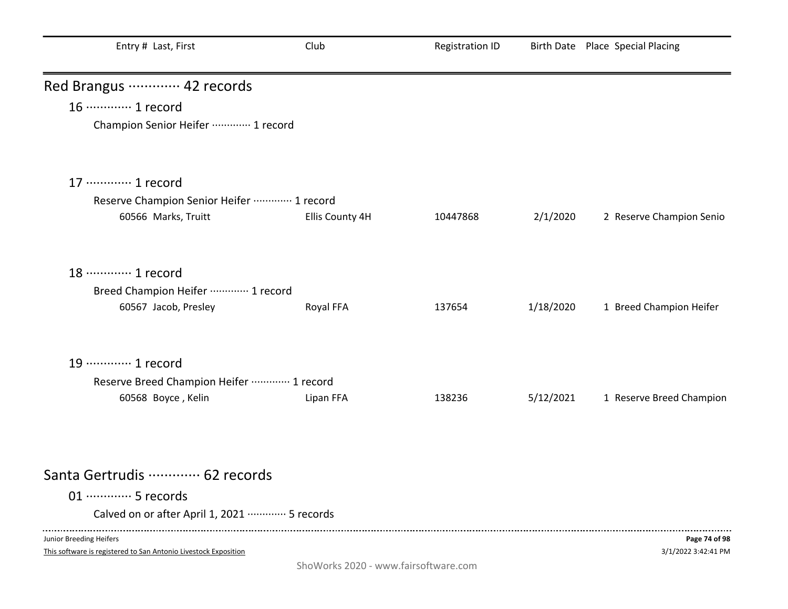| Entry # Last, First                         | Club            | <b>Registration ID</b> |           | Birth Date Place Special Placing |
|---------------------------------------------|-----------------|------------------------|-----------|----------------------------------|
| Red Brangus ………… 42 records                 |                 |                        |           |                                  |
| 16 ············· 1 record                   |                 |                        |           |                                  |
| Champion Senior Heifer  1 record            |                 |                        |           |                                  |
| 17 ············· 1 record                   |                 |                        |           |                                  |
| Reserve Champion Senior Heifer  1 record    |                 |                        |           |                                  |
| 60566 Marks, Truitt                         | Ellis County 4H | 10447868               | 2/1/2020  | 2 Reserve Champion Senio         |
| 18 ………… 1 record                            |                 |                        |           |                                  |
| Breed Champion Heifer ………… 1 record         |                 |                        |           |                                  |
| 60567 Jacob, Presley                        | Royal FFA       | 137654                 | 1/18/2020 | 1 Breed Champion Heifer          |
| 19 ………… 1 record                            |                 |                        |           |                                  |
| Reserve Breed Champion Heifer  1 record     |                 |                        |           |                                  |
| 60568 Boyce, Kelin                          | Lipan FFA       | 138236                 | 5/12/2021 | 1 Reserve Breed Champion         |
|                                             |                 |                        |           |                                  |
| Santa Gertrudis  62 records                 |                 |                        |           |                                  |
| 01 ·············· 5 records                 |                 |                        |           |                                  |
| Calved on or after April 1, 2021  5 records |                 |                        |           |                                  |
| Junior Breeding Heifers                     |                 |                        |           | Page 74 of 98                    |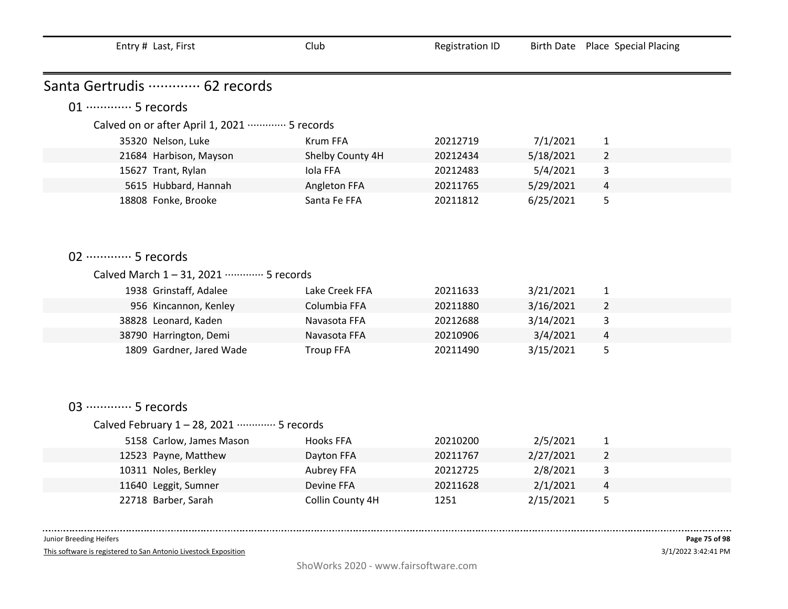| Entry # Last, First             |                                                           | Club             | <b>Registration ID</b> |           | Birth Date Place Special Placing |
|---------------------------------|-----------------------------------------------------------|------------------|------------------------|-----------|----------------------------------|
|                                 |                                                           |                  |                        |           |                                  |
| Santa Gertrudis ………… 62 records |                                                           |                  |                        |           |                                  |
| 01 ·············· 5 records     |                                                           |                  |                        |           |                                  |
|                                 | Calved on or after April 1, 2021 ·············· 5 records |                  |                        |           |                                  |
| 35320 Nelson, Luke              |                                                           | <b>Krum FFA</b>  | 20212719               | 7/1/2021  | $\mathbf{1}$                     |
| 21684 Harbison, Mayson          |                                                           | Shelby County 4H | 20212434               | 5/18/2021 | $\overline{2}$                   |
| 15627 Trant, Rylan              |                                                           | Iola FFA         | 20212483               | 5/4/2021  | 3                                |
|                                 | 5615 Hubbard, Hannah                                      | Angleton FFA     | 20211765               | 5/29/2021 | 4                                |
| 18808 Fonke, Brooke             |                                                           | Santa Fe FFA     | 20211812               | 6/25/2021 | 5                                |
|                                 |                                                           |                  |                        |           |                                  |
|                                 |                                                           |                  |                        |           |                                  |
|                                 |                                                           |                  |                        |           |                                  |
| 02 ·············· 5 records     |                                                           |                  |                        |           |                                  |
|                                 | Calved March 1-31, 2021 ………… 5 records                    |                  |                        |           |                                  |
| 1938 Grinstaff, Adalee          |                                                           | Lake Creek FFA   | 20211633               | 3/21/2021 | $\mathbf{1}$                     |
|                                 | 956 Kincannon, Kenley                                     | Columbia FFA     | 20211880               | 3/16/2021 | $\overline{2}$                   |
| 38828 Leonard, Kaden            |                                                           | Navasota FFA     | 20212688               | 3/14/2021 | 3                                |
| 38790 Harrington, Demi          |                                                           | Navasota FFA     | 20210906               | 3/4/2021  | 4                                |
|                                 | 1809 Gardner, Jared Wade                                  | <b>Troup FFA</b> | 20211490               | 3/15/2021 | 5                                |
|                                 |                                                           |                  |                        |           |                                  |
|                                 |                                                           |                  |                        |           |                                  |
|                                 |                                                           |                  |                        |           |                                  |
| 03 ·············· 5 records     |                                                           |                  |                        |           |                                  |
|                                 | Calved February 1-28, 2021 ………… 5 records                 |                  |                        |           |                                  |
|                                 | 5158 Carlow, James Mason                                  | <b>Hooks FFA</b> | 20210200               | 2/5/2021  | $\mathbf{1}$                     |
| 12523 Payne, Matthew            |                                                           | Dayton FFA       | 20211767               | 2/27/2021 | $\overline{2}$                   |
| 10311 Noles, Berkley            |                                                           | Aubrey FFA       | 20212725               | 2/8/2021  | 3                                |
| 11640 Leggit, Sumner            |                                                           | Devine FFA       | 20211628               | 2/1/2021  | 4                                |
| 22718 Barber, Sarah             |                                                           | Collin County 4H | 1251                   | 2/15/2021 | 5                                |
|                                 |                                                           |                  |                        |           |                                  |

 $- - - - - - -$ 

This software is registered to San Antonio Livestock Exposition

 $\sim 100$  and  $\sim 100$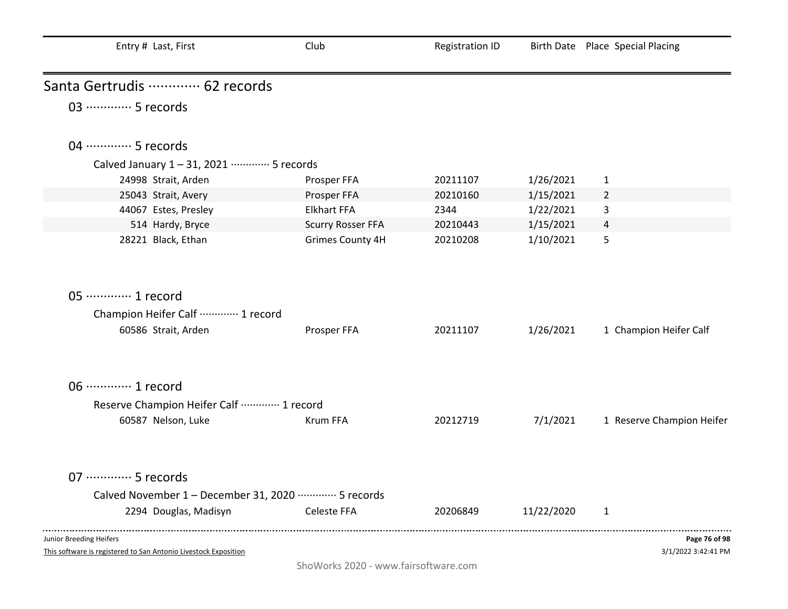| Entry # Last, First                                                                        | Club                     | <b>Registration ID</b> |            | Birth Date Place Special Placing     |
|--------------------------------------------------------------------------------------------|--------------------------|------------------------|------------|--------------------------------------|
| Santa Gertrudis  62 records                                                                |                          |                        |            |                                      |
| 03 ………… 5 records                                                                          |                          |                        |            |                                      |
| 04 ………… 5 records                                                                          |                          |                        |            |                                      |
| Calved January 1-31, 2021 ………… 5 records                                                   |                          |                        |            |                                      |
| 24998 Strait, Arden                                                                        | Prosper FFA              | 20211107               | 1/26/2021  | $\mathbf{1}$                         |
| 25043 Strait, Avery                                                                        | Prosper FFA              | 20210160               | 1/15/2021  | $\overline{2}$                       |
| 44067 Estes, Presley                                                                       | <b>Elkhart FFA</b>       | 2344                   | 1/22/2021  | 3                                    |
| 514 Hardy, Bryce                                                                           | <b>Scurry Rosser FFA</b> | 20210443               | 1/15/2021  | 4                                    |
| 28221 Black, Ethan                                                                         | <b>Grimes County 4H</b>  | 20210208               | 1/10/2021  | 5                                    |
| 05 ·············· 1 record                                                                 |                          |                        |            |                                      |
| Champion Heifer Calf  1 record                                                             |                          |                        |            |                                      |
| 60586 Strait, Arden                                                                        | Prosper FFA              | 20211107               | 1/26/2021  | 1 Champion Heifer Calf               |
| 06 ·············· 1 record                                                                 |                          |                        |            |                                      |
| Reserve Champion Heifer Calf  1 record                                                     |                          |                        |            |                                      |
| 60587 Nelson, Luke                                                                         | Krum FFA                 | 20212719               | 7/1/2021   | 1 Reserve Champion Heifer            |
| 07 ·············· 5 records                                                                |                          |                        |            |                                      |
| Calved November 1 - December 31, 2020 ………… 5 records                                       |                          |                        |            |                                      |
| 2294 Douglas, Madisyn                                                                      | Celeste FFA              | 20206849               | 11/22/2020 | 1                                    |
| Junior Breeding Heifers<br>This software is registered to San Antonio Livestock Exposition |                          |                        |            | Page 76 of 98<br>3/1/2022 3:42:41 PM |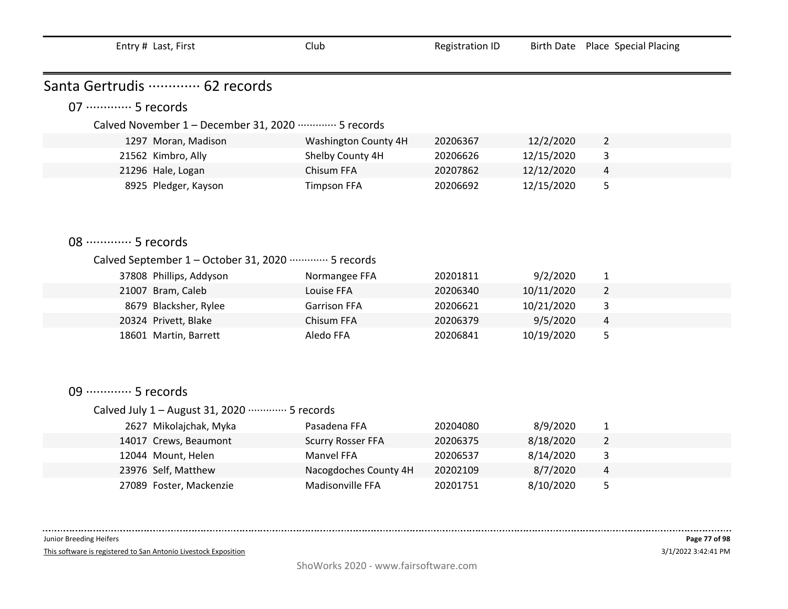| Entry # Last, First |  |  |  |  |
|---------------------|--|--|--|--|
|---------------------|--|--|--|--|

Santa Gertrudis ·············· 62 records

# 07 ············· 5 records

### Calved November 1 – December 31, 2020 ·············· 5 records

| 1297 Moran, Madison  | Washington County 4H | 20206367 | 12/2/2020  |   |  |
|----------------------|----------------------|----------|------------|---|--|
| 21562 Kimbro, Ally   | Shelby County 4H     | 20206626 | 12/15/2020 | 3 |  |
| 21296 Hale, Logan    | Chisum FFA           | 20207862 | 12/12/2020 | 4 |  |
| 8925 Pledger, Kayson | <b>Timpson FFA</b>   | 20206692 | 12/15/2020 | כ |  |

## 08 ·············· 5 records

#### Calved September 1 – October 31, 2020 ············· 5 records

| 37808 Phillips, Addyson | Normangee FFA       | 20201811 | 9/2/2020   |                |  |
|-------------------------|---------------------|----------|------------|----------------|--|
| 21007 Bram, Caleb       | Louise FFA          | 20206340 | 10/11/2020 | $\overline{2}$ |  |
| 8679 Blacksher, Rylee   | <b>Garrison FFA</b> | 20206621 | 10/21/2020 | 3              |  |
| 20324 Privett, Blake    | Chisum FFA          | 20206379 | 9/5/2020   | 4              |  |
| 18601 Martin, Barrett   | Aledo FFA           | 20206841 | 10/19/2020 | 5              |  |

## 09 ············· 5 records

#### Calved July 1 – August 31, 2020 ············· 5 records

| 2627 Mikolajchak, Myka  | Pasadena FFA             | 20204080 | 8/9/2020  |   |  |
|-------------------------|--------------------------|----------|-----------|---|--|
| 14017 Crews, Beaumont   | <b>Scurry Rosser FFA</b> | 20206375 | 8/18/2020 |   |  |
| 12044 Mount, Helen      | Manyel FFA               | 20206537 | 8/14/2020 | 3 |  |
| 23976 Self, Matthew     | Nacogdoches County 4H    | 20202109 | 8/7/2020  | 4 |  |
| 27089 Foster, Mackenzie | Madisonville FFA         | 20201751 | 8/10/2020 | 5 |  |

Junior Breeding Heifers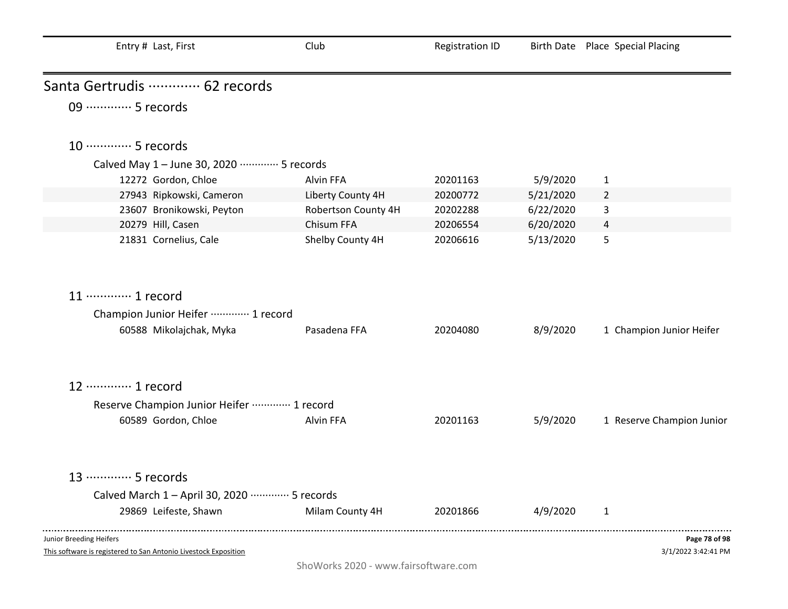| Entry # Last, First                                             | Club                                 | <b>Registration ID</b> |           | Birth Date Place Special Placing |
|-----------------------------------------------------------------|--------------------------------------|------------------------|-----------|----------------------------------|
| Santa Gertrudis  62 records                                     |                                      |                        |           |                                  |
| 09 ·············· 5 records                                     |                                      |                        |           |                                  |
| 10 ············· 5 records                                      |                                      |                        |           |                                  |
| Calved May 1 - June 30, 2020 ………… 5 records                     |                                      |                        |           |                                  |
| 12272 Gordon, Chloe                                             | Alvin FFA                            | 20201163               | 5/9/2020  | $\mathbf{1}$                     |
| 27943 Ripkowski, Cameron                                        | Liberty County 4H                    | 20200772               | 5/21/2020 | $\overline{2}$                   |
| 23607 Bronikowski, Peyton                                       | Robertson County 4H                  | 20202288               | 6/22/2020 | 3                                |
| 20279 Hill, Casen                                               | Chisum FFA                           | 20206554               | 6/20/2020 | 4                                |
| 21831 Cornelius, Cale                                           | Shelby County 4H                     | 20206616               | 5/13/2020 | 5                                |
| 11 ………… 1 record                                                |                                      |                        |           |                                  |
| Champion Junior Heifer ………… 1 record                            |                                      |                        |           |                                  |
| 60588 Mikolajchak, Myka                                         | Pasadena FFA                         | 20204080               | 8/9/2020  | 1 Champion Junior Heifer         |
| 12 ………… 1 record                                                |                                      |                        |           |                                  |
| Reserve Champion Junior Heifer  1 record                        |                                      |                        |           |                                  |
| 60589 Gordon, Chloe                                             | Alvin FFA                            | 20201163               | 5/9/2020  | 1 Reserve Champion Junior        |
| 13 ………… 5 records                                               |                                      |                        |           |                                  |
| Calved March 1 - April 30, 2020 ………… 5 records                  |                                      |                        |           |                                  |
| 29869 Leifeste, Shawn                                           | Milam County 4H                      | 20201866               | 4/9/2020  | 1                                |
| Junior Breeding Heifers                                         |                                      |                        |           | Page 78 of 98                    |
| This software is registered to San Antonio Livestock Exposition |                                      |                        |           | 3/1/2022 3:42:41 PM              |
|                                                                 | ShoWorks 2020 - www.fairsoftware.com |                        |           |                                  |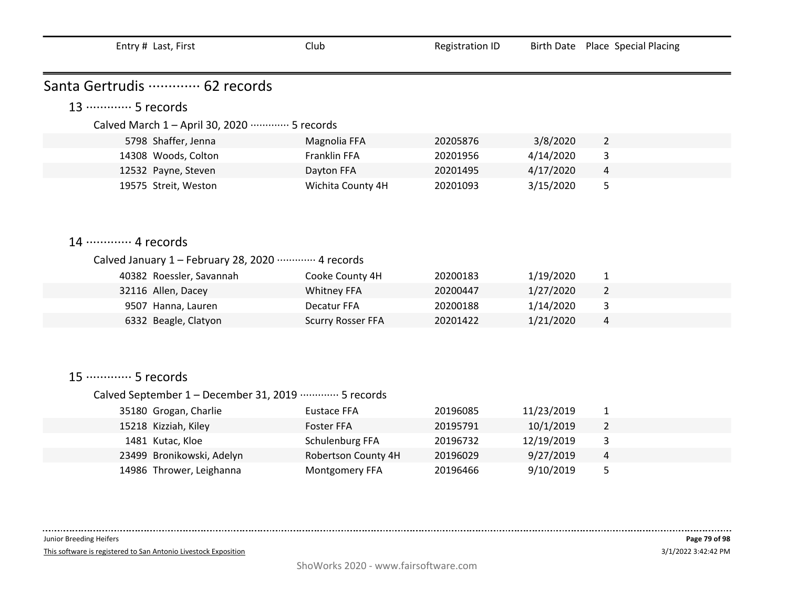| Entry # Last, First                                      | Club                     | <b>Registration ID</b> | <b>Birth Date</b> | <b>Place Special Placing</b> |
|----------------------------------------------------------|--------------------------|------------------------|-------------------|------------------------------|
| Santa Gertrudis  62 records                              |                          |                        |                   |                              |
| 13 ………… 5 records                                        |                          |                        |                   |                              |
| Calved March 1 - April 30, 2020 ·············· 5 records |                          |                        |                   |                              |
| 5798 Shaffer, Jenna                                      | Magnolia FFA             | 20205876               | 3/8/2020          | $\overline{2}$               |
| 14308 Woods, Colton                                      | Franklin FFA             | 20201956               | 4/14/2020         | 3                            |
| 12532 Payne, Steven                                      | Dayton FFA               | 20201495               | 4/17/2020         | 4                            |
| 19575 Streit, Weston                                     | Wichita County 4H        | 20201093               | 3/15/2020         | 5                            |
|                                                          |                          |                        |                   |                              |
|                                                          |                          |                        |                   |                              |
| 14 ………… 4 records                                        |                          |                        |                   |                              |
| Calved January 1 - February 28, 2020 ………… 4 records      |                          |                        |                   |                              |
| 40382 Roessler, Savannah                                 | Cooke County 4H          | 20200183               | 1/19/2020         | $\mathbf{1}$                 |
| 32116 Allen, Dacey                                       | <b>Whitney FFA</b>       | 20200447               | 1/27/2020         | $\overline{2}$               |
| 9507 Hanna, Lauren                                       | Decatur FFA              | 20200188               | 1/14/2020         | 3                            |
| 6332 Beagle, Clatyon                                     | <b>Scurry Rosser FFA</b> | 20201422               | 1/21/2020         | 4                            |
|                                                          |                          |                        |                   |                              |
|                                                          |                          |                        |                   |                              |
| 15 ·············· 5 records                              |                          |                        |                   |                              |
|                                                          |                          |                        |                   |                              |
| Calved September 1 - December 31, 2019 ………… 5 records    |                          |                        |                   |                              |
| 35180 Grogan, Charlie                                    | <b>Eustace FFA</b>       | 20196085               | 11/23/2019        | $\mathbf{1}$                 |
| 15218 Kizziah, Kiley                                     | <b>Foster FFA</b>        | 20195791               | 10/1/2019         | $\overline{2}$               |
| 1481 Kutac, Kloe                                         | Schulenburg FFA          | 20196732               | 12/19/2019        | 3                            |
| 23499 Bronikowski, Adelyn                                | Robertson County 4H      | 20196029               | 9/27/2019         | 4                            |

 $- - -$ 

This software is registered to San Antonio Livestock Exposition

14986 Thrower, Leighanna Montgomery FFA 20196466 9/10/2019 5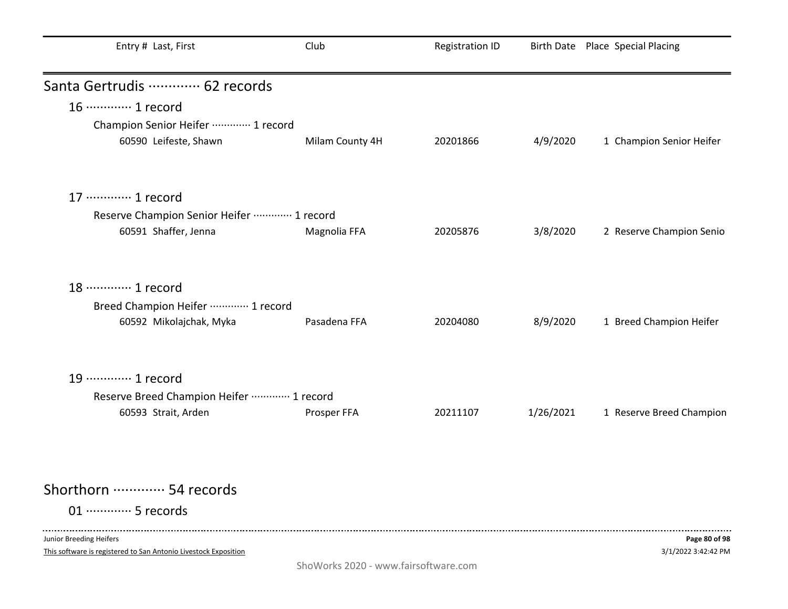| Entry # Last, First                      | Club            | <b>Registration ID</b> |           | Birth Date Place Special Placing |
|------------------------------------------|-----------------|------------------------|-----------|----------------------------------|
| Santa Gertrudis  62 records              |                 |                        |           |                                  |
| 16 ············· 1 record                |                 |                        |           |                                  |
| Champion Senior Heifer  1 record         |                 |                        |           |                                  |
| 60590 Leifeste, Shawn                    | Milam County 4H | 20201866               | 4/9/2020  | 1 Champion Senior Heifer         |
| 17 ············· 1 record                |                 |                        |           |                                  |
| Reserve Champion Senior Heifer  1 record |                 |                        |           |                                  |
| 60591 Shaffer, Jenna                     | Magnolia FFA    | 20205876               | 3/8/2020  | 2 Reserve Champion Senio         |
| 18 ………… 1 record                         |                 |                        |           |                                  |
| Breed Champion Heifer ………… 1 record      |                 |                        |           |                                  |
| 60592 Mikolajchak, Myka                  | Pasadena FFA    | 20204080               | 8/9/2020  | 1 Breed Champion Heifer          |
| 19 ………… 1 record                         |                 |                        |           |                                  |
| Reserve Breed Champion Heifer  1 record  |                 |                        |           |                                  |
| 60593 Strait, Arden                      | Prosper FFA     | 20211107               | 1/26/2021 | 1 Reserve Breed Champion         |
| Shorthorn ………… 54 records                |                 |                        |           |                                  |
| 01 ·············· 5 records              |                 |                        |           |                                  |
|                                          |                 |                        |           |                                  |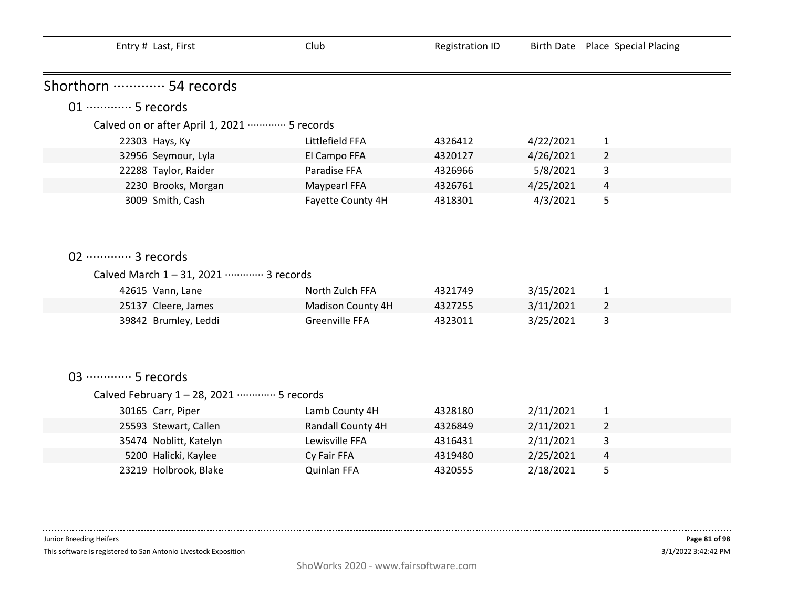| Entry # Last, First                                       | Club              | <b>Registration ID</b> |           | Birth Date Place Special Placing |
|-----------------------------------------------------------|-------------------|------------------------|-----------|----------------------------------|
| Shorthorn  54 records                                     |                   |                        |           |                                  |
| 01 ·············· 5 records                               |                   |                        |           |                                  |
| Calved on or after April 1, 2021 ·············· 5 records |                   |                        |           |                                  |
| 22303 Hays, Ky                                            | Littlefield FFA   | 4326412                | 4/22/2021 | $\mathbf{1}$                     |
| 32956 Seymour, Lyla                                       | El Campo FFA      | 4320127                | 4/26/2021 | $\overline{2}$                   |
| 22288 Taylor, Raider                                      | Paradise FFA      | 4326966                | 5/8/2021  | 3                                |
| 2230 Brooks, Morgan                                       | Maypearl FFA      | 4326761                | 4/25/2021 | 4                                |
| 3009 Smith, Cash                                          | Fayette County 4H | 4318301                | 4/3/2021  | 5                                |
|                                                           |                   |                        |           |                                  |
|                                                           |                   |                        |           |                                  |
|                                                           |                   |                        |           |                                  |
| 02 ············· 3 records                                |                   |                        |           |                                  |
| Calved March 1-31, 2021 ………… 3 records                    |                   |                        |           |                                  |
| 42615 Vann, Lane                                          | North Zulch FFA   | 4321749                | 3/15/2021 | $\mathbf{1}$                     |
| 25137 Cleere, James                                       | Madison County 4H | 4327255                | 3/11/2021 | 2                                |
| 39842 Brumley, Leddi                                      | Greenville FFA    | 4323011                | 3/25/2021 | 3                                |
|                                                           |                   |                        |           |                                  |
|                                                           |                   |                        |           |                                  |
|                                                           |                   |                        |           |                                  |
| 03 ·············· 5 records                               |                   |                        |           |                                  |
| Calved February 1 - 28, 2021 ………… 5 records               |                   |                        |           |                                  |
| 30165 Carr, Piper                                         | Lamb County 4H    | 4328180                | 2/11/2021 | 1                                |
| 25593 Stewart, Callen                                     | Randall County 4H | 4326849                | 2/11/2021 | $\mathbf{2}$                     |
| 35474 Noblitt, Katelyn                                    | Lewisville FFA    | 4316431                | 2/11/2021 | 3                                |
| 5200 Halicki, Kaylee                                      | Cy Fair FFA       | 4319480                | 2/25/2021 | 4                                |
| 23219 Holbrook, Blake                                     | Quinlan FFA       | 4320555                | 2/18/2021 | 5                                |
|                                                           |                   |                        |           |                                  |

 $\frac{1}{2}$ 

This software is registered to San Antonio Livestock Exposition

 $\sim 100$  and  $\sim 100$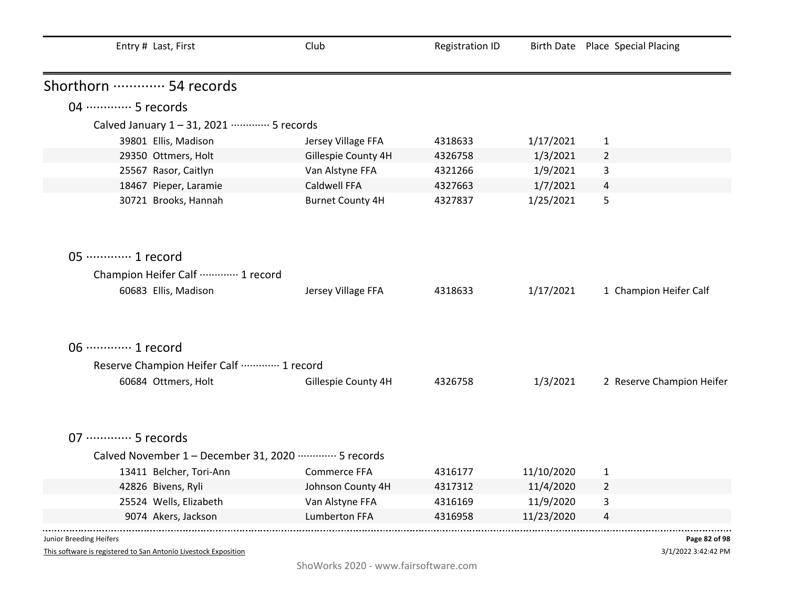| Entry # Last, First                                                                 | Club                    | <b>Registration ID</b> |            | Birth Date Place Special Placing |
|-------------------------------------------------------------------------------------|-------------------------|------------------------|------------|----------------------------------|
| Shorthorn  54 records                                                               |                         |                        |            |                                  |
| 04 ………… 5 records                                                                   |                         |                        |            |                                  |
| Calved January 1-31, 2021 ………… 5 records                                            |                         |                        |            |                                  |
| 39801 Ellis, Madison                                                                | Jersey Village FFA      | 4318633                | 1/17/2021  | 1                                |
| 29350 Ottmers, Holt                                                                 | Gillespie County 4H     | 4326758                | 1/3/2021   | $\overline{2}$                   |
| 25567 Rasor, Caitlyn                                                                | Van Alstyne FFA         | 4321266                | 1/9/2021   | 3                                |
| 18467 Pieper, Laramie                                                               | Caldwell FFA            | 4327663                | 1/7/2021   | 4                                |
| 30721 Brooks, Hannah                                                                | <b>Burnet County 4H</b> | 4327837                | 1/25/2021  | 5                                |
| 05 ············· 1 record<br>Champion Heifer Calf  1 record<br>60683 Ellis, Madison | Jersey Village FFA      | 4318633                | 1/17/2021  | 1 Champion Heifer Calf           |
| 06 ············· 1 record                                                           |                         |                        |            |                                  |
| Reserve Champion Heifer Calf  1 record                                              |                         |                        |            |                                  |
| 60684 Ottmers, Holt                                                                 | Gillespie County 4H     | 4326758                | 1/3/2021   | 2 Reserve Champion Heifer        |
| 07 ·············· 5 records                                                         |                         |                        |            |                                  |
| Calved November 1 - December 31, 2020 ………… 5 records                                |                         |                        |            |                                  |
| 13411 Belcher, Tori-Ann                                                             | <b>Commerce FFA</b>     | 4316177                | 11/10/2020 | 1                                |
| 42826 Bivens, Ryli                                                                  | Johnson County 4H       | 4317312                | 11/4/2020  | $\overline{2}$                   |
| 25524 Wells, Elizabeth                                                              | Van Alstyne FFA         | 4316169                | 11/9/2020  | 3                                |
| 9074 Akers, Jackson                                                                 | <b>Lumberton FFA</b>    | 4316958                | 11/23/2020 | 4                                |
| Junior Breeding Heifers                                                             |                         |                        |            | Page 82 of 98                    |

3/1/2022 3:42:42 PM **Page 82 of 98**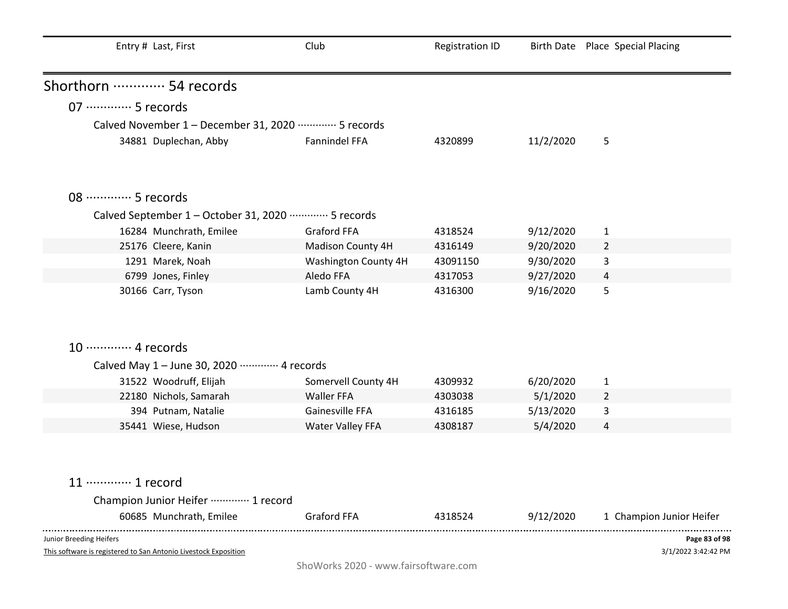| Entry # Last, First                                                                        | Club                 | <b>Registration ID</b> |           | Birth Date Place Special Placing     |
|--------------------------------------------------------------------------------------------|----------------------|------------------------|-----------|--------------------------------------|
| Shorthorn ………… 54 records                                                                  |                      |                        |           |                                      |
| 07 ·············· 5 records                                                                |                      |                        |           |                                      |
| Calved November 1 - December 31, 2020 ………… 5 records                                       |                      |                        |           |                                      |
| 34881 Duplechan, Abby                                                                      | Fannindel FFA        | 4320899                | 11/2/2020 | 5                                    |
| 08 ………… 5 records                                                                          |                      |                        |           |                                      |
| Calved September 1 - October 31, 2020 ·············· 5 records                             |                      |                        |           |                                      |
| 16284 Munchrath, Emilee                                                                    | Graford FFA          | 4318524                | 9/12/2020 | 1                                    |
| 25176 Cleere, Kanin                                                                        | Madison County 4H    | 4316149                | 9/20/2020 | $\overline{2}$                       |
| 1291 Marek, Noah                                                                           | Washington County 4H | 43091150               | 9/30/2020 | 3                                    |
| 6799 Jones, Finley                                                                         | Aledo FFA            | 4317053                | 9/27/2020 | 4                                    |
| 30166 Carr, Tyson                                                                          | Lamb County 4H       | 4316300                | 9/16/2020 | 5                                    |
| 10 ············· 4 records                                                                 |                      |                        |           |                                      |
| Calved May 1 - June 30, 2020 ………… 4 records                                                |                      |                        |           |                                      |
| 31522 Woodruff, Elijah                                                                     | Somervell County 4H  | 4309932                | 6/20/2020 | $\mathbf{1}$                         |
| 22180 Nichols, Samarah                                                                     | <b>Waller FFA</b>    | 4303038                | 5/1/2020  | 2                                    |
| 394 Putnam, Natalie                                                                        | Gainesville FFA      | 4316185                | 5/13/2020 | 3                                    |
| 35441 Wiese, Hudson                                                                        | Water Valley FFA     | 4308187                | 5/4/2020  | 4                                    |
| 11 ………… 1 record                                                                           |                      |                        |           |                                      |
| Champion Junior Heifer ………… 1 record                                                       |                      |                        |           |                                      |
| 60685 Munchrath, Emilee                                                                    | <b>Graford FFA</b>   | 4318524                | 9/12/2020 | 1 Champion Junior Heifer             |
| Junior Breeding Heifers<br>This software is registered to San Antonio Livestock Exposition |                      |                        |           | Page 83 of 98<br>3/1/2022 3:42:42 PM |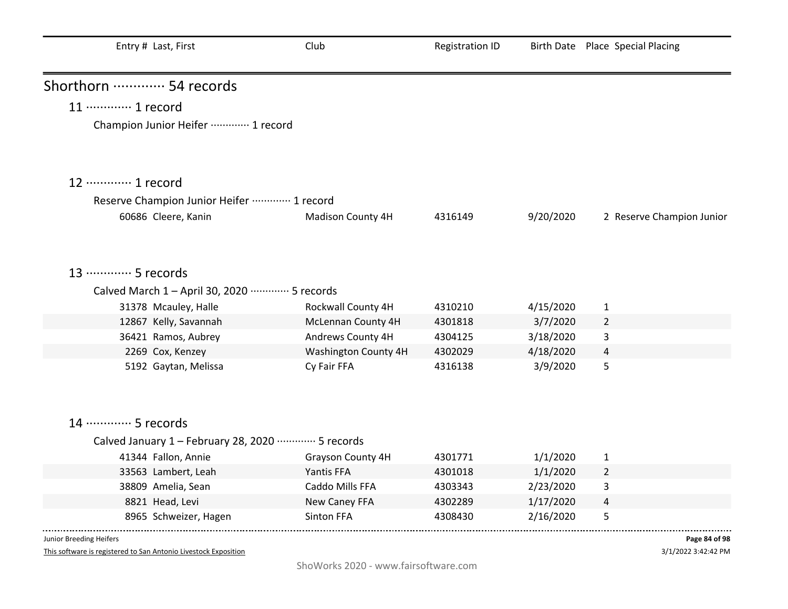| Entry # Last, First                                 | Club                 | <b>Registration ID</b> |           | Birth Date Place Special Placing |
|-----------------------------------------------------|----------------------|------------------------|-----------|----------------------------------|
| Shorthorn  54 records                               |                      |                        |           |                                  |
| 11 ············· 1 record                           |                      |                        |           |                                  |
| Champion Junior Heifer ………… 1 record                |                      |                        |           |                                  |
| 12 ………… 1 record                                    |                      |                        |           |                                  |
| Reserve Champion Junior Heifer  1 record            |                      |                        |           |                                  |
| 60686 Cleere, Kanin                                 | Madison County 4H    | 4316149                | 9/20/2020 | 2 Reserve Champion Junior        |
| 13 ………… 5 records                                   |                      |                        |           |                                  |
| Calved March 1 - April 30, 2020 ………… 5 records      |                      |                        |           |                                  |
| 31378 Mcauley, Halle                                | Rockwall County 4H   | 4310210                | 4/15/2020 | $\mathbf{1}$                     |
| 12867 Kelly, Savannah                               | McLennan County 4H   | 4301818                | 3/7/2020  | $\overline{2}$                   |
| 36421 Ramos, Aubrey                                 | Andrews County 4H    | 4304125                | 3/18/2020 | 3                                |
| 2269 Cox, Kenzey                                    | Washington County 4H | 4302029                | 4/18/2020 | 4                                |
| 5192 Gaytan, Melissa                                | Cy Fair FFA          | 4316138                | 3/9/2020  | 5                                |
| 14 ………… 5 records                                   |                      |                        |           |                                  |
| Calved January 1 - February 28, 2020 ………… 5 records |                      |                        |           |                                  |
| 41344 Fallon, Annie                                 | Grayson County 4H    | 4301771                | 1/1/2020  | $\mathbf{1}$                     |
| 33563 Lambert, Leah                                 | Yantis FFA           | 4301018                | 1/1/2020  | $\overline{2}$                   |
| 38809 Amelia, Sean                                  | Caddo Mills FFA      | 4303343                | 2/23/2020 | 3                                |
| 8821 Head, Levi                                     | New Caney FFA        | 4302289                | 1/17/2020 | $\overline{4}$                   |
| 8965 Schweizer, Hagen                               | Sinton FFA           | 4308430                | 2/16/2020 | 5                                |
| Junior Breeding Heifers                             |                      |                        |           | Page 84 of 98                    |

3/1/2022 3:42:42 PM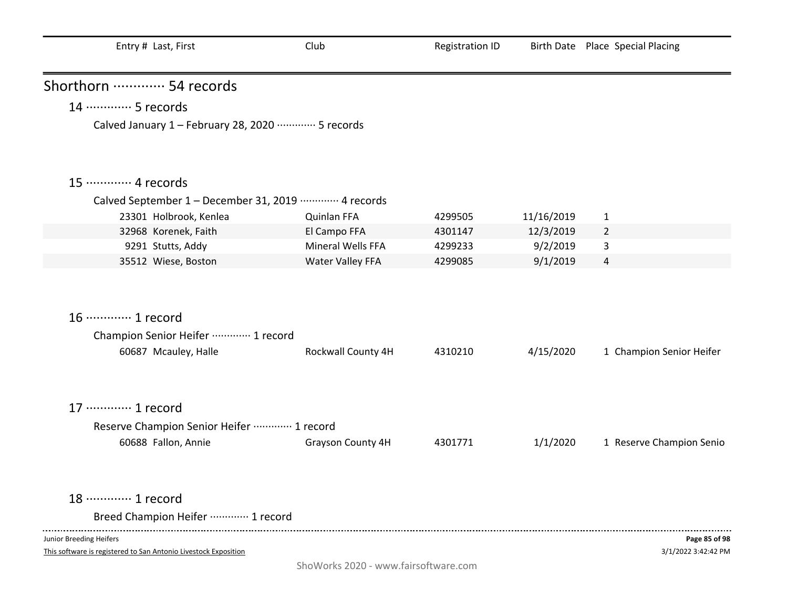| Entry # Last, First                                                                   | Club               | <b>Registration ID</b> |            | Birth Date Place Special Placing |
|---------------------------------------------------------------------------------------|--------------------|------------------------|------------|----------------------------------|
| Shorthorn  54 records                                                                 |                    |                        |            |                                  |
| 14 ………… 5 records                                                                     |                    |                        |            |                                  |
| Calved January 1 - February 28, 2020 ·············· 5 records                         |                    |                        |            |                                  |
| 15 ············· 4 records                                                            |                    |                        |            |                                  |
| Calved September 1 - December 31, 2019 ………… 4 records                                 |                    |                        |            |                                  |
| 23301 Holbrook, Kenlea                                                                | Quinlan FFA        | 4299505                | 11/16/2019 | $\mathbf{1}$                     |
| 32968 Korenek, Faith                                                                  | El Campo FFA       | 4301147                | 12/3/2019  | $\overline{2}$                   |
| 9291 Stutts, Addy                                                                     | Mineral Wells FFA  | 4299233                | 9/2/2019   | 3                                |
| 35512 Wiese, Boston                                                                   | Water Valley FFA   | 4299085                | 9/1/2019   | 4                                |
| 16 ············· 1 record<br>Champion Senior Heifer  1 record<br>60687 Mcauley, Halle | Rockwall County 4H | 4310210                | 4/15/2020  | 1 Champion Senior Heifer         |
| 17 ············· 1 record                                                             |                    |                        |            |                                  |
| Reserve Champion Senior Heifer  1 record                                              |                    |                        |            |                                  |
| 60688 Fallon, Annie                                                                   | Grayson County 4H  | 4301771                | 1/1/2020   | 1 Reserve Champion Senio         |
| 18 ………… 1 record                                                                      |                    |                        |            |                                  |
| Breed Champion Heifer  1 record                                                       |                    |                        |            |                                  |
| Junior Breeding Heifers                                                               |                    |                        |            | Page 85 of 98                    |
| This software is registered to San Antonio Livestock Exposition                       |                    |                        |            | 3/1/2022 3:42:42 PM              |

ShoWorks 2020 - www.fairsoftware.com

3/1/2022 3:42:42 PM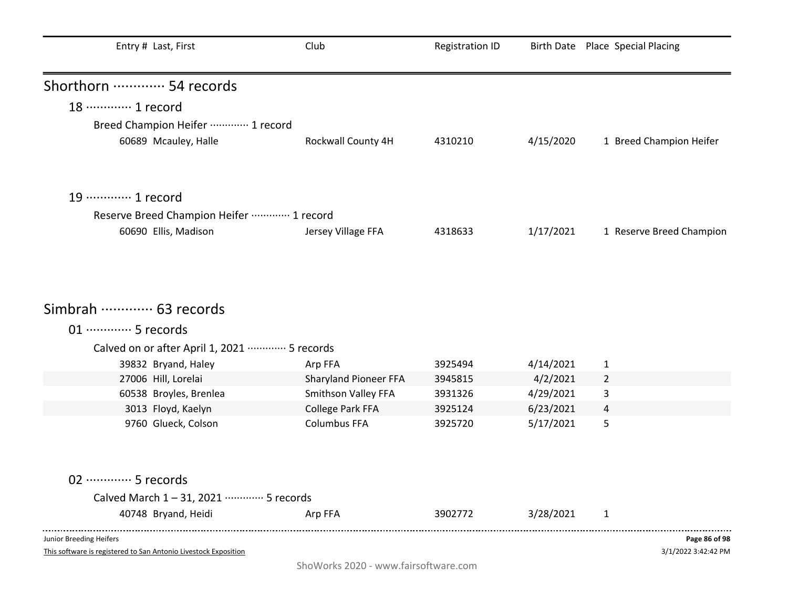| Entry # Last, First                          | Club                                    | <b>Registration ID</b> |                        | Birth Date Place Special Placing |
|----------------------------------------------|-----------------------------------------|------------------------|------------------------|----------------------------------|
| Shorthorn  54 records                        |                                         |                        |                        |                                  |
| 18 ………… 1 record                             |                                         |                        |                        |                                  |
| Breed Champion Heifer  1 record              |                                         |                        |                        |                                  |
| 60689 Mcauley, Halle                         | Rockwall County 4H                      | 4310210                | 4/15/2020              | 1 Breed Champion Heifer          |
|                                              |                                         |                        |                        |                                  |
| 19 ············· 1 record                    |                                         |                        |                        |                                  |
| Reserve Breed Champion Heifer  1 record      |                                         |                        |                        |                                  |
| 60690 Ellis, Madison                         | Jersey Village FFA                      | 4318633                | 1/17/2021              | 1 Reserve Breed Champion         |
| Simbrah ………… 63 records                      |                                         |                        |                        |                                  |
| 01 ·············· 5 records                  |                                         |                        |                        |                                  |
|                                              |                                         |                        |                        |                                  |
| Calved on or after April 1, 2021  5 records  |                                         |                        |                        |                                  |
| 39832 Bryand, Haley                          | Arp FFA                                 | 3925494                | 4/14/2021              | $\mathbf{1}$                     |
| 27006 Hill, Lorelai                          | Sharyland Pioneer FFA                   | 3945815                | 4/2/2021               | $\overline{2}$                   |
| 60538 Broyles, Brenlea<br>3013 Floyd, Kaelyn | Smithson Valley FFA<br>College Park FFA | 3931326<br>3925124     | 4/29/2021<br>6/23/2021 | 3                                |
| 9760 Glueck, Colson                          | <b>Columbus FFA</b>                     | 3925720                | 5/17/2021              | 4<br>5                           |
|                                              |                                         |                        |                        |                                  |
| 02 ·············· 5 records                  |                                         |                        |                        |                                  |
| Calved March 1-31, 2021 ………… 5 records       |                                         |                        |                        |                                  |
| 40748 Bryand, Heidi                          | Arp FFA                                 | 3902772                | 3/28/2021              | 1                                |
| Junior Breeding Heifers                      |                                         |                        |                        | Page 86 of 98                    |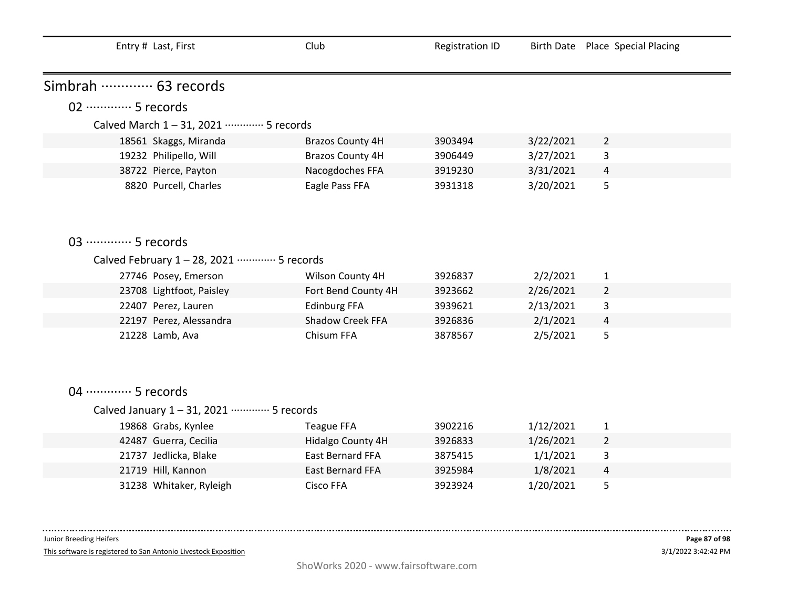| Entry # Last, First                             | Club                    | <b>Registration ID</b> |           | Birth Date Place Special Placing |
|-------------------------------------------------|-------------------------|------------------------|-----------|----------------------------------|
| Simbrah ………… 63 records                         |                         |                        |           |                                  |
| 02 ·············· 5 records                     |                         |                        |           |                                  |
| Calved March 1-31, 2021 ………… 5 records          |                         |                        |           |                                  |
|                                                 | <b>Brazos County 4H</b> | 3903494                | 3/22/2021 | $\overline{2}$                   |
| 18561 Skaggs, Miranda<br>19232 Philipello, Will | <b>Brazos County 4H</b> | 3906449                | 3/27/2021 | 3                                |
| 38722 Pierce, Payton                            | Nacogdoches FFA         | 3919230                | 3/31/2021 | $\overline{4}$                   |
| 8820 Purcell, Charles                           | Eagle Pass FFA          | 3931318                | 3/20/2021 | 5                                |
|                                                 |                         |                        |           |                                  |
|                                                 |                         |                        |           |                                  |
| 03 ·············· 5 records                     |                         |                        |           |                                  |
| Calved February 1 - 28, 2021 ………… 5 records     |                         |                        |           |                                  |
| 27746 Posey, Emerson                            | Wilson County 4H        | 3926837                | 2/2/2021  | $\mathbf{1}$                     |
| 23708 Lightfoot, Paisley                        | Fort Bend County 4H     | 3923662                | 2/26/2021 | $\overline{2}$                   |
| 22407 Perez, Lauren                             | <b>Edinburg FFA</b>     | 3939621                | 2/13/2021 | 3                                |
| 22197 Perez, Alessandra                         | Shadow Creek FFA        | 3926836                | 2/1/2021  | 4                                |
| 21228 Lamb, Ava                                 | Chisum FFA              | 3878567                | 2/5/2021  | 5                                |
|                                                 |                         |                        |           |                                  |
|                                                 |                         |                        |           |                                  |
|                                                 |                         |                        |           |                                  |
| 04 ………… 5 records                               |                         |                        |           |                                  |
| Calved January 1-31, 2021 ………… 5 records        |                         |                        |           |                                  |
| 19868 Grabs, Kynlee                             | <b>Teague FFA</b>       | 3902216                | 1/12/2021 | $\mathbf{1}$                     |
| 42487 Guerra, Cecilia                           | Hidalgo County 4H       | 3926833                | 1/26/2021 | $\overline{2}$                   |
| 21737 Jedlicka, Blake                           | <b>East Bernard FFA</b> | 3875415                | 1/1/2021  | 3                                |
| 21719 Hill, Kannon                              | <b>East Bernard FFA</b> | 3925984                | 1/8/2021  | 4                                |
| 31238 Whitaker, Ryleigh                         | <b>Cisco FFA</b>        | 3923924                | 1/20/2021 | 5                                |

This software is registered to San Antonio Livestock Exposition

. . . . . .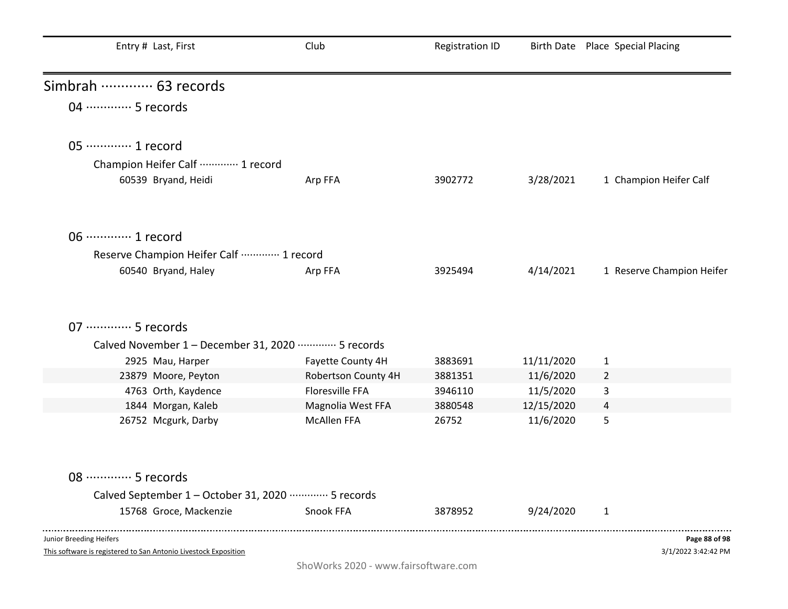| Entry # Last, First                                            | Club                | <b>Registration ID</b> |            | Birth Date Place Special Placing |
|----------------------------------------------------------------|---------------------|------------------------|------------|----------------------------------|
| Simbrah ………… 63 records                                        |                     |                        |            |                                  |
| 04 ………… 5 records                                              |                     |                        |            |                                  |
| 05 ············· 1 record                                      |                     |                        |            |                                  |
| Champion Heifer Calf  1 record                                 |                     |                        |            |                                  |
| 60539 Bryand, Heidi                                            | Arp FFA             | 3902772                | 3/28/2021  | 1 Champion Heifer Calf           |
| 06 ············· 1 record                                      |                     |                        |            |                                  |
| Reserve Champion Heifer Calf  1 record                         |                     |                        |            |                                  |
| 60540 Bryand, Haley                                            | Arp FFA             | 3925494                | 4/14/2021  | 1 Reserve Champion Heifer        |
|                                                                |                     |                        |            |                                  |
| 07 ·············· 5 records                                    |                     |                        |            |                                  |
| Calved November 1 - December 31, 2020 ………… 5 records           |                     |                        |            |                                  |
| 2925 Mau, Harper                                               | Fayette County 4H   | 3883691                | 11/11/2020 | $\mathbf{1}$                     |
| 23879 Moore, Peyton                                            | Robertson County 4H | 3881351                | 11/6/2020  | $\overline{2}$                   |
| 4763 Orth, Kaydence                                            | Floresville FFA     | 3946110                | 11/5/2020  | 3                                |
| 1844 Morgan, Kaleb                                             | Magnolia West FFA   | 3880548                | 12/15/2020 | 4                                |
| 26752 Mcgurk, Darby                                            | <b>McAllen FFA</b>  | 26752                  | 11/6/2020  | 5                                |
| 08 ·············· 5 records                                    |                     |                        |            |                                  |
| Calved September 1 - October 31, 2020 ·············· 5 records |                     |                        |            |                                  |
| 15768 Groce, Mackenzie                                         | Snook FFA           | 3878952                | 9/24/2020  | $\mathbf{1}$                     |
| Junior Breeding Heifers                                        |                     |                        |            | Page 88 of 98                    |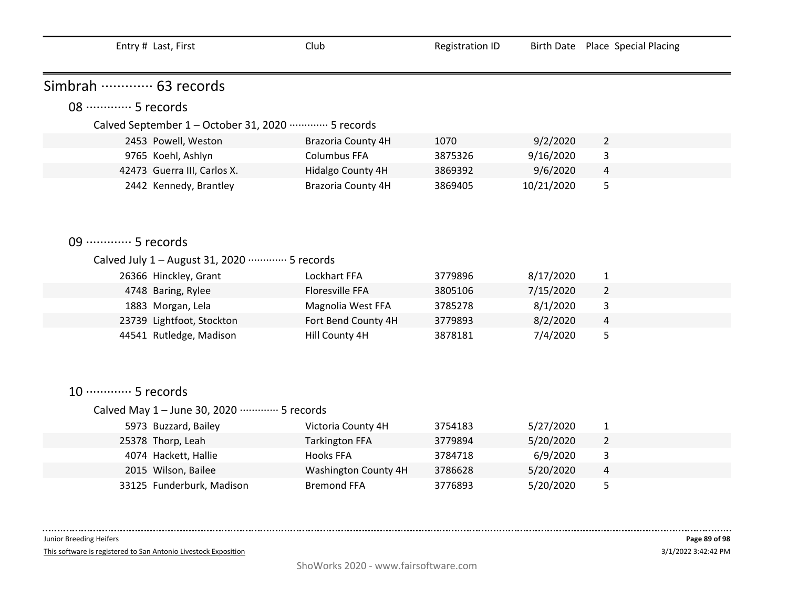|                             | Entry # Last, First                                            | Club                  | <b>Registration ID</b> |            | Birth Date Place Special Placing |
|-----------------------------|----------------------------------------------------------------|-----------------------|------------------------|------------|----------------------------------|
|                             |                                                                |                       |                        |            |                                  |
| Simbrah  63 records         |                                                                |                       |                        |            |                                  |
| 08 ………… 5 records           |                                                                |                       |                        |            |                                  |
|                             | Calved September 1 - October 31, 2020 ·············· 5 records |                       |                        |            |                                  |
|                             | 2453 Powell, Weston                                            | Brazoria County 4H    | 1070                   | 9/2/2020   | $\overline{2}$                   |
|                             | 9765 Koehl, Ashlyn                                             | <b>Columbus FFA</b>   | 3875326                | 9/16/2020  | 3                                |
|                             | 42473 Guerra III, Carlos X.                                    | Hidalgo County 4H     | 3869392                | 9/6/2020   | $\overline{a}$                   |
|                             | 2442 Kennedy, Brantley                                         | Brazoria County 4H    | 3869405                | 10/21/2020 | 5                                |
|                             |                                                                |                       |                        |            |                                  |
|                             |                                                                |                       |                        |            |                                  |
| 09 ·············· 5 records |                                                                |                       |                        |            |                                  |
|                             | Calved July 1 - August 31, 2020 ………… 5 records                 |                       |                        |            |                                  |
|                             | 26366 Hinckley, Grant                                          | Lockhart FFA          | 3779896                | 8/17/2020  | $\mathbf{1}$                     |
|                             | 4748 Baring, Rylee                                             | Floresville FFA       | 3805106                | 7/15/2020  | $\overline{2}$                   |
|                             | 1883 Morgan, Lela                                              | Magnolia West FFA     | 3785278                | 8/1/2020   | 3                                |
|                             | 23739 Lightfoot, Stockton                                      | Fort Bend County 4H   | 3779893                | 8/2/2020   | 4                                |
|                             | 44541 Rutledge, Madison                                        | Hill County 4H        | 3878181                | 7/4/2020   | 5                                |
|                             |                                                                |                       |                        |            |                                  |
|                             |                                                                |                       |                        |            |                                  |
| 10 ·············· 5 records |                                                                |                       |                        |            |                                  |
|                             |                                                                |                       |                        |            |                                  |
|                             | Calved May 1 - June 30, 2020 ………… 5 records                    |                       |                        |            |                                  |
|                             | 5973 Buzzard, Bailey                                           | Victoria County 4H    | 3754183                | 5/27/2020  | $\mathbf{1}$                     |
|                             | 25378 Thorp, Leah                                              | <b>Tarkington FFA</b> | 3779894                | 5/20/2020  | $\overline{2}$                   |
|                             | 4074 Hackett, Hallie                                           | <b>Hooks FFA</b>      | 3784718                | 6/9/2020   | 3                                |
|                             | 2015 Wilson, Bailee                                            | Washington County 4H  | 3786628                | 5/20/2020  | 4                                |
|                             | 33125 Funderburk, Madison                                      | <b>Bremond FFA</b>    | 3776893                | 5/20/2020  | 5                                |

 $- - - - - - - -$ 

This software is registered to San Antonio Livestock Exposition

 $\sim 100$  and  $\sim 100$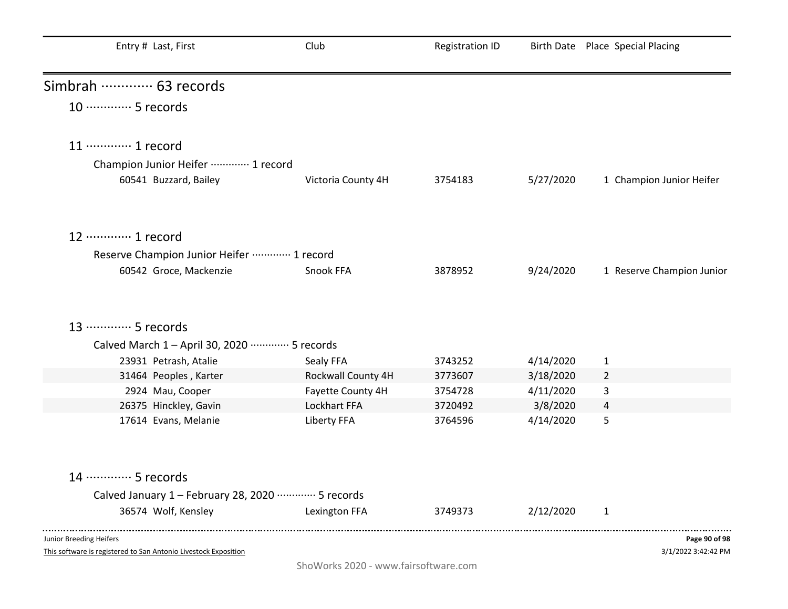| Entry # Last, First                                           | Club               | Registration ID |           | Birth Date Place Special Placing |
|---------------------------------------------------------------|--------------------|-----------------|-----------|----------------------------------|
| Simbrah ………… 63 records                                       |                    |                 |           |                                  |
| 10 ·············· 5 records                                   |                    |                 |           |                                  |
| 11 ············· 1 record                                     |                    |                 |           |                                  |
| Champion Junior Heifer ………… 1 record                          |                    |                 |           |                                  |
| 60541 Buzzard, Bailey                                         | Victoria County 4H | 3754183         | 5/27/2020 | 1 Champion Junior Heifer         |
| 12 ………… 1 record                                              |                    |                 |           |                                  |
| Reserve Champion Junior Heifer  1 record                      |                    |                 |           |                                  |
| 60542 Groce, Mackenzie                                        | Snook FFA          | 3878952         | 9/24/2020 | 1 Reserve Champion Junior        |
|                                                               |                    |                 |           |                                  |
| 13 ………… 5 records                                             |                    |                 |           |                                  |
| Calved March 1 - April 30, 2020 ………… 5 records                |                    |                 |           |                                  |
| 23931 Petrash, Atalie                                         | Sealy FFA          | 3743252         | 4/14/2020 | $\mathbf{1}$                     |
| 31464 Peoples, Karter                                         | Rockwall County 4H | 3773607         | 3/18/2020 | $\overline{2}$                   |
| 2924 Mau, Cooper                                              | Fayette County 4H  | 3754728         | 4/11/2020 | 3                                |
| 26375 Hinckley, Gavin                                         | Lockhart FFA       | 3720492         | 3/8/2020  | 4                                |
| 17614 Evans, Melanie                                          | Liberty FFA        | 3764596         | 4/14/2020 | 5                                |
| 14 ………… 5 records                                             |                    |                 |           |                                  |
| Calved January 1 - February 28, 2020 ·············· 5 records |                    |                 |           |                                  |
| 36574 Wolf, Kensley                                           | Lexington FFA      | 3749373         | 2/12/2020 | $\mathbf{1}$                     |
| Junior Breeding Heifers                                       |                    |                 |           | Page 90 of 98                    |

3/1/2022 3:42:42 PM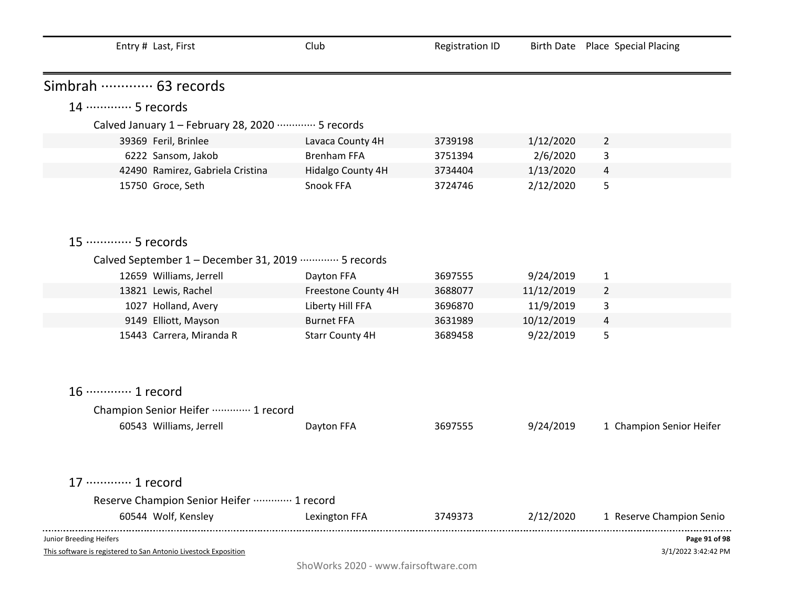| Entry # Last, First                                                                        | Club                   | <b>Registration ID</b> |            | Birth Date Place Special Placing     |
|--------------------------------------------------------------------------------------------|------------------------|------------------------|------------|--------------------------------------|
| Simbrah ………… 63 records                                                                    |                        |                        |            |                                      |
| 14 ………… 5 records                                                                          |                        |                        |            |                                      |
| Calved January 1 - February 28, 2020 ………… 5 records                                        |                        |                        |            |                                      |
| 39369 Feril, Brinlee                                                                       | Lavaca County 4H       | 3739198                | 1/12/2020  | $\overline{2}$                       |
| 6222 Sansom, Jakob                                                                         | <b>Brenham FFA</b>     | 3751394                | 2/6/2020   | 3                                    |
| 42490 Ramirez, Gabriela Cristina                                                           | Hidalgo County 4H      | 3734404                | 1/13/2020  | 4                                    |
| 15750 Groce, Seth                                                                          | Snook FFA              | 3724746                | 2/12/2020  | 5                                    |
| 15 ·············· 5 records                                                                |                        |                        |            |                                      |
| Calved September 1 - December 31, 2019 ………… 5 records                                      |                        |                        |            |                                      |
| 12659 Williams, Jerrell                                                                    | Dayton FFA             | 3697555                | 9/24/2019  | $\mathbf{1}$                         |
| 13821 Lewis, Rachel                                                                        | Freestone County 4H    | 3688077                | 11/12/2019 | $\overline{2}$                       |
| 1027 Holland, Avery                                                                        | Liberty Hill FFA       | 3696870                | 11/9/2019  | 3                                    |
| 9149 Elliott, Mayson                                                                       | <b>Burnet FFA</b>      | 3631989                | 10/12/2019 | 4                                    |
| 15443 Carrera, Miranda R                                                                   | <b>Starr County 4H</b> | 3689458                | 9/22/2019  | 5                                    |
| 16 ············· 1 record                                                                  |                        |                        |            |                                      |
| Champion Senior Heifer  1 record                                                           |                        |                        |            |                                      |
| 60543 Williams, Jerrell                                                                    | Dayton FFA             | 3697555                | 9/24/2019  | 1 Champion Senior Heifer             |
| 17 ………… 1 record                                                                           |                        |                        |            |                                      |
| Reserve Champion Senior Heifer  1 record                                                   |                        |                        |            |                                      |
| 60544 Wolf, Kensley                                                                        | Lexington FFA          | 3749373                | 2/12/2020  | 1 Reserve Champion Senio             |
| Junior Breeding Heifers<br>This software is registered to San Antonio Livestock Exposition |                        |                        |            | Page 91 of 98<br>3/1/2022 3:42:42 PM |

ShoWorks 2020 - www.fairsoftware.com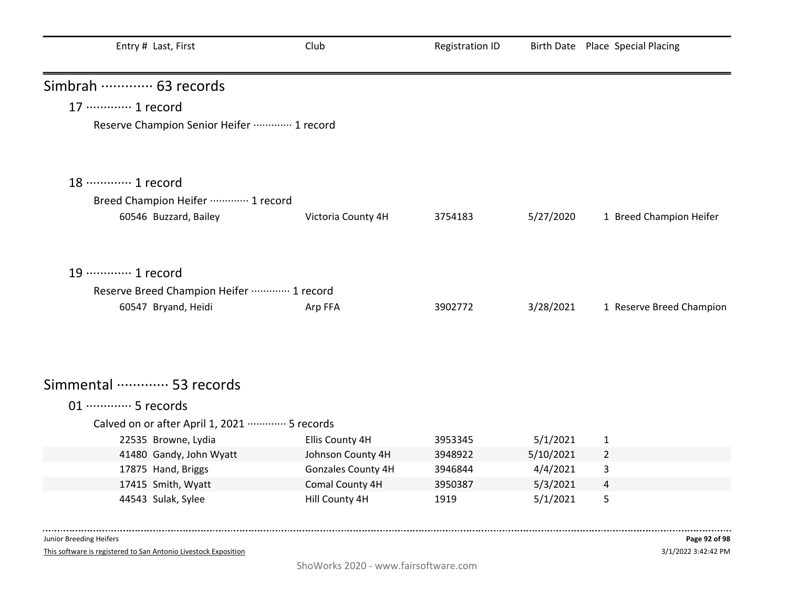| Entry # Last, First                                       | Club               | <b>Registration ID</b> |           | Birth Date Place Special Placing |
|-----------------------------------------------------------|--------------------|------------------------|-----------|----------------------------------|
| Simbrah  63 records                                       |                    |                        |           |                                  |
| 17 ············· 1 record                                 |                    |                        |           |                                  |
| Reserve Champion Senior Heifer  1 record                  |                    |                        |           |                                  |
| 18 ………… 1 record                                          |                    |                        |           |                                  |
| Breed Champion Heifer  1 record                           |                    |                        |           |                                  |
| 60546 Buzzard, Bailey                                     | Victoria County 4H | 3754183                | 5/27/2020 | 1 Breed Champion Heifer          |
| 19 ············· 1 record                                 |                    |                        |           |                                  |
| Reserve Breed Champion Heifer  1 record                   |                    |                        |           |                                  |
| 60547 Bryand, Heidi                                       | Arp FFA            | 3902772                | 3/28/2021 | 1 Reserve Breed Champion         |
| Simmental  53 records                                     |                    |                        |           |                                  |
| 01 ·············· 5 records                               |                    |                        |           |                                  |
| Calved on or after April 1, 2021 ·············· 5 records |                    |                        |           |                                  |
| 22535 Browne, Lydia                                       | Ellis County 4H    | 3953345                | 5/1/2021  | 1                                |
| 41480 Gandy, John Wyatt                                   | Johnson County 4H  | 3948922                | 5/10/2021 | $\overline{2}$                   |
| 17875 Hand, Briggs                                        | Gonzales County 4H | 3946844                | 4/4/2021  | 3                                |
| 17415 Smith, Wyatt                                        | Comal County 4H    | 3950387                | 5/3/2021  | 4                                |
| 44543 Sulak, Sylee                                        | Hill County 4H     | 1919                   | 5/1/2021  | 5                                |

This software is registered to San Antonio Livestock Exposition

-------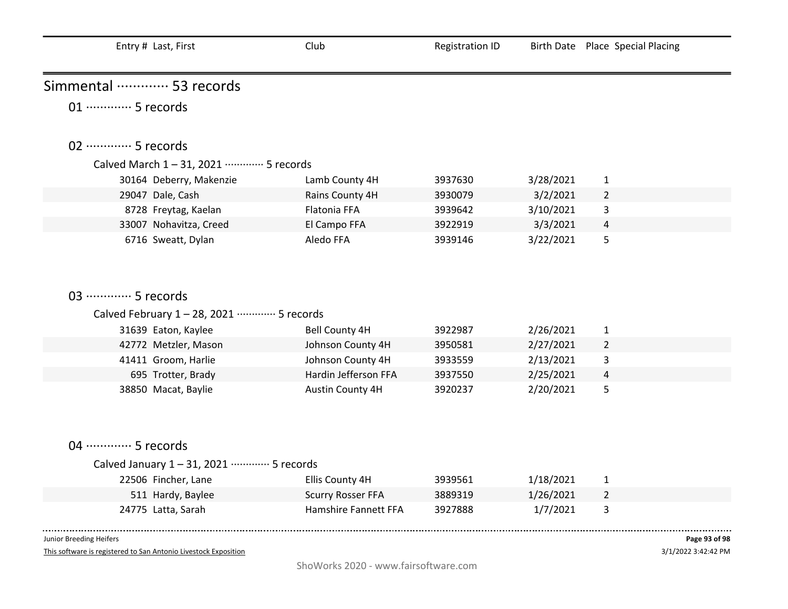| Entry # Last, First                       | Club                        | <b>Registration ID</b> |           | Birth Date Place Special Placing |  |  |
|-------------------------------------------|-----------------------------|------------------------|-----------|----------------------------------|--|--|
| Simmental  53 records                     |                             |                        |           |                                  |  |  |
| 01 ·············· 5 records               |                             |                        |           |                                  |  |  |
| 02 ·············· 5 records               |                             |                        |           |                                  |  |  |
| Calved March 1-31, 2021 ………… 5 records    |                             |                        |           |                                  |  |  |
| 30164 Deberry, Makenzie                   | Lamb County 4H              | 3937630                | 3/28/2021 | $\mathbf{1}$                     |  |  |
| 29047 Dale, Cash                          | Rains County 4H             | 3930079                | 3/2/2021  | $\overline{2}$                   |  |  |
| 8728 Freytag, Kaelan                      | Flatonia FFA                | 3939642                | 3/10/2021 | 3                                |  |  |
| 33007 Nohavitza, Creed                    | El Campo FFA                | 3922919                | 3/3/2021  | 4                                |  |  |
| 6716 Sweatt, Dylan                        | Aledo FFA                   | 3939146                | 3/22/2021 | 5                                |  |  |
|                                           |                             |                        |           |                                  |  |  |
|                                           |                             |                        |           |                                  |  |  |
| 03 ………… 5 records                         |                             |                        |           |                                  |  |  |
| Calved February 1-28, 2021 ………… 5 records |                             |                        |           |                                  |  |  |
| 31639 Eaton, Kaylee                       | <b>Bell County 4H</b>       | 3922987                | 2/26/2021 | $\mathbf{1}$                     |  |  |
| 42772 Metzler, Mason                      | Johnson County 4H           | 3950581                | 2/27/2021 | $\overline{2}$                   |  |  |
| 41411 Groom, Harlie                       | Johnson County 4H           | 3933559                | 2/13/2021 | 3                                |  |  |
| 695 Trotter, Brady                        | Hardin Jefferson FFA        | 3937550                | 2/25/2021 | 4                                |  |  |
| 38850 Macat, Baylie                       | Austin County 4H            | 3920237                | 2/20/2021 | 5                                |  |  |
|                                           |                             |                        |           |                                  |  |  |
|                                           |                             |                        |           |                                  |  |  |
|                                           |                             |                        |           |                                  |  |  |
| 04 ………… 5 records                         |                             |                        |           |                                  |  |  |
| Calved January 1-31, 2021 ………… 5 records  |                             |                        |           |                                  |  |  |
| 22506 Fincher, Lane                       | Ellis County 4H             | 3939561                | 1/18/2021 | $\mathbf{1}$                     |  |  |
| 511 Hardy, Baylee                         | <b>Scurry Rosser FFA</b>    | 3889319                | 1/26/2021 | $\overline{2}$                   |  |  |
| 24775 Latta, Sarah                        | <b>Hamshire Fannett FFA</b> | 3927888                | 1/7/2021  | 3                                |  |  |

 $\sim 100$ 

This software is registered to San Antonio Livestock Exposition

3/1/2022 3:42:42 PM **Page 93 of 98**

. . . .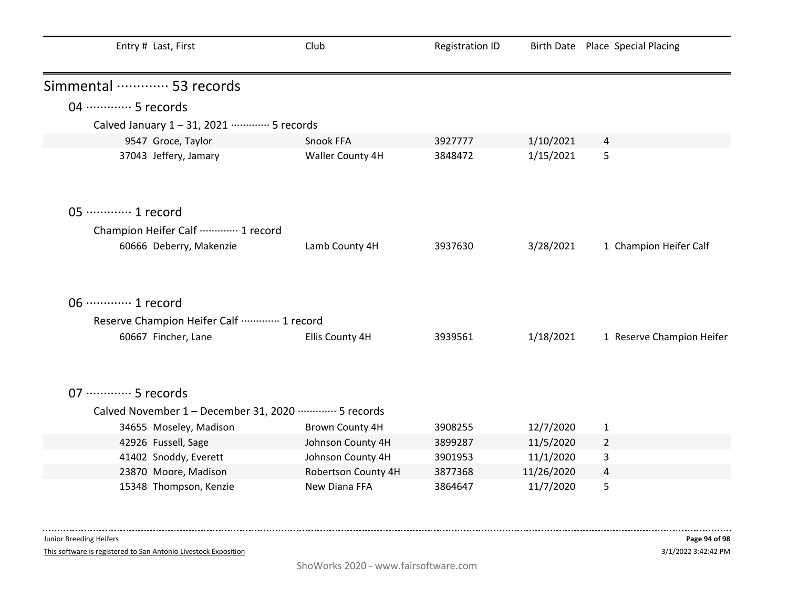| Entry # Last, First                                  | Club                | <b>Registration ID</b> |            | Birth Date Place Special Placing |
|------------------------------------------------------|---------------------|------------------------|------------|----------------------------------|
| Simmental ………… 53 records                            |                     |                        |            |                                  |
| 04 ………… 5 records                                    |                     |                        |            |                                  |
| Calved January 1-31, 2021 ………… 5 records             |                     |                        |            |                                  |
| 9547 Groce, Taylor                                   | Snook FFA           | 3927777                | 1/10/2021  | 4                                |
| 37043 Jeffery, Jamary                                | Waller County 4H    | 3848472                | 1/15/2021  | 5                                |
| 05 ·············· 1 record                           |                     |                        |            |                                  |
| Champion Heifer Calf  1 record                       |                     |                        |            |                                  |
| 60666 Deberry, Makenzie                              | Lamb County 4H      | 3937630                | 3/28/2021  | 1 Champion Heifer Calf           |
| 06 ·············· 1 record                           |                     |                        |            |                                  |
| Reserve Champion Heifer Calf  1 record               |                     |                        |            |                                  |
| 60667 Fincher, Lane                                  | Ellis County 4H     | 3939561                | 1/18/2021  | 1 Reserve Champion Heifer        |
| 07 ·············· 5 records                          |                     |                        |            |                                  |
| Calved November 1 - December 31, 2020 ………… 5 records |                     |                        |            |                                  |
| 34655 Moseley, Madison                               | Brown County 4H     | 3908255                | 12/7/2020  | $\mathbf{1}$                     |
| 42926 Fussell, Sage                                  | Johnson County 4H   | 3899287                | 11/5/2020  | $\overline{2}$                   |
| 41402 Snoddy, Everett                                | Johnson County 4H   | 3901953                | 11/1/2020  | 3                                |
| 23870 Moore, Madison                                 | Robertson County 4H | 3877368                | 11/26/2020 | $\overline{4}$                   |
| 15348 Thompson, Kenzie                               | New Diana FFA       | 3864647                | 11/7/2020  | 5                                |

This software is registered to San Antonio Livestock Exposition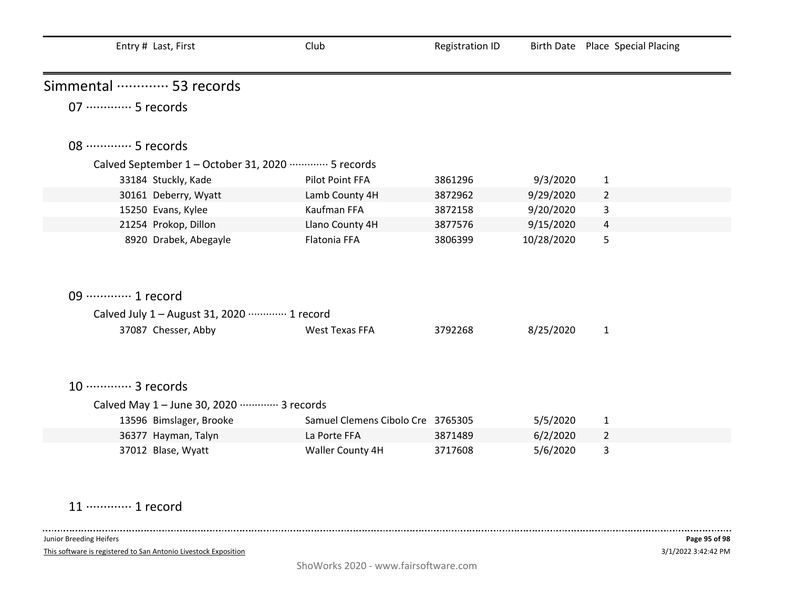| Entry # Last, First                                            | Club                              | <b>Registration ID</b> |            | Birth Date Place Special Placing |  |
|----------------------------------------------------------------|-----------------------------------|------------------------|------------|----------------------------------|--|
| Simmental ………… 53 records                                      |                                   |                        |            |                                  |  |
| 07 ·············· 5 records                                    |                                   |                        |            |                                  |  |
| 08 ·············· 5 records                                    |                                   |                        |            |                                  |  |
| Calved September 1 - October 31, 2020 ·············· 5 records |                                   |                        |            |                                  |  |
| 33184 Stuckly, Kade                                            | Pilot Point FFA                   | 3861296                | 9/3/2020   | $\mathbf{1}$                     |  |
| 30161 Deberry, Wyatt                                           | Lamb County 4H                    | 3872962                | 9/29/2020  | $\overline{2}$                   |  |
| 15250 Evans, Kylee                                             | Kaufman FFA                       | 3872158                | 9/20/2020  | 3                                |  |
| 21254 Prokop, Dillon                                           | Llano County 4H                   | 3877576                | 9/15/2020  | 4                                |  |
| 8920 Drabek, Abegayle                                          | Flatonia FFA                      | 3806399                | 10/28/2020 | 5                                |  |
| 09 ·············· 1 record                                     |                                   |                        |            |                                  |  |
| Calved July 1 - August 31, 2020 ………… 1 record                  |                                   |                        |            |                                  |  |
| 37087 Chesser, Abby                                            | <b>West Texas FFA</b>             | 3792268                | 8/25/2020  | $\mathbf{1}$                     |  |
| 10 ············· 3 records                                     |                                   |                        |            |                                  |  |
| Calved May 1 - June 30, 2020 ………… 3 records                    |                                   |                        |            |                                  |  |
| 13596 Bimslager, Brooke                                        | Samuel Clemens Cibolo Cre 3765305 |                        | 5/5/2020   | 1                                |  |
| 36377 Hayman, Talyn                                            | La Porte FFA                      | 3871489                | 6/2/2020   | 2                                |  |
| 37012 Blase, Wyatt                                             | Waller County 4H                  | 3717608                | 5/6/2020   | 3                                |  |

11 ·············· 1 record

 $\sim 100$  and  $\sim 100$ 

This software is registered to San Antonio Livestock Exposition

-----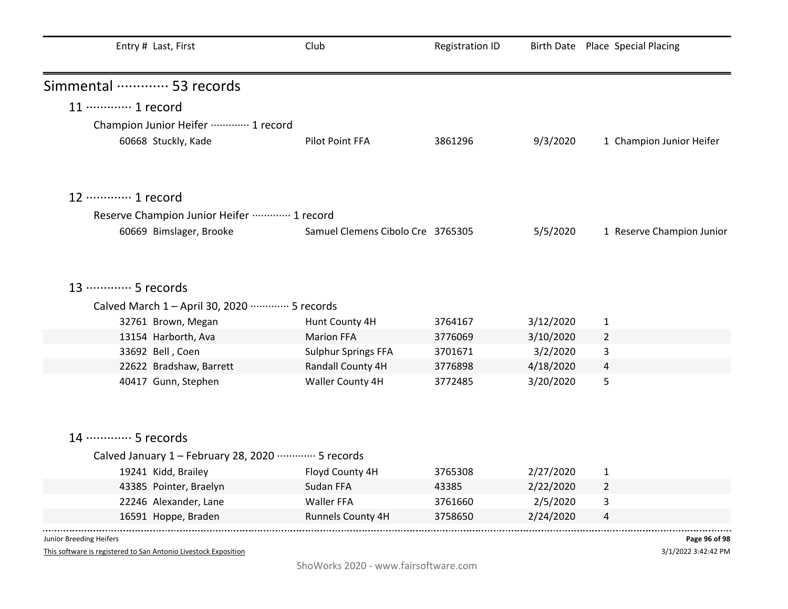| Entry # Last, First                                                 | Club                              | <b>Registration ID</b> |           | Birth Date Place Special Placing |
|---------------------------------------------------------------------|-----------------------------------|------------------------|-----------|----------------------------------|
| Simmental ………… 53 records                                           |                                   |                        |           |                                  |
| 11 ············· 1 record                                           |                                   |                        |           |                                  |
| Champion Junior Heifer  1 record                                    |                                   |                        |           |                                  |
| 60668 Stuckly, Kade                                                 | Pilot Point FFA                   | 3861296                | 9/3/2020  | 1 Champion Junior Heifer         |
|                                                                     |                                   |                        |           |                                  |
| 12 ………… 1 record                                                    |                                   |                        |           |                                  |
| Reserve Champion Junior Heifer  1 record                            |                                   |                        |           |                                  |
| 60669 Bimslager, Brooke                                             | Samuel Clemens Cibolo Cre 3765305 |                        | 5/5/2020  | 1 Reserve Champion Junior        |
| 13 ………… 5 records<br>Calved March 1 - April 30, 2020 ………… 5 records |                                   |                        |           |                                  |
| 32761 Brown, Megan                                                  | Hunt County 4H                    | 3764167                | 3/12/2020 | 1                                |
| 13154 Harborth, Ava                                                 | <b>Marion FFA</b>                 | 3776069                | 3/10/2020 | $\overline{2}$                   |
| 33692 Bell, Coen                                                    | <b>Sulphur Springs FFA</b>        | 3701671                | 3/2/2020  | 3                                |
| 22622 Bradshaw, Barrett                                             | Randall County 4H                 | 3776898                | 4/18/2020 | 4                                |
| 40417 Gunn, Stephen                                                 | Waller County 4H                  | 3772485                | 3/20/2020 | 5                                |
| 14 ………… 5 records                                                   |                                   |                        |           |                                  |
| Calved January 1 - February 28, 2020 ………… 5 records                 |                                   |                        |           |                                  |
| 19241 Kidd, Brailey                                                 | Floyd County 4H                   | 3765308                | 2/27/2020 | $\mathbf{1}$                     |
| 43385 Pointer, Braelyn                                              | Sudan FFA                         | 43385                  | 2/22/2020 | 2                                |
| 22246 Alexander, Lane                                               | Waller FFA                        | 3761660                | 2/5/2020  | 3                                |
| 16591 Hoppe, Braden                                                 | Runnels County 4H                 | 3758650                | 2/24/2020 | 4                                |
| Junior Breeding Heifers                                             |                                   |                        |           | Page 96 of 98                    |

3/1/2022 3:42:42 PM **Page 96 of 98**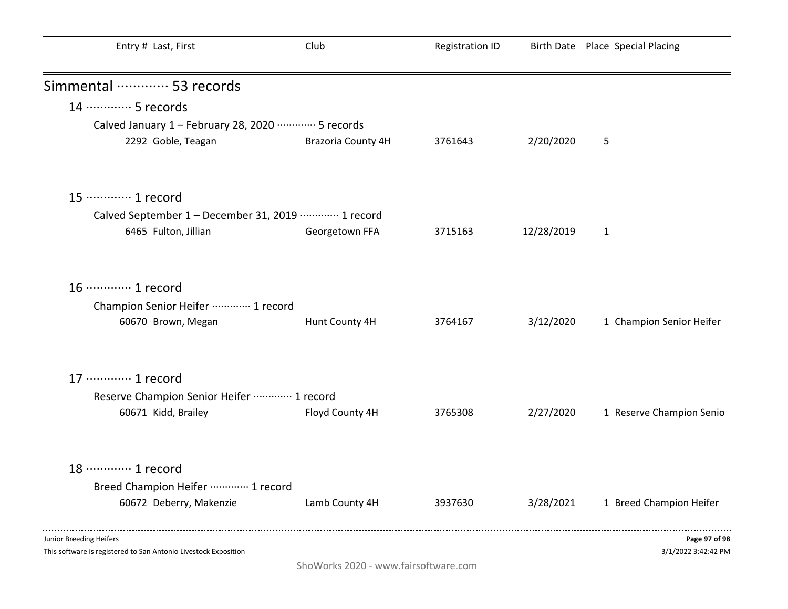| Entry # Last, First                                             | Club               | <b>Registration ID</b> |            | Birth Date Place Special Placing |
|-----------------------------------------------------------------|--------------------|------------------------|------------|----------------------------------|
| Simmental ………… 53 records                                       |                    |                        |            |                                  |
| 14 ………… 5 records                                               |                    |                        |            |                                  |
| Calved January 1 - February 28, 2020 ………… 5 records             |                    |                        |            |                                  |
| 2292 Goble, Teagan                                              | Brazoria County 4H | 3761643                | 2/20/2020  | 5                                |
| 15 ············· 1 record                                       |                    |                        |            |                                  |
| Calved September 1 - December 31, 2019 ………… 1 record            |                    |                        |            |                                  |
| 6465 Fulton, Jillian                                            | Georgetown FFA     | 3715163                | 12/28/2019 | $\mathbf{1}$                     |
|                                                                 |                    |                        |            |                                  |
| 16 ············· 1 record                                       |                    |                        |            |                                  |
| Champion Senior Heifer  1 record                                |                    |                        |            |                                  |
| 60670 Brown, Megan                                              | Hunt County 4H     | 3764167                | 3/12/2020  | 1 Champion Senior Heifer         |
| 17 ············· 1 record                                       |                    |                        |            |                                  |
| Reserve Champion Senior Heifer  1 record                        |                    |                        |            |                                  |
| 60671 Kidd, Brailey                                             | Floyd County 4H    | 3765308                | 2/27/2020  | 1 Reserve Champion Senio         |
| 18 ·············· 1 record                                      |                    |                        |            |                                  |
| Breed Champion Heifer  1 record                                 |                    |                        |            |                                  |
| 60672 Deberry, Makenzie                                         | Lamb County 4H     | 3937630                | 3/28/2021  | 1 Breed Champion Heifer          |
| Junior Breeding Heifers                                         |                    |                        |            | Page 97 of 98                    |
| This software is registered to San Antonio Livestock Exposition |                    |                        |            | 3/1/2022 3:42:42 PM              |